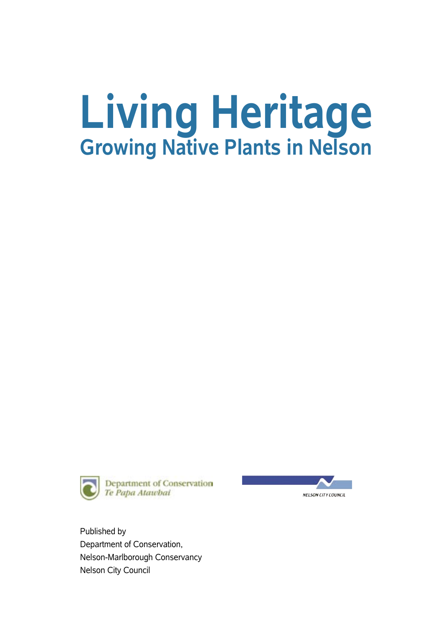# **Living Heritage Growing Native Plants in Nelson**





Published by Department of Conservation, Nelson-Marlborough Conservancy Nelson City Council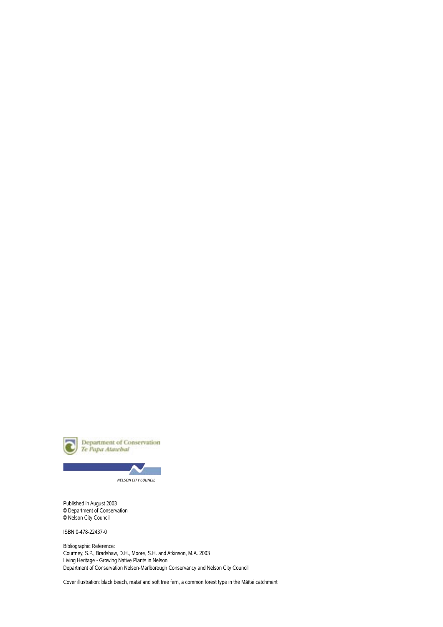

**NELSON CITY COUNCIL** 

Published in August 2003 © Department of Conservation © Nelson City Council

ISBN 0-478-22437-0

Bibliographic Reference: Courtney, S.P., Bradshaw, D.H., Moore, S.H. and Atkinson, M.A. 2003 Living Heritage - Growing Native Plants in Nelson Department of Conservation Nelson-Marlborough Conservancy and Nelson City Council

Cover illustration: black beech, mataï and soft tree fern, a common forest type in the Mäïtai catchment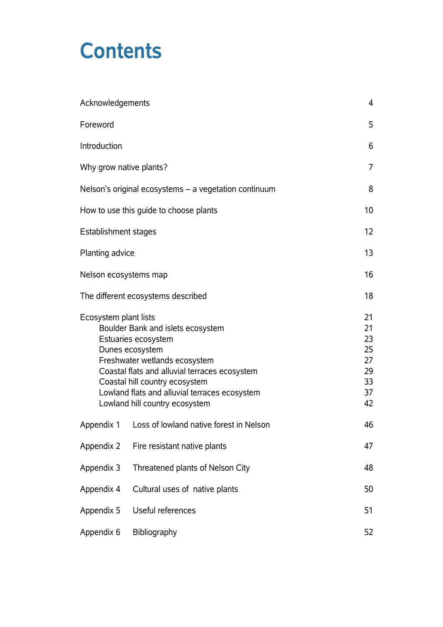## **Contents**

| Acknowledgements            | 4                                                                                                                                                                                                                                                                                  |                                                    |
|-----------------------------|------------------------------------------------------------------------------------------------------------------------------------------------------------------------------------------------------------------------------------------------------------------------------------|----------------------------------------------------|
| Foreword                    | 5                                                                                                                                                                                                                                                                                  |                                                    |
| Introduction                |                                                                                                                                                                                                                                                                                    | 6                                                  |
| Why grow native plants?     |                                                                                                                                                                                                                                                                                    | 7                                                  |
|                             | Nelson's original ecosystems – a vegetation continuum                                                                                                                                                                                                                              | 8                                                  |
|                             | How to use this guide to choose plants                                                                                                                                                                                                                                             | 10                                                 |
| <b>Establishment stages</b> | 12 <sub>2</sub>                                                                                                                                                                                                                                                                    |                                                    |
| Planting advice             |                                                                                                                                                                                                                                                                                    | 13                                                 |
| Nelson ecosystems map       |                                                                                                                                                                                                                                                                                    | 16                                                 |
|                             | The different ecosystems described                                                                                                                                                                                                                                                 | 18                                                 |
| Ecosystem plant lists       | Boulder Bank and islets ecosystem<br>Estuaries ecosystem<br>Dunes ecosystem<br>Freshwater wetlands ecosystem<br>Coastal flats and alluvial terraces ecosystem<br>Coastal hill country ecosystem<br>Lowland flats and alluvial terraces ecosystem<br>Lowland hill country ecosystem | 21<br>21<br>23<br>25<br>27<br>29<br>33<br>37<br>42 |
| Appendix 1                  | Loss of lowland native forest in Nelson                                                                                                                                                                                                                                            | 46                                                 |
| Appendix 2                  | Fire resistant native plants                                                                                                                                                                                                                                                       | 47                                                 |
| Appendix 3                  | Threatened plants of Nelson City                                                                                                                                                                                                                                                   | 48                                                 |
| Appendix 4                  | Cultural uses of native plants                                                                                                                                                                                                                                                     | 50                                                 |
| Appendix 5                  | Useful references                                                                                                                                                                                                                                                                  | 51                                                 |
| Appendix 6                  | Bibliography                                                                                                                                                                                                                                                                       | 52                                                 |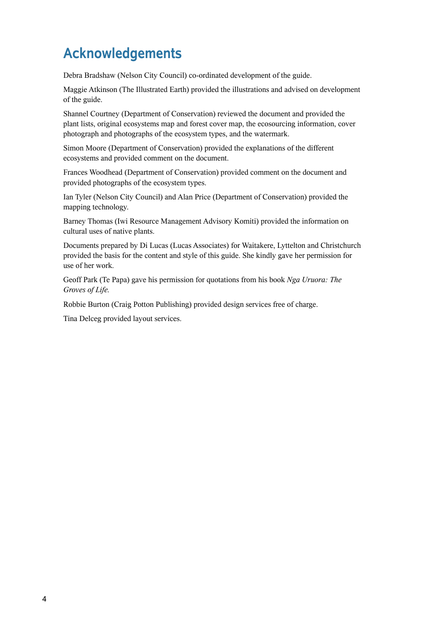## **Acknowledgements**

Debra Bradshaw (Nelson City Council) co-ordinated development of the guide.

Maggie Atkinson (The Illustrated Earth) provided the illustrations and advised on development of the guide.

Shannel Courtney (Department of Conservation) reviewed the document and provided the plant lists, original ecosystems map and forest cover map, the ecosourcing information, cover photograph and photographs of the ecosystem types, and the watermark.

Simon Moore (Department of Conservation) provided the explanations of the different ecosystems and provided comment on the document.

Frances Woodhead (Department of Conservation) provided comment on the document and provided photographs of the ecosystem types.

Ian Tyler (Nelson City Council) and Alan Price (Department of Conservation) provided the mapping technology.

Barney Thomas (Iwi Resource Management Advisory Komiti) provided the information on cultural uses of native plants.

Documents prepared by Di Lucas (Lucas Associates) for Waitakere, Lyttelton and Christchurch provided the basis for the content and style of this guide. She kindly gave her permission for use of her work.

Geoff Park (Te Papa) gave his permission for quotations from his book *Nga Uruora: The Groves of Life.*

Robbie Burton (Craig Potton Publishing) provided design services free of charge.

Tina Delceg provided layout services.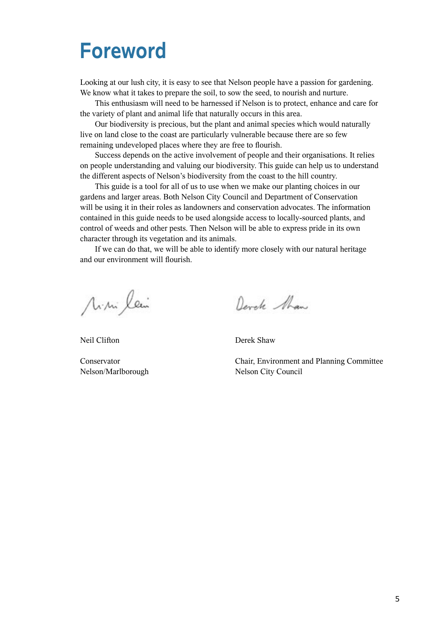## **Foreword**

Looking at our lush city, it is easy to see that Nelson people have a passion for gardening. We know what it takes to prepare the soil, to sow the seed, to nourish and nurture.

This enthusiasm will need to be harnessed if Nelson is to protect, enhance and care for the variety of plant and animal life that naturally occurs in this area.

Our biodiversity is precious, but the plant and animal species which would naturally live on land close to the coast are particularly vulnerable because there are so few remaining undeveloped places where they are free to flourish.

Success depends on the active involvement of people and their organisations. It relies on people understanding and valuing our biodiversity. This guide can help us to understand the different aspects of Nelson's biodiversity from the coast to the hill country.

This guide is a tool for all of us to use when we make our planting choices in our gardens and larger areas. Both Nelson City Council and Department of Conservation will be using it in their roles as landowners and conservation advocates. The information contained in this guide needs to be used alongside access to locally-sourced plants, and control of weeds and other pests. Then Nelson will be able to express pride in its own character through its vegetation and its animals.

If we can do that, we will be able to identify more closely with our natural heritage and our environment will flourish.

Mini lein

Neil Clifton

Conservator Nelson/Marlborough

Devele Man

Derek Shaw

Chair, Environment and Planning Committee Nelson City Council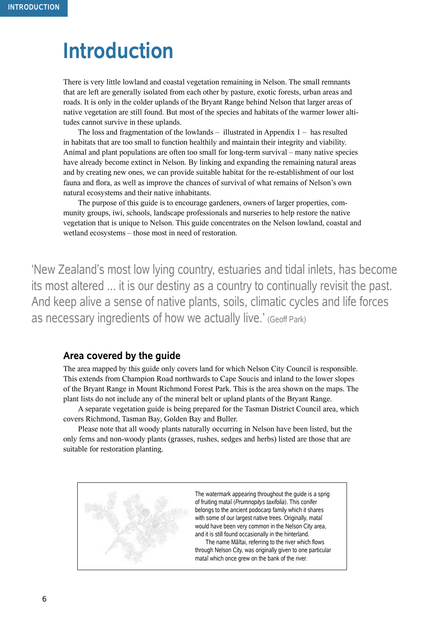## **Introduction**

There is very little lowland and coastal vegetation remaining in Nelson. The small remnants that are left are generally isolated from each other by pasture, exotic forests, urban areas and roads. It is only in the colder uplands of the Bryant Range behind Nelson that larger areas of native vegetation are still found. But most of the species and habitats of the warmer lower altitudes cannot survive in these uplands.

The loss and fragmentation of the lowlands  $-$  illustrated in Appendix  $1 -$  has resulted in habitats that are too small to function healthily and maintain their integrity and viability. Animal and plant populations are often too small for long-term survival – many native species have already become extinct in Nelson. By linking and expanding the remaining natural areas and by creating new ones, we can provide suitable habitat for the re-establishment of our lost fauna and flora, as well as improve the chances of survival of what remains of Nelson's own natural ecosystems and their native inhabitants.

The purpose of this guide is to encourage gardeners, owners of larger properties, community groups, iwi, schools, landscape professionals and nurseries to help restore the native vegetation that is unique to Nelson. This guide concentrates on the Nelson lowland, coastal and wetland ecosystems – those most in need of restoration.

'New Zealand's most low lying country, estuaries and tidal inlets, has become its most altered ... it is our destiny as a country to continually revisit the past. And keep alive a sense of native plants, soils, climatic cycles and life forces as necessary ingredients of how we actually live.' (Geoff Park)

#### **Area covered by the guide**

The area mapped by this guide only covers land for which Nelson City Council is responsible. This extends from Champion Road northwards to Cape Soucis and inland to the lower slopes of the Bryant Range in Mount Richmond Forest Park. This is the area shown on the maps. The plant lists do not include any of the mineral belt or upland plants of the Bryant Range.

A separate vegetation guide is being prepared for the Tasman District Council area, which covers Richmond, Tasman Bay, Golden Bay and Buller.

Please note that all woody plants naturally occurring in Nelson have been listed, but the only ferns and non-woody plants (grasses, rushes, sedges and herbs) listed are those that are suitable for restoration planting.



The watermark appearing throughout the guide is a sprig of fruiting mataï (*Prumnopitys taxifolia*). This conifer belongs to the ancient podocarp family which it shares with some of our largest native trees. Originally, mataī would have been very common in the Nelson City area, and it is still found occasionally in the hinterland.

The name Mäïtai, referring to the river which flows through Nelson City, was originally given to one particular mataï which once grew on the bank of the river.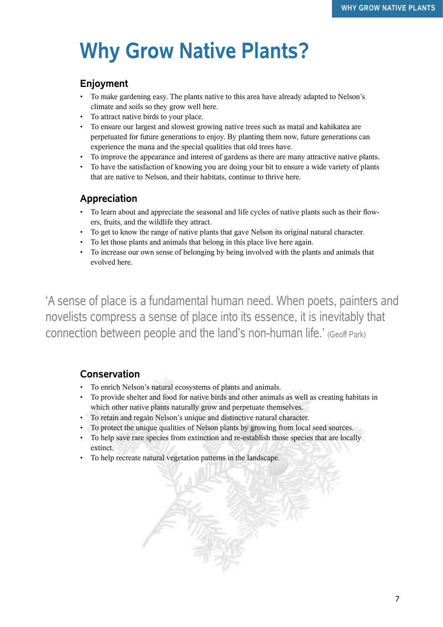# **Why Grow Native Plants?**

#### **Enjoyment**

- To make gardening easy. The plants native to this area have already adapted to Nelson's climate and soils so they grow well here.
- To attract native birds to your place.
- To ensure our largest and slowest growing native trees such as mataï and kahikatea are perpetuated for future generations to enjoy. By planting them now, future generations can experience the mana and the special qualities that old trees have.
- To improve the appearance and interest of gardens as there are many attractive native plants.
- To have the satisfaction of knowing you are doing your bit to ensure a wide variety of plants that are native to Nelson, and their habitats, continue to thrive here.

#### **Appreciation**

- To learn about and appreciate the seasonal and life cycles of native plants such as their flowers, fruits, and the wildlife they attract.
- To get to know the range of native plants that gave Nelson its original natural character.
- To let those plants and animals that belong in this place live here again.
- To increase our own sense of belonging by being involved with the plants and animals that evolved here.

'A sense of place is a fundamental human need. When poets, painters and novelists compress a sense of place into its essence, it is inevitably that connection between people and the land's non-human life.' (Geoff Park)

#### **Conservation**

- To enrich Nelson's natural ecosystems of plants and animals.
- To provide shelter and food for native birds and other animals as well as creating habitats in which other native plants naturally grow and perpetuate themselves.
- To retain and regain Nelson's unique and distinctive natural character.
- To protect the unique qualities of Nelson plants by growing from local seed sources.
- To help save rare species from extinction and re-establish those species that are locally extinct.
- To help recreate natural vegetation patterns in the landscape.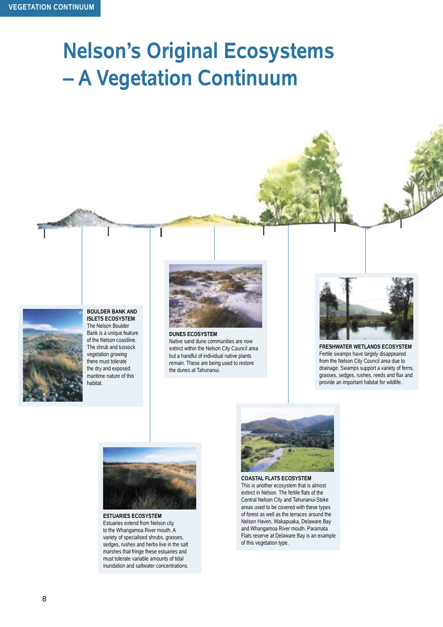# **Nelson's Original Ecosystems – A Vegetation Continuum**



#### **BOULDER BANK AND ISLETS ECOSYSTEM**

The Nelson Boulder Bank is a unique feature of the Nelson coastline. The shrub and tussock vegetation growing there must tolerate the dry and exposed maritime nature of this habitat.



**DUNES ECOSYSTEM** Native sand dune communities are now extinct within the Nelson City Council area but a handful of individual native plants remain. These are being used to restore the dunes at Tahunanui.



**FRESHWATER WETLANDS ECOSYSTEM** Fertile swamps have largely disappeared from the Nelson City Council area due to drainage. Swamps support a variety of ferns, grasses, sedges, rushes, reeds and flax and provide an important habitat for wildlife.



**ESTUARIES ECOSYSTEM** Estuaries extend from Nelson city to the Whangamoa River mouth. A variety of specialised shrubs, grasses, sedges, rushes and herbs live in the salt marshes that fringe these estuaries and must tolerate variable amounts of tidal inundation and saltwater concentrations.



**COASTAL FLATS ECOSYSTEM** This is another ecosystem that is almost extinct in Nelson. The fertile flats of the Central Nelson City and Tahunanui-Stoke areas used to be covered with these types of forest as well as the terraces around the Nelson Haven, Wakapuaka, Delaware Bay and Whangamoa River mouth. Paramata Flats reserve at Delaware Bay is an example of this vegetation type.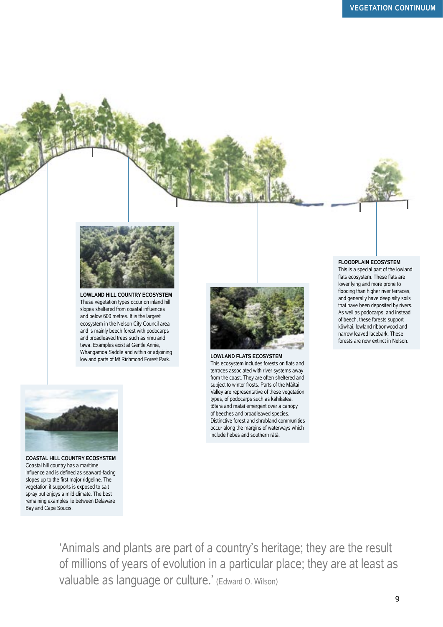

**LOWLAND HILL COUNTRY ECOSYSTEM** These vegetation types occur on inland hill slopes sheltered from coastal influences and below 600 metres. It is the largest ecosystem in the Nelson City Council area and is mainly beech forest with podocarps and broadleaved trees such as rimu and tawa. Examples exist at Gentle Annie, Whangamoa Saddle and within or adjoining lowland parts of Mt Richmond Forest Park. **LOWLAND FLATS ECOSYSTEM**



This ecosystem includes forests on flats and terraces associated with river systems away from the coast. They are often sheltered and subject to winter frosts. Parts of the Mäïtai Valley are representative of these vegetation types, of podocarps such as kahikatea, tötara and mataï emergent over a canopy of beeches and broadleaved species. Distinctive forest and shrubland communities occur along the margins of waterways which include hebes and southern rätä.

#### **FLOODPLAIN ECOSYSTEM**

This is a special part of the lowland flats ecosystem. These flats are lower lying and more prone to flooding than higher river terraces, and generally have deep silty soils that have been deposited by rivers. As well as podocarps, and instead of beech, these forests support köwhai, lowland ribbonwood and narrow leaved lacebark. These forests are now extinct in Nelson.



**COASTAL HILL COUNTRY ECOSYSTEM** Coastal hill country has a maritime influence and is defined as seaward-facing slopes up to the first major ridgeline. The vegetation it supports is exposed to salt spray but enjoys a mild climate. The best remaining examples lie between Delaware Bay and Cape Soucis.

'Animals and plants are part of a country's heritage; they are the result of millions of years of evolution in a particular place; they are at least as valuable as language or culture.' (Edward O. Wilson)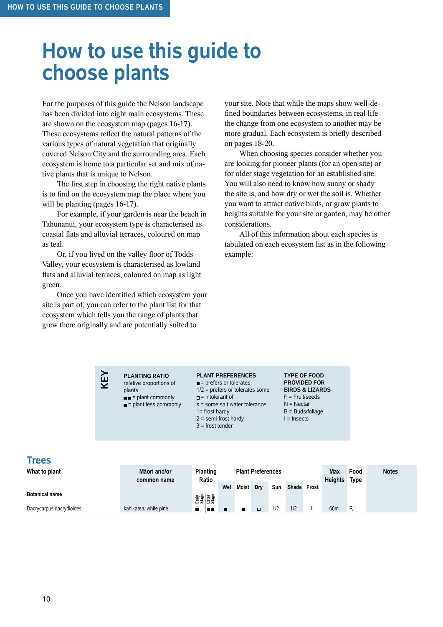## **How to use this guide to choose plants**

For the purposes of this guide the Nelson landscape has been divided into eight main ecosystems. These are shown on the ecosystem map (pages 16-17). These ecosystems reflect the natural patterns of the various types of natural vegetation that originally covered Nelson City and the surrounding area. Each ecosystem is home to a particular set and mix of native plants that is unique to Nelson.

The first step in choosing the right native plants is to find on the ecosystem map the place where you will be planting (pages 16-17).

For example, if your garden is near the beach in Tahunanui, your ecosystem type is characterised as coastal flats and alluvial terraces, coloured on map as teal.

Or, if you lived on the valley floor of Todds Valley, your ecosystem is characterised as lowland flats and alluvial terraces, coloured on map as light green.

Once you have identified which ecosystem your site is part of, you can refer to the plant list for that ecosystem which tells you the range of plants that grew there originally and are potentially suited to

**KEY**

your site. Note that while the maps show well-defined boundaries between ecosystems, in real life the change from one ecosystem to another may be more gradual. Each ecosystem is briefly described on pages 18-20.

When choosing species consider whether you are looking for pioneer plants (for an open site) or for older stage vegetation for an established site. You will also need to know how sunny or shady the site is, and how dry or wet the soil is. Whether you want to attract native birds, or grow plants to heights suitable for your site or garden, may be other considerations.

All of this information about each species is tabulated on each ecosystem list as in the following example:

**PLANTING RATIO** relative proportions of plants  $=$  plant commonly = plant less commonly

#### **PLANT PREFERENCES**  $\blacksquare$  = prefers or tolerates

1/2 = prefers or tolerates some

 $=$  intolerant of

s = some salt water tolerance

1= frost hardy

- 
- $2 =$  semi-frost hardy
- 3 = frost tender

**TYPE OF FOOD PROVIDED FOR BIRDS & LIZARDS**  F = Fruit/seeds N = Nectar B = Buds/foliage I = Insects

#### **Trees**

| What to plant            | Māori and/or<br>common name | <b>Planting</b><br><b>Plant Preferences</b><br>Ratio |     |       |     |     |       | Max<br><b>Heights</b> | Food<br>Type    | <b>Notes</b> |  |
|--------------------------|-----------------------------|------------------------------------------------------|-----|-------|-----|-----|-------|-----------------------|-----------------|--------------|--|
|                          |                             |                                                      | Wet | Moist | Drv | Sun | Shade | Frost                 |                 |              |  |
| <b>Botanical name</b>    |                             | 함을<br>이용하다<br>그래도                                    |     |       |     |     |       |                       |                 |              |  |
| Dacrycarpus dacrydioides | kahikatea, white pine       | 88 E                                                 |     |       |     | 1/2 | 1/2   |                       | 60 <sub>m</sub> | F, I         |  |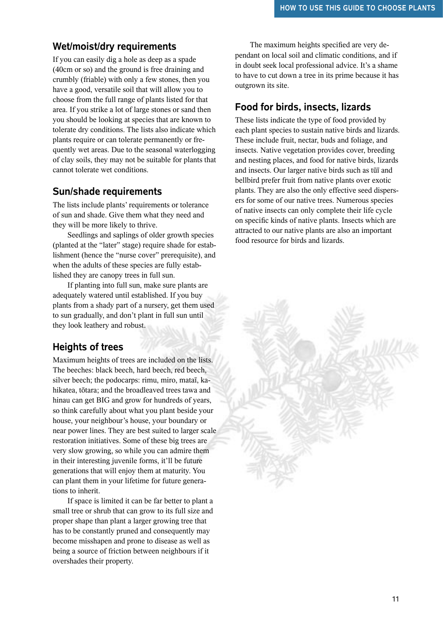#### **Wet/moist/dry requirements**

If you can easily dig a hole as deep as a spade (40cm or so) and the ground is free draining and crumbly (friable) with only a few stones, then you have a good, versatile soil that will allow you to choose from the full range of plants listed for that area. If you strike a lot of large stones or sand then you should be looking at species that are known to tolerate dry conditions. The lists also indicate which plants require or can tolerate permanently or frequently wet areas. Due to the seasonal waterlogging of clay soils, they may not be suitable for plants that cannot tolerate wet conditions.

#### **Sun/shade requirements**

The lists include plants' requirements or tolerance of sun and shade. Give them what they need and they will be more likely to thrive.

Seedlings and saplings of older growth species (planted at the "later" stage) require shade for establishment (hence the "nurse cover" prerequisite), and when the adults of these species are fully established they are canopy trees in full sun.

If planting into full sun, make sure plants are adequately watered until established. If you buy plants from a shady part of a nursery, get them used to sun gradually, and don't plant in full sun until they look leathery and robust.

#### **Heights of trees**

Maximum heights of trees are included on the lists. The beeches: black beech, hard beech, red beech, silver beech; the podocarps: rimu, miro, mataï, kahikatea, tötara; and the broadleaved trees tawa and hinau can get BIG and grow for hundreds of years, so think carefully about what you plant beside your house, your neighbour's house, your boundary or near power lines. They are best suited to larger scale restoration initiatives. Some of these big trees are very slow growing, so while you can admire them in their interesting juvenile forms, it'll be future generations that will enjoy them at maturity. You can plant them in your lifetime for future generations to inherit.

If space is limited it can be far better to plant a small tree or shrub that can grow to its full size and proper shape than plant a larger growing tree that has to be constantly pruned and consequently may become misshapen and prone to disease as well as being a source of friction between neighbours if it overshades their property.

The maximum heights specified are very dependant on local soil and climatic conditions, and if in doubt seek local professional advice. It's a shame to have to cut down a tree in its prime because it has outgrown its site.

#### **Food for birds, insects, lizards**

These lists indicate the type of food provided by each plant species to sustain native birds and lizards. These include fruit, nectar, buds and foliage, and insects. Native vegetation provides cover, breeding and nesting places, and food for native birds, lizards and insects. Our larger native birds such as tüï and bellbird prefer fruit from native plants over exotic plants. They are also the only effective seed dispersers for some of our native trees. Numerous species of native insects can only complete their life cycle on specific kinds of native plants. Insects which are attracted to our native plants are also an important food resource for birds and lizards.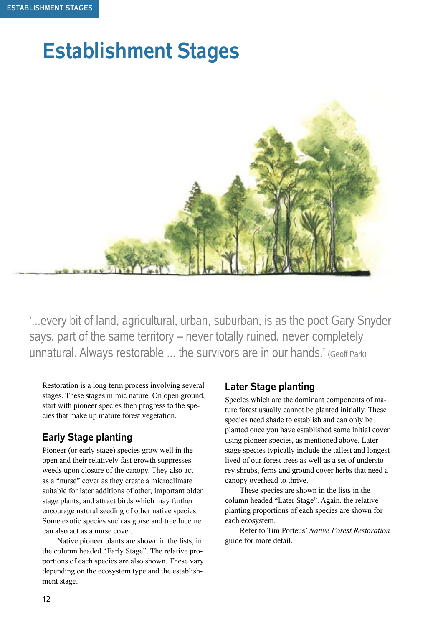## **Establishment Stages**



'...every bit of land, agricultural, urban, suburban, is as the poet Gary Snyder says, part of the same territory – never totally ruined, never completely unnatural. Always restorable ... the survivors are in our hands.' (Geoff Park)

Restoration is a long term process involving several stages. These stages mimic nature. On open ground, start with pioneer species then progress to the species that make up mature forest vegetation.

#### **Early Stage planting**

Pioneer (or early stage) species grow well in the open and their relatively fast growth suppresses weeds upon closure of the canopy. They also act as a "nurse" cover as they create a microclimate suitable for later additions of other, important older stage plants, and attract birds which may further encourage natural seeding of other native species. Some exotic species such as gorse and tree lucerne can also act as a nurse cover.

Native pioneer plants are shown in the lists, in the column headed "Early Stage". The relative proportions of each species are also shown. These vary depending on the ecosystem type and the establishment stage.

#### **Later Stage planting**

Species which are the dominant components of mature forest usually cannot be planted initially. These species need shade to establish and can only be planted once you have established some initial cover using pioneer species, as mentioned above. Later stage species typically include the tallest and longest lived of our forest trees as well as a set of understorey shrubs, ferns and ground cover herbs that need a canopy overhead to thrive.

These species are shown in the lists in the column headed "Later Stage". Again, the relative planting proportions of each species are shown for each ecosystem.

Refer to Tim Porteus' *Native Forest Restoration*  guide for more detail.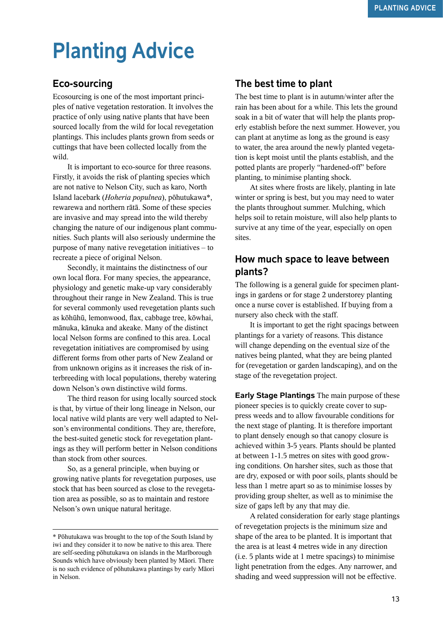# **Planting Advice**

#### **Eco-sourcing**

Ecosourcing is one of the most important principles of native vegetation restoration. It involves the practice of only using native plants that have been sourced locally from the wild for local revegetation plantings. This includes plants grown from seeds or cuttings that have been collected locally from the wild.

It is important to eco-source for three reasons. Firstly, it avoids the risk of planting species which are not native to Nelson City, such as karo, North Island lacebark (*Hoheria populnea*), pöhutukawa\*, rewarewa and northern rätä. Some of these species are invasive and may spread into the wild thereby changing the nature of our indigenous plant communities. Such plants will also seriously undermine the purpose of many native revegetation initiatives – to recreate a piece of original Nelson.

Secondly, it maintains the distinctness of our own local flora. For many species, the appearance, physiology and genetic make-up vary considerably throughout their range in New Zealand. This is true for several commonly used revegetation plants such as köhühü, lemonwood, flax, cabbage tree, köwhai, mänuka, känuka and akeake. Many of the distinct local Nelson forms are confined to this area. Local revegetation initiatives are compromised by using different forms from other parts of New Zealand or from unknown origins as it increases the risk of interbreeding with local populations, thereby watering down Nelson's own distinctive wild forms.

The third reason for using locally sourced stock is that, by virtue of their long lineage in Nelson, our local native wild plants are very well adapted to Nelson's environmental conditions. They are, therefore, the best-suited genetic stock for revegetation plantings as they will perform better in Nelson conditions than stock from other sources.

So, as a general principle, when buying or growing native plants for revegetation purposes, use stock that has been sourced as close to the revegetation area as possible, so as to maintain and restore Nelson's own unique natural heritage.

#### **The best time to plant**

The best time to plant is in autumn/winter after the rain has been about for a while. This lets the ground soak in a bit of water that will help the plants properly establish before the next summer. However, you can plant at anytime as long as the ground is easy to water, the area around the newly planted vegetation is kept moist until the plants establish, and the potted plants are properly "hardened-off" before planting, to minimise planting shock.

At sites where frosts are likely, planting in late winter or spring is best, but you may need to water the plants throughout summer. Mulching, which helps soil to retain moisture, will also help plants to survive at any time of the year, especially on open sites.

#### **How much space to leave between plants?**

The following is a general guide for specimen plantings in gardens or for stage 2 understorey planting once a nurse cover is established. If buying from a nursery also check with the staff.

It is important to get the right spacings between plantings for a variety of reasons. This distance will change depending on the eventual size of the natives being planted, what they are being planted for (revegetation or garden landscaping), and on the stage of the revegetation project.

**Early Stage Plantings** The main purpose of these pioneer species is to quickly create cover to suppress weeds and to allow favourable conditions for the next stage of planting. It is therefore important to plant densely enough so that canopy closure is achieved within 3-5 years. Plants should be planted at between 1-1.5 metres on sites with good growing conditions. On harsher sites, such as those that are dry, exposed or with poor soils, plants should be less than 1 metre apart so as to minimise losses by providing group shelter, as well as to minimise the size of gaps left by any that may die.

A related consideration for early stage plantings of revegetation projects is the minimum size and shape of the area to be planted. It is important that the area is at least 4 metres wide in any direction (i.e. 5 plants wide at 1 metre spacings) to minimise light penetration from the edges. Any narrower, and shading and weed suppression will not be effective.

<sup>\*</sup> Pöhutukawa was brought to the top of the South Island by iwi and they consider it to now be native to this area. There are self-seeding pöhutukawa on islands in the Marlborough Sounds which have obviously been planted by Mäori. There is no such evidence of pöhutukawa plantings by early Mäori in Nelson.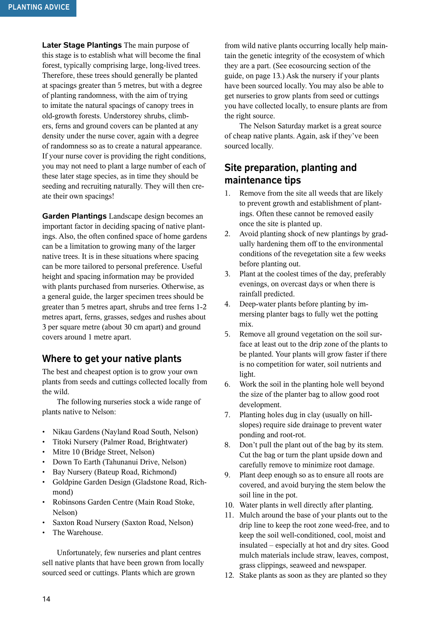**Later Stage Plantings** The main purpose of this stage is to establish what will become the final forest, typically comprising large, long-lived trees. Therefore, these trees should generally be planted at spacings greater than 5 metres, but with a degree of planting randomness, with the aim of trying to imitate the natural spacings of canopy trees in old-growth forests. Understorey shrubs, climbers, ferns and ground covers can be planted at any density under the nurse cover, again with a degree of randomness so as to create a natural appearance. If your nurse cover is providing the right conditions, you may not need to plant a large number of each of these later stage species, as in time they should be seeding and recruiting naturally. They will then create their own spacings!

**Garden Plantings** Landscape design becomes an important factor in deciding spacing of native plantings. Also, the often confined space of home gardens can be a limitation to growing many of the larger native trees. It is in these situations where spacing can be more tailored to personal preference. Useful height and spacing information may be provided with plants purchased from nurseries. Otherwise, as a general guide, the larger specimen trees should be greater than 5 metres apart, shrubs and tree ferns 1-2 metres apart, ferns, grasses, sedges and rushes about 3 per square metre (about 30 cm apart) and ground covers around 1 metre apart.

#### **Where to get your native plants**

The best and cheapest option is to grow your own plants from seeds and cuttings collected locally from the wild.

The following nurseries stock a wide range of plants native to Nelson:

- Nikau Gardens (Nayland Road South, Nelson)
- Titoki Nursery (Palmer Road, Brightwater)
- Mitre 10 (Bridge Street, Nelson)
- Down To Earth (Tahunanui Drive, Nelson)
- Bay Nursery (Bateup Road, Richmond)
- Goldpine Garden Design (Gladstone Road, Richmond)
- Robinsons Garden Centre (Main Road Stoke, Nelson)
- Saxton Road Nursery (Saxton Road, Nelson)
- The Warehouse.

Unfortunately, few nurseries and plant centres sell native plants that have been grown from locally sourced seed or cuttings. Plants which are grown

from wild native plants occurring locally help maintain the genetic integrity of the ecosystem of which they are a part. (See ecosourcing section of the guide, on page 13.) Ask the nursery if your plants have been sourced locally. You may also be able to get nurseries to grow plants from seed or cuttings you have collected locally, to ensure plants are from the right source.

The Nelson Saturday market is a great source of cheap native plants. Again, ask if they've been sourced locally.

#### **Site preparation, planting and maintenance tips**

- 1. Remove from the site all weeds that are likely to prevent growth and establishment of plantings. Often these cannot be removed easily once the site is planted up.
- 2. Avoid planting shock of new plantings by gradually hardening them off to the environmental conditions of the revegetation site a few weeks before planting out.
- 3. Plant at the coolest times of the day, preferably evenings, on overcast days or when there is rainfall predicted.
- 4. Deep-water plants before planting by immersing planter bags to fully wet the potting mix.
- 5. Remove all ground vegetation on the soil surface at least out to the drip zone of the plants to be planted. Your plants will grow faster if there is no competition for water, soil nutrients and light.
- 6. Work the soil in the planting hole well beyond the size of the planter bag to allow good root development.
- 7. Planting holes dug in clay (usually on hillslopes) require side drainage to prevent water ponding and root-rot.
- 8. Don't pull the plant out of the bag by its stem. Cut the bag or turn the plant upside down and carefully remove to minimize root damage.
- 9. Plant deep enough so as to ensure all roots are covered, and avoid burying the stem below the soil line in the pot.
- 10. Water plants in well directly after planting.
- 11. Mulch around the base of your plants out to the drip line to keep the root zone weed-free, and to keep the soil well-conditioned, cool, moist and insulated – especially at hot and dry sites. Good mulch materials include straw, leaves, compost, grass clippings, seaweed and newspaper.
- 12. Stake plants as soon as they are planted so they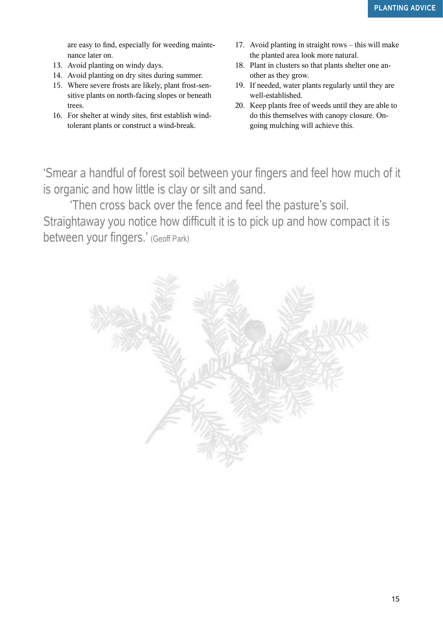are easy to find, especially for weeding maintenance later on.

- 13. Avoid planting on windy days.
- 14. Avoid planting on dry sites during summer.
- 15. Where severe frosts are likely, plant frost-sensitive plants on north-facing slopes or beneath trees.
- 16. For shelter at windy sites, first establish windtolerant plants or construct a wind-break.
- 17. Avoid planting in straight rows this will make the planted area look more natural.
- 18. Plant in clusters so that plants shelter one another as they grow.
- 19. If needed, water plants regularly until they are well-established.
- 20. Keep plants free of weeds until they are able to do this themselves with canopy closure. Ongoing mulching will achieve this.

'Smear a handful of forest soil between your fingers and feel how much of it is organic and how little is clay or silt and sand.

'Then cross back over the fence and feel the pasture's soil. Straightaway you notice how difficult it is to pick up and how compact it is between your fingers.' (Geoff Park)

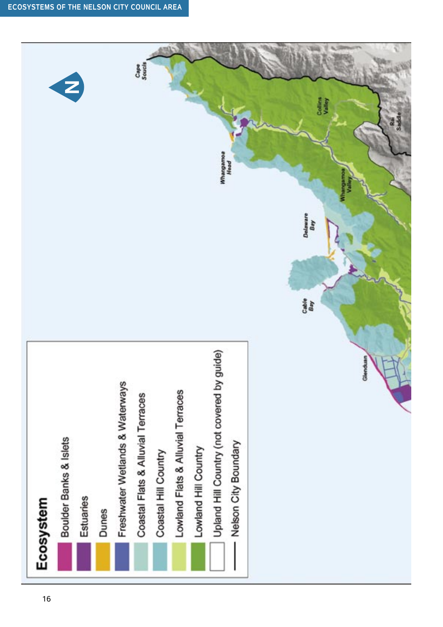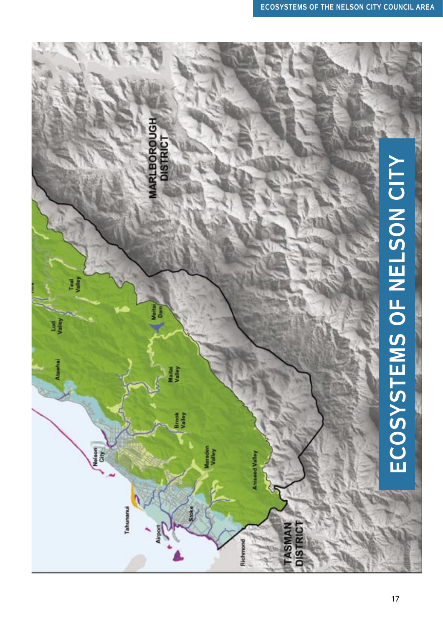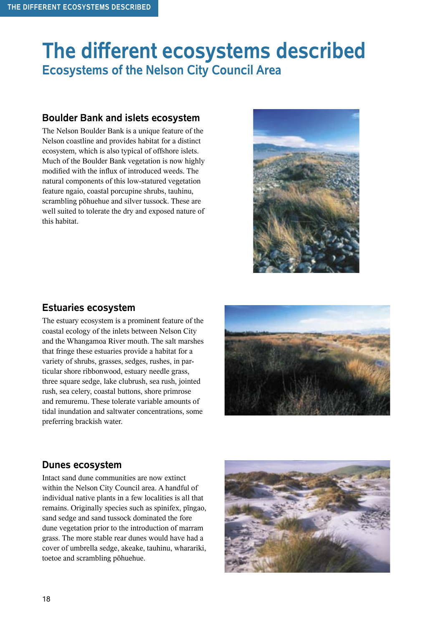## **The different ecosystems described Ecosystems of the Nelson City Council Area**

#### **Boulder Bank and islets ecosystem**

The Nelson Boulder Bank is a unique feature of the Nelson coastline and provides habitat for a distinct ecosystem, which is also typical of offshore islets. Much of the Boulder Bank vegetation is now highly modified with the influx of introduced weeds. The natural components of this low-statured vegetation feature ngaio, coastal porcupine shrubs, tauhinu, scrambling pöhuehue and silver tussock. These are well suited to tolerate the dry and exposed nature of this habitat.



#### **Estuaries ecosystem**

The estuary ecosystem is a prominent feature of the coastal ecology of the inlets between Nelson City and the Whangamoa River mouth. The salt marshes that fringe these estuaries provide a habitat for a variety of shrubs, grasses, sedges, rushes, in particular shore ribbonwood, estuary needle grass, three square sedge, lake clubrush, sea rush, jointed rush, sea celery, coastal buttons, shore primrose and remuremu. These tolerate variable amounts of tidal inundation and saltwater concentrations, some preferring brackish water.



#### **Dunes ecosystem**

Intact sand dune communities are now extinct within the Nelson City Council area. A handful of individual native plants in a few localities is all that remains. Originally species such as spinifex, pïngao, sand sedge and sand tussock dominated the fore dune vegetation prior to the introduction of marram grass. The more stable rear dunes would have had a cover of umbrella sedge, akeake, tauhinu, wharariki, toetoe and scrambling pöhuehue.

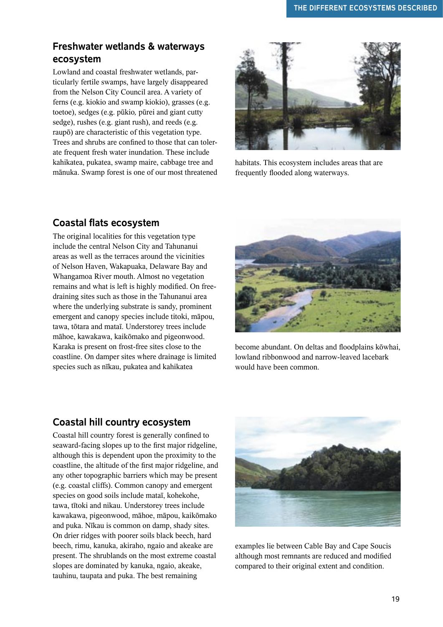#### **Freshwater wetlands & waterways ecosystem**

Lowland and coastal freshwater wetlands, particularly fertile swamps, have largely disappeared from the Nelson City Council area. A variety of ferns (e.g. kiokio and swamp kiokio), grasses (e.g. toetoe), sedges (e.g. pükio*,* pürei and giant cutty sedge), rushes (e.g. giant rush), and reeds (e.g. raupö) are characteristic of this vegetation type. Trees and shrubs are confined to those that can tolerate frequent fresh water inundation. These include kahikatea, pukatea, swamp maire, cabbage tree and mänuka. Swamp forest is one of our most threatened



habitats. This ecosystem includes areas that are frequently flooded along waterways.

#### **Coastal flats ecosystem**

The original localities for this vegetation type include the central Nelson City and Tahunanui areas as well as the terraces around the vicinities of Nelson Haven, Wakapuaka, Delaware Bay and Whangamoa River mouth. Almost no vegetation remains and what is left is highly modified. On freedraining sites such as those in the Tahunanui area where the underlying substrate is sandy, prominent emergent and canopy species include titoki, mäpou, tawa, tötara and mataï. Understorey trees include mähoe, kawakawa, kaikömako and pigeonwood. Karaka is present on frost-free sites close to the coastline. On damper sites where drainage is limited species such as nïkau, pukatea and kahikatea



become abundant. On deltas and floodplains köwhai, lowland ribbonwood and narrow-leaved lacebark would have been common.

#### **Coastal hill country ecosystem**

Coastal hill country forest is generally confined to seaward-facing slopes up to the first major ridgeline, although this is dependent upon the proximity to the coastline, the altitude of the first major ridgeline, and any other topographic barriers which may be present (e.g. coastal cliffs). Common canopy and emergent species on good soils include mataï, kohekohe, tawa, tïtoki and nikau. Understorey trees include kawakawa, pigeonwood, mähoe, mäpou, kaikömako and puka. Nïkau is common on damp, shady sites. On drier ridges with poorer soils black beech, hard beech, rimu, kanuka, akiraho, ngaio and akeake are present. The shrublands on the most extreme coastal slopes are dominated by kanuka, ngaio, akeake, tauhinu, taupata and puka. The best remaining



examples lie between Cable Bay and Cape Soucis although most remnants are reduced and modified compared to their original extent and condition.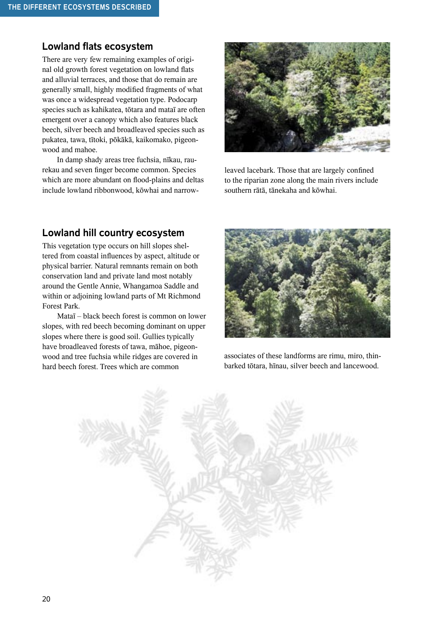#### **Lowland flats ecosystem**

There are very few remaining examples of original old growth forest vegetation on lowland flats and alluvial terraces, and those that do remain are generally small, highly modified fragments of what was once a widespread vegetation type. Podocarp species such as kahikatea, tötara and mataï are often emergent over a canopy which also features black beech, silver beech and broadleaved species such as pukatea, tawa, tïtoki, pökäkä, kaikomako, pigeonwood and mahoe.

In damp shady areas tree fuchsia, nïkau, raurekau and seven finger become common. Species which are more abundant on flood-plains and deltas include lowland ribbonwood, köwhai and narrow-



leaved lacebark. Those that are largely confined to the riparian zone along the main rivers include southern rätä, tänekaha and köwhai.

#### **Lowland hill country ecosystem**

This vegetation type occurs on hill slopes sheltered from coastal influences by aspect, altitude or physical barrier. Natural remnants remain on both conservation land and private land most notably around the Gentle Annie, Whangamoa Saddle and within or adjoining lowland parts of Mt Richmond Forest Park.

Mataï – black beech forest is common on lower slopes, with red beech becoming dominant on upper slopes where there is good soil. Gullies typically have broadleaved forests of tawa, mähoe, pigeonwood and tree fuchsia while ridges are covered in hard beech forest. Trees which are common



associates of these landforms are rimu, miro, thinbarked tötara, hïnau, silver beech and lancewood.

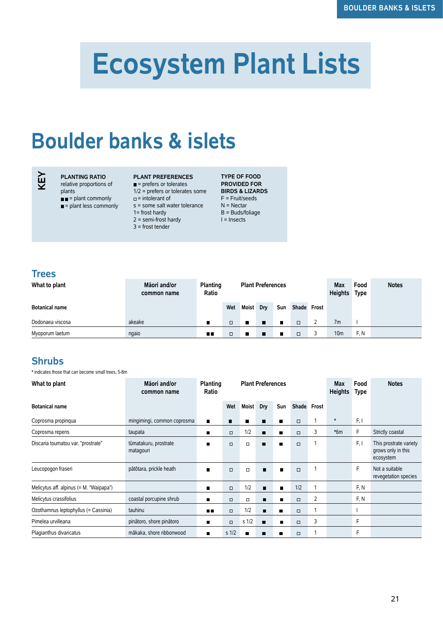# **Ecosystem Plant Lists**

## **Boulder banks & islets**



#### **PLANTING RATIO**

relative proportions of

- plants
- $\blacksquare$  = plant commonly  $\blacksquare$  = plant less commonly
- 

#### **PLANT PREFERENCES**

- $=$  prefers or tolerates
- $=$  intolerant of
- s = some salt water tolerance
- - 1= frost hardy  $2 =$  semi-frost hardy
	- 3 = frost tender

1/2 = prefers or tolerates some **BIRDS & LIZARDS**  F = Fruit/seeds N = Nectar B = Buds/foliage I = Insects

**TYPE OF FOOD PROVIDED FOR** 

#### **Trees**

| What to plant         | Māori and/or<br>common name | Planting<br>Ratio |        |           | <b>Plant Preferences</b> |                |             | <b>Max</b><br><b>Heights</b> | Food<br>Type    | <b>Notes</b> |  |
|-----------------------|-----------------------------|-------------------|--------|-----------|--------------------------|----------------|-------------|------------------------------|-----------------|--------------|--|
| <b>Botanical name</b> |                             |                   | Wet    | Moist Dry |                          | Sun            | Shade Frost |                              |                 |              |  |
| Dodonaea viscosa      | akeake                      |                   | $\Box$ | п         | ×                        | ■              | $\Box$      |                              | 7 <sub>m</sub>  |              |  |
| Myoporum laetum       | ngaio                       | $\blacksquare$    | $\Box$ |           | п                        | $\blacksquare$ | $\Box$      |                              | 10 <sub>m</sub> | F.N          |  |

#### **Shrubs**

\* indicates those that can become small trees, 5-8m

| What to plant                           | Māori and/or<br>common name        | Planting<br>Ratio |                  | <b>Plant Preferences</b> |                |                |             |   | <b>Max</b><br><b>Heights</b> | Food<br><b>Type</b> | <b>Notes</b>                                              |
|-----------------------------------------|------------------------------------|-------------------|------------------|--------------------------|----------------|----------------|-------------|---|------------------------------|---------------------|-----------------------------------------------------------|
| <b>Botanical name</b>                   |                                    |                   | Wet              | <b>Moist</b>             | Dry            | Sun            | Shade Frost |   |                              |                     |                                                           |
| Coprosma propinqua                      | mingimingi, common coprosma        | п                 | п                | п                        | п              | п              | $\Box$      |   | $\ast$                       | F, I                |                                                           |
| Coprosma repens                         | taupata                            | ▬                 | $\Box$           | 1/2                      | п              | п              | $\Box$      | 3 | $*6m$                        | F                   | Strictly coastal                                          |
| Discaria toumatou var. "prostrate"      | tūmatakuru, prostrate<br>matagouri | п                 | $\Box$           | $\Box$                   | п              | п              | $\Box$      | 1 |                              | F, I                | This prostrate variety<br>grows only in this<br>ecosystem |
| Leucopogon fraseri                      | pātōtara, prickle heath            | $\blacksquare$    | $\Box$           | $\Box$                   | п              | $\blacksquare$ | $\Box$      |   |                              | E                   | Not a suitable<br>revegetation species                    |
| Melicytus aff. alpinus (= M. "Waipapa") |                                    | п                 | $\Box$           | 1/2                      | п              | $\blacksquare$ | 1/2         |   |                              | F, N                |                                                           |
| Melicytus crassifolius                  | coastal porcupine shrub            | п                 | $\Box$           | $\Box$                   | п              | п              | $\Box$      | 2 |                              | F, N                |                                                           |
| Ozothamnus leptophyllus (= Cassinia)    | tauhinu                            | n n               | $\Box$           | 1/2                      | п              | п              | $\Box$      |   |                              |                     |                                                           |
| Pimelea urvilleana                      | pinātoro, shore pinātoro           | $\blacksquare$    | $\Box$           | s <sub>1/2</sub>         | $\blacksquare$ | п              | $\Box$      | 3 |                              | F                   |                                                           |
| Plagianthus divaricatus                 | mākaka, shore ribbonwood           | ш                 | s <sub>1/2</sub> | п                        | п              | п              | $\Box$      |   |                              | F                   |                                                           |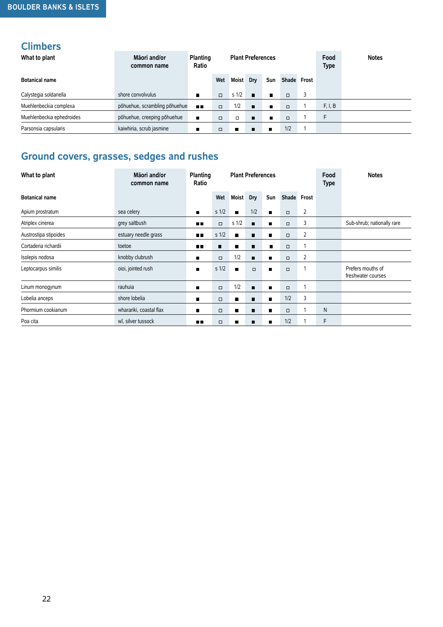### **Climbers**

| What to plant             | Māori and/or<br>common name   | Planting<br>Ratio |        |                  | <b>Plant Preferences</b> |                |             | Food<br><b>Type</b> | <b>Notes</b> |  |
|---------------------------|-------------------------------|-------------------|--------|------------------|--------------------------|----------------|-------------|---------------------|--------------|--|
| <b>Botanical name</b>     |                               |                   | Wet    | <b>Moist</b>     | Dry                      | Sun            | Shade Frost |                     |              |  |
| Calystegia soldanella     | shore convolvulus             | $\blacksquare$    | $\Box$ | s <sub>1/2</sub> | п                        | $\blacksquare$ | $\Box$      |                     |              |  |
| Muehlenbeckia complexa    | põhuehue, scrambling põhuehue | <b>ALC</b>        | $\Box$ | 1/2              | $\blacksquare$           | п              | $\Box$      |                     | F, I, B      |  |
| Muehlenbeckia ephedroides | põhuehue, creeping põhuehue   | п                 | $\Box$ | $\Box$           | $\blacksquare$           | п              | $\Box$      |                     | F            |  |
| Parsonsia capsularis      | kaiwhiria, scrub jasmine      | п                 | $\Box$ | $\blacksquare$   | п                        | $\blacksquare$ | 1/2         |                     |              |  |

## **Ground covers, grasses, sedges and rushes**

| What to plant         | Māori and/or<br><b>Plant Preferences</b><br>Planting<br>Ratio<br>common name |                |                  |                  |                |                | Food<br><b>Type</b> | <b>Notes</b>   |   |                                         |
|-----------------------|------------------------------------------------------------------------------|----------------|------------------|------------------|----------------|----------------|---------------------|----------------|---|-----------------------------------------|
| <b>Botanical name</b> |                                                                              |                | Wet              | <b>Moist</b>     | Dry            | Sun            | Shade Frost         |                |   |                                         |
| Apium prostratum      | sea celery                                                                   | $\blacksquare$ | s <sub>1/2</sub> | $\blacksquare$   | 1/2            | $\blacksquare$ | $\Box$              | $\overline{2}$ |   |                                         |
| Atriplex cinerea      | grey saltbush                                                                | m m            | $\Box$           | s <sub>1/2</sub> | $\blacksquare$ |                | $\Box$              | 3              |   | Sub-shrub; nationally rare              |
| Austrostipa stipoides | estuary needle grass                                                         | $\blacksquare$ | s <sub>1/2</sub> | п                | п              | ш              | $\Box$              | 2              |   |                                         |
| Cortaderia richardii  | toetoe                                                                       | $\blacksquare$ | п                | п                | п              | п              | $\Box$              |                |   |                                         |
| Isolepis nodosa       | knobby clubrush                                                              | п              | $\Box$           | 1/2              | п              | п              | $\Box$              | 2              |   |                                         |
| Leptocarpus similis   | oioi, jointed rush                                                           | $\blacksquare$ | s <sub>1/2</sub> | $\blacksquare$   | $\Box$         | $\blacksquare$ | $\Box$              |                |   | Prefers mouths of<br>freshwater courses |
| Linum monogynum       | rauhuia                                                                      | ш              | $\Box$           | 1/2              | п              | $\blacksquare$ | $\Box$              |                |   |                                         |
| Lobelia anceps        | shore lobelia                                                                | П              | $\Box$           | п                | п              |                | 1/2                 | 3              |   |                                         |
| Phormium cookianum    | wharariki, coastal flax                                                      | П              | $\Box$           | ■                | п              | ■              | $\Box$              |                | N |                                         |
| Poa cita              | wī, silver tussock                                                           | пπ             | $\Box$           | п                | п              | $\blacksquare$ | 1/2                 |                | F |                                         |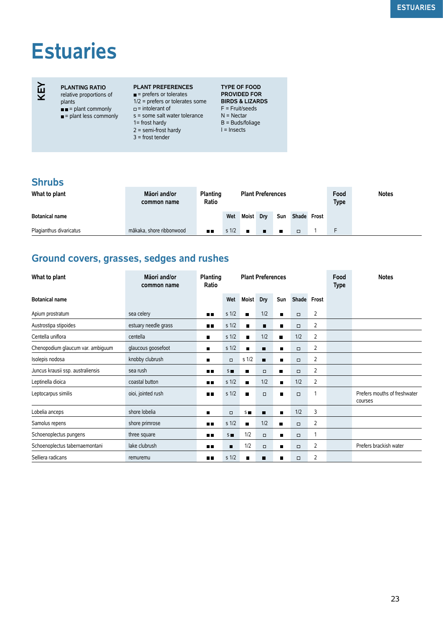# **Estuaries**

## **KEY**

#### **PLANTING RATIO**

relative proportions of plants

- = plant commonly = plant less commonly
- **PLANT PREFERENCES**  $=$  prefers or tolerates
- 
- $\Box$  = intolerant of
- s = some salt water tolerance N = Nectar
- 1= frost hardy
- $2 =$  semi-frost hardy
- 3 = frost tender

1/2 = prefers or tolerates some **BIRDS & LIZARDS TYPE OF FOOD PROVIDED FOR**  F = Fruit/seeds B = Buds/foliage I = Insects

#### **Shrubs**

| What to plant           | Māori and/or<br>common name | <b>Planting</b><br>Ratio | <b>Plant Preferences</b> |              |             |     | Food<br><b>Type</b> | <b>Notes</b> |   |  |
|-------------------------|-----------------------------|--------------------------|--------------------------|--------------|-------------|-----|---------------------|--------------|---|--|
| <b>Botanical name</b>   |                             |                          | Wet                      | <b>Moist</b> | Drv         | Sun | Shade Frost         |              |   |  |
| Plagianthus divaricatus | mākaka, shore ribbonwood    | 8 H                      | s <sub>1/2</sub>         | п            | <b>TEMP</b> |     | $\Box$              |              | F |  |

#### **Ground covers, grasses, sedges and rushes**

| What to plant                     | Māori and/or<br>common name | <b>Planting</b><br>Ratio |                  |                  | <b>Plant Preferences</b> |                |             |                | Food<br><b>Type</b> | <b>Notes</b>                            |
|-----------------------------------|-----------------------------|--------------------------|------------------|------------------|--------------------------|----------------|-------------|----------------|---------------------|-----------------------------------------|
| <b>Botanical name</b>             |                             |                          | Wet              | Moist            | Dry                      | Sun            | Shade Frost |                |                     |                                         |
| Apium prostratum                  | sea celery                  | <b>D D</b>               | s <sub>1/2</sub> | $\blacksquare$   | 1/2                      | $\blacksquare$ | $\Box$      | 2              |                     |                                         |
| Austrostipa stipoides             | estuary needle grass        | 8 E                      | s <sub>1/2</sub> | $\blacksquare$   | п                        | п              | $\Box$      | 2              |                     |                                         |
| Centella uniflora                 | centella                    | п                        | s <sub>1/2</sub> | $\blacksquare$   | 1/2                      | п              | 1/2         | $\overline{2}$ |                     |                                         |
| Chenopodium glaucum var. ambiguum | glaucous goosefoot          |                          | s <sub>1/2</sub> | $\blacksquare$   | п                        | $\blacksquare$ | $\Box$      | $\overline{2}$ |                     |                                         |
| Isolepis nodosa                   | knobby clubrush             | п                        | $\Box$           | s <sub>1/2</sub> | $\blacksquare$           | $\blacksquare$ | $\Box$      | $\overline{2}$ |                     |                                         |
| Juncus krausii ssp. australiensis | sea rush                    | 8 E                      | $S \blacksquare$ | п                | $\Box$                   | п              | $\Box$      | 2              |                     |                                         |
| Leptinella dioica                 | coastal button              | <b>ALC</b>               | s <sub>1/2</sub> | $\blacksquare$   | 1/2                      | $\blacksquare$ | 1/2         | 2              |                     |                                         |
| Leptocarpus similis               | oioi, jointed rush          | п.                       | s <sub>1/2</sub> | $\blacksquare$   | $\Box$                   | $\blacksquare$ | $\Box$      | 1              |                     | Prefers mouths of freshwater<br>courses |
| Lobelia anceps                    | shore lobelia               | п                        | $\Box$           | $S \blacksquare$ | п                        | $\blacksquare$ | 1/2         | 3              |                     |                                         |
| Samolus repens                    | shore primrose              | o۵                       | s <sub>1/2</sub> | п                | 1/2                      | п              | $\Box$      | 2              |                     |                                         |
| Schoenoplectus pungens            | three square                | <b>HI</b>                | $S =$            | 1/2              | $\Box$                   | $\blacksquare$ | $\Box$      |                |                     |                                         |
| Schoenoplectus tabernaemontani    | lake clubrush               | <b>ALC</b>               | $\blacksquare$   | 1/2              | $\Box$                   | $\blacksquare$ | $\Box$      | 2              |                     | Prefers brackish water                  |
| Selliera radicans                 | remuremu                    | m m                      | s <sub>1/2</sub> | $\blacksquare$   | п                        | ■              | $\Box$      | $\overline{2}$ |                     |                                         |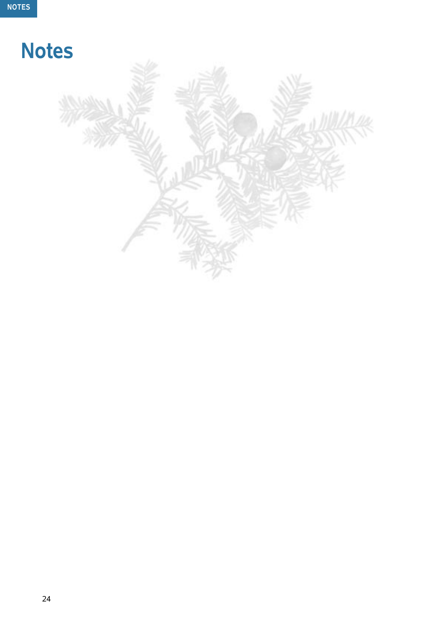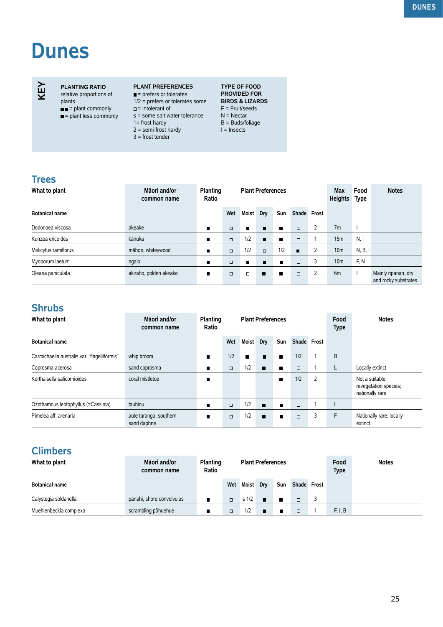# **Dunes**

**PLANTING RATIO** relative proportions of

plants

 $\blacksquare$  = plant commonly = plant less commonly

#### **PLANT PREFERENCES**

- $=$  prefers or tolerates 1/2 = prefers or tolerates some
- $\Box$  = intolerant of
- s = some salt water tolerance
- 1= frost hardy  $2 =$  semi-frost hardy
- 3 = frost tender

**TYPE OF FOOD PROVIDED FOR BIRDS & LIZARDS**  F = Fruit/seeds N = Nectar B = Buds/foliage I = Insects

#### **Trees**

**KEY**

| What to plant         | Māori and/or<br>Planting<br><b>Plant Preferences</b><br>Ratio<br>common name |                |        |                |        |                |                | <b>Max</b><br><b>Heights</b> | Food<br>Type    | <b>Notes</b> |                                              |
|-----------------------|------------------------------------------------------------------------------|----------------|--------|----------------|--------|----------------|----------------|------------------------------|-----------------|--------------|----------------------------------------------|
| <b>Botanical name</b> |                                                                              |                | Wet    | <b>Moist</b>   | Dry    | Sun            |                | Shade Frost                  |                 |              |                                              |
| Dodonaea viscosa      | akeake                                                                       | п              | $\Box$ | $\blacksquare$ | п      | п              | $\Box$         | $\overline{2}$               | 7 <sub>m</sub>  |              |                                              |
| Kunzea ericoides      | kānuka                                                                       | $\blacksquare$ | $\Box$ | 1/2            | п      | п              | $\Box$         |                              | 15m             | N, I         |                                              |
| Melicytus ramiflorus  | māhoe, whiteywood                                                            | $\blacksquare$ | $\Box$ | 1/2            | $\Box$ | 1/2            | $\blacksquare$ | 2                            | 10 <sub>m</sub> | N, B, I      |                                              |
| Myoporum laetum       | ngaio                                                                        | п              | $\Box$ | $\blacksquare$ | п      | $\blacksquare$ | $\Box$         | 3                            | 10 <sub>m</sub> | F.N          |                                              |
| Olearia paniculata    | akiraho, golden akeake                                                       | п              | $\Box$ | $\Box$         | п      | П              | $\Box$         | $\overline{2}$               | 6 <sub>m</sub>  |              | Mainly riparian, dry<br>and rocky substrates |

#### **Shrubs**

| What to plant                                | Māori and/or<br>common name           | Planting<br>Ratio |        |              | <b>Plant Preferences</b> |                |             |                | Food<br><b>Type</b> | <b>Notes</b>                                               |
|----------------------------------------------|---------------------------------------|-------------------|--------|--------------|--------------------------|----------------|-------------|----------------|---------------------|------------------------------------------------------------|
| <b>Botanical name</b>                        |                                       |                   | Wet    | <b>Moist</b> | Dry                      | Sun            | Shade Frost |                |                     |                                                            |
| Carmichaelia australis var. "flagelliformis" | whip broom                            | $\blacksquare$    | 1/2    | п            | п                        | п              | 1/2         |                | B                   |                                                            |
| Coprosma acerosa                             | sand coprosma                         | п                 | $\Box$ | 1/2          | $\blacksquare$           | $\blacksquare$ | $\Box$      |                | L                   | Locally extinct                                            |
| Korthalsella salicornioides                  | coral mistletoe                       |                   |        |              |                          | $\blacksquare$ | 1/2         | $\overline{2}$ |                     | Not a suitable<br>revegetation species;<br>nationally rare |
| Ozothamnus leptophyllus (=Cassinia)          | tauhinu                               | $\blacksquare$    | $\Box$ | 1/2          | $\blacksquare$           | $\blacksquare$ | $\Box$      |                |                     |                                                            |
| Pimelea aff. arenaria                        | aute taranga, southern<br>sand daphne | $\blacksquare$    | $\Box$ | 1/2          | $\blacksquare$           | $\blacksquare$ | $\Box$      | 3              | F                   | Nationally rare; locally<br>extinct                        |

#### **Climbers**

| What to plant          | Māori and/or<br>common name | <b>Planting</b><br>Ratio |        |                  | <b>Plant Preferences</b> |                |             | Food<br><b>Type</b> | <b>Notes</b> |
|------------------------|-----------------------------|--------------------------|--------|------------------|--------------------------|----------------|-------------|---------------------|--------------|
| <b>Botanical name</b>  |                             |                          | Wet    | <b>Moist</b>     | Drv                      | Sun            | Shade Frost |                     |              |
| Calystegia soldanella  | panahi, shore convolvulus   | $\blacksquare$           | $\Box$ | s <sub>1/2</sub> | $\blacksquare$           | $\blacksquare$ | $\Box$      |                     |              |
| Muehlenbeckia complexa | scrambling põhuehue         | $\blacksquare$           | $\Box$ | 1/2              | $\blacksquare$           |                | $\Box$      | F, I, B             |              |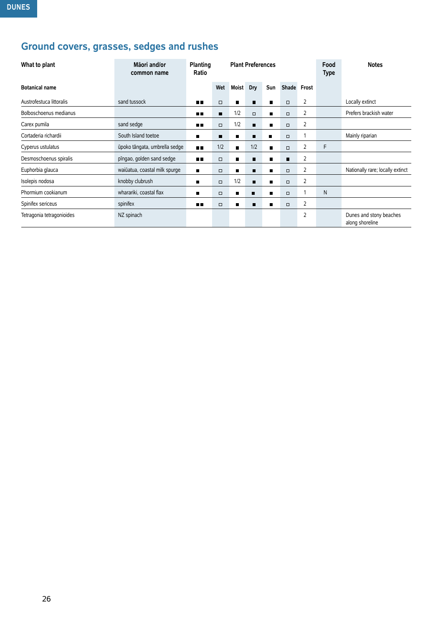## **Ground covers, grasses, sedges and rushes**

| What to plant             | Māori and/or<br>common name   | <b>Planting</b><br>Ratio |                | <b>Plant Preferences</b> |        |                |             | Food<br><b>Type</b> | <b>Notes</b> |                                            |
|---------------------------|-------------------------------|--------------------------|----------------|--------------------------|--------|----------------|-------------|---------------------|--------------|--------------------------------------------|
| <b>Botanical name</b>     |                               |                          | Wet            | <b>Moist</b>             | Dry    | Sun            | Shade Frost |                     |              |                                            |
| Austrofestuca littoralis  | sand tussock                  | m m                      | $\Box$         | п                        | п      | $\blacksquare$ | $\Box$      | 2                   |              | Locally extinct                            |
| Bolboschoenus medianus    |                               | ПΠ                       | $\blacksquare$ | 1/2                      | $\Box$ | п              | $\Box$      | 2                   |              | Prefers brackish water                     |
| Carex pumila              | sand sedge                    | mп                       | $\Box$         | 1/2                      | п      | $\blacksquare$ | $\Box$      | $\overline{2}$      |              |                                            |
| Cortaderia richardii      | South Island toetoe           | ■                        |                | п                        | п      | п              | $\Box$      |                     |              | Mainly riparian                            |
| Cyperus ustulatus         | ūpoko tāngata, umbrella sedge | <b>HR</b>                | 1/2            | п                        | 1/2    | $\blacksquare$ | $\Box$      | 2                   | F            |                                            |
| Desmoschoenus spiralis    | pīngao, golden sand sedge     | <b>HR</b>                | $\Box$         | п                        | п      | $\blacksquare$ | п           | 2                   |              |                                            |
| Euphorbia glauca          | waiūatua, coastal milk spurge | $\blacksquare$           | $\Box$         | п                        | п      | $\blacksquare$ | $\Box$      | 2                   |              | Nationally rare; locally extinct           |
| Isolepis nodosa           | knobby clubrush               | ш                        | $\Box$         | 1/2                      | п      | $\blacksquare$ | $\Box$      | 2                   |              |                                            |
| Phormium cookianum        | wharariki, coastal flax       | ■                        | $\Box$         | п                        | п      | $\blacksquare$ | $\Box$      |                     | N            |                                            |
| Spinifex sericeus         | spinifex                      | m m                      | $\Box$         | $\blacksquare$           | п      | $\blacksquare$ | $\Box$      | $\overline{2}$      |              |                                            |
| Tetragonia tetragonioides | NZ spinach                    |                          |                |                          |        |                |             | $\overline{2}$      |              | Dunes and stony beaches<br>along shoreline |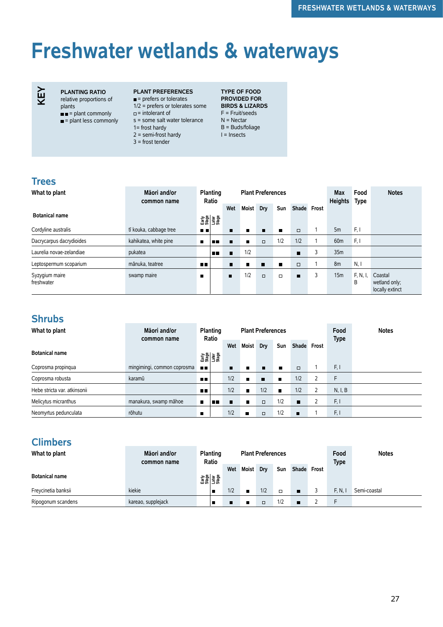# **Freshwater wetlands & waterways**



**PLANTING RATIO** relative proportions of

- plants  $\blacksquare$  = plant commonly
- $\blacksquare$  = plant less commonly
- **PLANT PREFERENCES**  $\blacksquare$  = prefers or tolerates
- 1/2 = prefers or tolerates some
- $\Box$  = intolerant of
- s = some salt water tolerance
- 1= frost hardy  $2 =$  semi-frost hardy
- 3 = frost tender

**TYPE OF FOOD PROVIDED FOR BIRDS & LIZARDS**  F = Fruit/seeds N = Nectar B = Buds/foliage I = Insects

#### **Trees**

| What to plant                | Māori and/or<br>common name | Planting<br>Ratio |     |                |                | <b>Plant Preferences</b> |                |                | Max<br><b>Heights</b> | Food<br><b>Type</b> | <b>Notes</b> |                                             |
|------------------------------|-----------------------------|-------------------|-----|----------------|----------------|--------------------------|----------------|----------------|-----------------------|---------------------|--------------|---------------------------------------------|
| <b>Botanical name</b>        |                             |                   |     | Wet            | <b>Moist</b>   | Dry                      | Sun            | Shade Frost    |                       |                     |              |                                             |
|                              |                             | 함을<br>대한민국<br>고래  |     |                |                |                          |                |                |                       |                     |              |                                             |
| Cordyline australis          | tī kouka, cabbage tree      | $\blacksquare$    |     |                | П              | $\blacksquare$           | $\blacksquare$ | $\Box$         |                       | 5m                  | F.I          |                                             |
| Dacrycarpus dacrydioides     | kahikatea, white pine       | $\blacksquare$    | 6 H | п              | $\blacksquare$ | $\Box$                   | 1/2            | 1/2            |                       | 60 <sub>m</sub>     | F, I         |                                             |
| Laurelia novae-zelandiae     | pukatea                     |                   | mп  | $\blacksquare$ | 1/2            |                          |                | $\blacksquare$ | 3                     | 35m                 |              |                                             |
| Leptospermum scoparium       | mānuka, teatree             | n n               |     |                | П              | п                        | п              | $\Box$         |                       | 8m                  | N, I         |                                             |
| Syzygium maire<br>freshwater | swamp maire                 | $\blacksquare$    |     | $\blacksquare$ | 1/2            | $\Box$                   | $\Box$         | $\blacksquare$ | 3                     | 15m                 | F, N,<br>B   | Coastal<br>wetland only;<br>locally extinct |

#### **Shrubs**

| What to plant                | Māori and/or<br>common name |                | <b>Planting</b>        |     |                | <b>Plant Preferences</b> |                |                |                | Food<br><b>Type</b> | <b>Notes</b> |
|------------------------------|-----------------------------|----------------|------------------------|-----|----------------|--------------------------|----------------|----------------|----------------|---------------------|--------------|
|                              |                             |                | Ratio                  |     | Moist          | Dry                      | Sun            | Shade Frost    |                |                     |              |
| <b>Botanical name</b>        |                             |                | 아이 이 사람<br>도시<br>도시 도시 |     |                |                          |                |                |                |                     |              |
| Coprosma propingua           | mingimingi, common coprosma | <b>THE</b>     |                        | п   | П              | п                        | п              | $\Box$         |                | F, I                |              |
| Coprosma robusta             | karamū                      | <b>ALC</b>     |                        | 1/2 | $\blacksquare$ | п                        | $\blacksquare$ | 1/2            | $\overline{2}$ | F.                  |              |
| Hebe stricta var. atkinsonii |                             | n n            |                        | 1/2 | $\blacksquare$ | 1/2                      | П              | 1/2            |                | N, I, B             |              |
| Melicytus micranthus         | manakura, swamp māhoe       | $\blacksquare$ | m                      | п   | $\blacksquare$ | $\Box$                   | 1/2            | $\blacksquare$ |                | F, I                |              |
| Neomyrtus pedunculata        | rōhutu                      | п              |                        | 1/2 | п              | $\Box$                   | 1/2            | п              |                | F.I                 |              |

#### **Climbers**

| What to plant         | Māori and/or<br>common name | Ratio                        | <b>Planting</b> |     | <b>Plant Preferences</b> |        |        |                |  | Food<br><b>Type</b> | <b>Notes</b> |
|-----------------------|-----------------------------|------------------------------|-----------------|-----|--------------------------|--------|--------|----------------|--|---------------------|--------------|
| <b>Botanical name</b> |                             | emer<br>1988<br>Esta<br>1988 |                 | Wet | <b>Moist</b>             | Dry    | Sun    | Shade Frost    |  |                     |              |
| Freycinetia banksii   | kiekie                      |                              | п               | 1/2 | $\blacksquare$           | 1/2    | $\Box$ | $\blacksquare$ |  | F. N.               | Semi-coastal |
| Ripogonum scandens    | kareao, supplejack          |                              | Е               |     | П                        | $\Box$ | 1/2    | $\blacksquare$ |  |                     |              |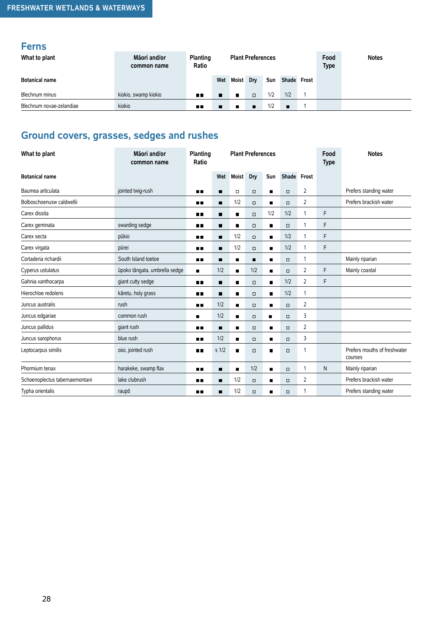#### **Ferns**

| What to plant            | Māori and/or<br>common name | <b>Planting</b><br>Ratio |     | <b>Plant Preferences</b>   |        |             |     |  |  | <b>Notes</b> |
|--------------------------|-----------------------------|--------------------------|-----|----------------------------|--------|-------------|-----|--|--|--------------|
| <b>Botanical name</b>    |                             |                          | Wet | <b>Moist</b><br>Sun<br>Dry |        | Shade Frost |     |  |  |              |
| Blechnum minus           | kiokio, swamp kiokio        | $\blacksquare$           | п   | $\blacksquare$             | $\Box$ | 1/2         | 1/2 |  |  |              |
| Blechnum novae-zelandiae | kiokio                      | пπ                       | п   | 1/2<br>п<br>п<br>п         |        |             |     |  |  |              |

## **Ground covers, grasses, sedges and rushes**

| What to plant                  | Māori and/or<br>common name   | Planting<br>Ratio |                  |                | <b>Plant Preferences</b> |                |             |                | Food<br><b>Type</b> | <b>Notes</b>                            |
|--------------------------------|-------------------------------|-------------------|------------------|----------------|--------------------------|----------------|-------------|----------------|---------------------|-----------------------------------------|
| <b>Botanical name</b>          |                               |                   | Wet              | <b>Moist</b>   | Dry                      | Sun            | Shade Frost |                |                     |                                         |
| Baumea articulata              | jointed twig-rush             | 66 O              | п                | $\Box$         | $\Box$                   | $\blacksquare$ | $\Box$      | 2              |                     | Prefers standing water                  |
| Bolboschoenusw caldwellii      |                               | пπ                |                  | 1/2            | $\Box$                   | П              | $\Box$      | $\overline{2}$ |                     | Prefers brackish water                  |
| Carex dissita                  |                               | . .               | $\blacksquare$   | $\blacksquare$ | $\Box$                   | 1/2            | 1/2         | 1              | F                   |                                         |
| Carex geminata                 | swarding sedge                | ■■                | п                | п              | $\Box$                   | П              | $\Box$      | 1              | F                   |                                         |
| Carex secta                    | pūkio                         | . .               | п                | 1/2            | $\Box$                   | $\blacksquare$ | 1/2         | 1              | F                   |                                         |
| Carex virgata                  | pūrei                         | . .               | п                | 1/2            | $\Box$                   | п              | 1/2         | 1              | F                   |                                         |
| Cortaderia richardii           | South Island toetoe           | ■■                | $\blacksquare$   | $\blacksquare$ | $\blacksquare$           | $\blacksquare$ | $\Box$      | 1              |                     | Mainly riparian                         |
| Cyperus ustulatus              | ūpoko tāngata, umbrella sedge | п                 | 1/2              | $\blacksquare$ | 1/2                      | $\blacksquare$ | $\Box$      | 2              | F                   | Mainly coastal                          |
| Gahnia xanthocarpa             | giant cutty sedge             | 8 B               | п                | $\blacksquare$ | $\Box$                   | $\blacksquare$ | 1/2         | 2              | F                   |                                         |
| Hierochloe redolens            | kāretu, holy grass            | ∎∎                | $\blacksquare$   | $\blacksquare$ | $\Box$                   | $\blacksquare$ | 1/2         | 1              |                     |                                         |
| Juncus australis               | rush                          | . .               | 1/2              | $\blacksquare$ | $\Box$                   | п              | $\Box$      | 2              |                     |                                         |
| Juncus edgariae                | common rush                   | $\blacksquare$    | 1/2              | $\blacksquare$ | $\Box$                   | п              | $\Box$      | 3              |                     |                                         |
| Juncus pallidus                | giant rush                    | ∎∎                | п                | п              | $\Box$                   | $\blacksquare$ | $\Box$      | 2              |                     |                                         |
| Juncus sarophorus              | blue rush                     | 8 B               | 1/2              | $\blacksquare$ | $\Box$                   | ■              | $\Box$      | 3              |                     |                                         |
| Leptocarpus similis            | oioi, jointed rush            | . .               | s <sub>1/2</sub> | $\blacksquare$ | $\Box$                   | п              | $\Box$      | 1              |                     | Prefers mouths of freshwater<br>courses |
| Phormium tenax                 | harakeke, swamp flax          | $\blacksquare$    | $\blacksquare$   | $\blacksquare$ | 1/2                      | $\blacksquare$ | $\Box$      | 1              | N                   | Mainly riparian                         |
| Schoenoplectus tabernaemontani | lake clubrush                 | . .               | п                | 1/2            | $\Box$                   | $\blacksquare$ | $\Box$      | 2              |                     | Prefers brackish water                  |
| Typha orientalis               | raupō                         | ■■                | п                | 1/2            | $\Box$                   | П              | $\Box$      | 1              |                     | Prefers standing water                  |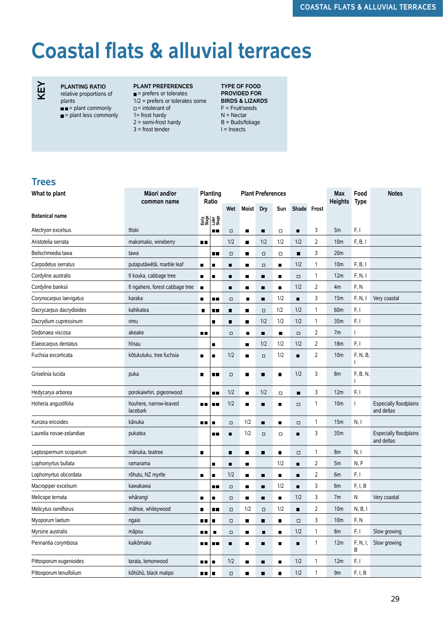## **Coastal flats & alluvial terraces**

## **KEY**

#### **PLANTING RATIO**

relative proportions of plants

- $\blacksquare$  = plant commonly = plant less commonly
	-

#### **PLANT PREFERENCES**

- $\blacksquare$  = prefers or tolerates 1/2 = prefers or tolerates some  $\Box$  = intolerant of
- 1= frost hardy  $2 =$  semi-frost hardy
- 3 = frost tender

**TYPE OF FOOD PROVIDED FOR BIRDS & LIZARDS**  F = Fruit/seeds N = Nectar B = Buds/foliage I = Insects

#### **Trees**

| What to plant            | Māori and/or<br>common name        | Planting<br>Ratio |                 |                | <b>Plant Preferences</b> |                |                |                | <b>Max</b><br><b>Heights</b> | Food<br><b>Type</b> | <b>Notes</b>  |                                             |
|--------------------------|------------------------------------|-------------------|-----------------|----------------|--------------------------|----------------|----------------|----------------|------------------------------|---------------------|---------------|---------------------------------------------|
|                          |                                    |                   |                 | Wet            | <b>Moist</b>             | Dry            | Sun            | Shade Frost    |                              |                     |               |                                             |
| <b>Botanical name</b>    |                                    |                   | 함을<br>그룹<br>그룹을 |                |                          |                |                |                |                              |                     |               |                                             |
| Alectryon excelsus       | tītoki                             |                   | . .             | $\Box$         | п                        | ٠              | $\Box$         | $\blacksquare$ | 3                            | 5m                  | F, I          |                                             |
| Aristotelia serrata      | makomako, wineberry                | 8 E               |                 | 1/2            | $\blacksquare$           | 1/2            | 1/2            | 1/2            | 2                            | 10 <sub>m</sub>     | F, B, I       |                                             |
| Beilschmiedia tawa       | tawa                               |                   | ∎∎              | $\Box$         | п                        | $\Box$         | $\Box$         | п              | 3                            | 20 <sub>m</sub>     |               |                                             |
| Carpodetus serratus      | putaputāwētā, marble leaf          | $\blacksquare$    | п               | ٠              | п                        | $\Box$         | ٠              | 1/2            | 1                            | 10 <sub>m</sub>     | F, B, I       |                                             |
| Cordyline australis      | tī kouka, cabbage tree             | $\blacksquare$    | ■               | $\blacksquare$ | п                        | п              | $\blacksquare$ | $\Box$         | 1                            | 12m                 | F, N, I       |                                             |
| Cordyline banksii        | tī ngahere, forest cabbage tree    | $\blacksquare$    |                 | п              | п                        | $\blacksquare$ | П              | 1/2            | 2                            | 4m                  | F, N          |                                             |
| Corynocarpus laevigatus  | karaka                             | п                 | . .             | $\Box$         | $\blacksquare$           | $\blacksquare$ | 1/2            | Ξ              | 3                            | 15m                 | F, N, I       | Very coastal                                |
| Dacrycarpus dacrydioides | kahikatea                          | $\blacksquare$    | ∎∎              | $\blacksquare$ | п                        | $\Box$         | 1/2            | 1/2            | 1                            | 60 <sub>m</sub>     | F, I          |                                             |
| Dacrydium cupressinum    | rimu                               |                   |                 | ■              | п                        | 1/2            | 1/2            | 1/2            | 1                            | 35m                 | F, I          |                                             |
| Dodonaea viscosa         | akeake                             | ∎∎                |                 | $\Box$         | $\blacksquare$           | п              | $\blacksquare$ | $\Box$         | 2                            | 7m                  | T             |                                             |
| Elaeocarpus dentatus     | hīnau                              |                   | п               |                | п                        | 1/2            | 1/2            | 1/2            | 2                            | 18 <sub>m</sub>     | F, I          |                                             |
| Fuchsia excorticata      | kōtukutuku, tree fuchsia           | п                 | п               | 1/2            | ■                        | $\Box$         | 1/2            | п              | 2                            | 10 <sub>m</sub>     | F, N, B,<br>T |                                             |
| Griselinia lucida        | puka                               | $\blacksquare$    | п.              | $\Box$         | п                        | $\blacksquare$ | $\blacksquare$ | 1/2            | 3                            | 8m                  | F, B, N,<br>T |                                             |
| Hedycarya arborea        | porokaiwhiri, pigeonwood           |                   | П.              | 1/2            | ■                        | 1/2            | $\Box$         | $\blacksquare$ | 3                            | 12m                 | F, I          |                                             |
| Hoheria angustifolia     | houhere, narrow-leaved<br>lacebark | n 11              | п.              | 1/2            | п                        | $\blacksquare$ | ■              | $\Box$         | 1                            | 10 <sub>m</sub>     | L             | <b>Especially floodplains</b><br>and deltas |
| Kunzea ericoides         | kānuka                             | пп                | г               | $\Box$         | 1/2                      | $\blacksquare$ | ■              | $\Box$         | 1                            | 15m                 | N, I          |                                             |
| Laurelia novae-zelandiae | pukatea                            |                   | п п             | ٠              | 1/2                      | $\Box$         | $\Box$         | п              | 3                            | 35m                 |               | Especially floodplains<br>and deltas        |
| Leptospermum scoparium   | mānuka, teatree                    | $\blacksquare$    |                 | ٠              | п                        | ٠              | ٠              | $\Box$         | 1                            | 8m                  | N, I          |                                             |
| Lophomyrtus bullata      | ramarama                           |                   | п               | $\blacksquare$ | п                        |                | 1/2            | П              | 2                            | 5m                  | N, F          |                                             |
| Lophomyrtus obcordata    | rōhutu, NZ myrtle                  | п                 |                 | 1/2            | п                        | п              | π              | П              | 2                            | 6m                  | F, I          |                                             |
| Macropiper excelsum      | kawakawa                           |                   | 8 B             | $\Box$         | п                        | $\blacksquare$ | 1/2            | $\blacksquare$ | 3                            | 6m                  | F, I, B       |                                             |
| Melicope ternata         | whārangi                           | ■                 | п               | $\Box$         | п                        | ٠              | π              | 1/2            | 3                            | 7m                  | N             | Very coastal                                |
| Melicytus ramiflorus     | māhoe, whiteywood                  | ■                 | . .             | $\Box$         | 1/2                      | $\Box$         | 1/2            | П              | 2                            | 10 <sub>m</sub>     | N, B, I       |                                             |
| Myoporum laetum          | ngaio                              | . .               | п               | $\Box$         | п                        | $\blacksquare$ | П              | $\Box$         | 3                            | 10 <sub>m</sub>     | F, N          |                                             |
| Myrsine australis        | māpou                              | . .               | $\blacksquare$  | $\Box$         | п                        | п              | $\blacksquare$ | 1/2            | 1                            | 8m                  | F, I          | Slow growing                                |
| Pennantia corymbosa      | kaikōmako                          | п.                | п.              | п              | п                        | $\blacksquare$ | $\blacksquare$ | Ξ              | 1                            | 12m                 | F, N, I,<br>B | Slow growing                                |
| Pittosporum eugenioides  | tarata, lemonwood                  | 88                | ▎▆              | 1/2            | п                        | ٠              | $\blacksquare$ | 1/2            | 1                            | 12m                 | F, I          |                                             |
| Pittosporum tenuifolium  | kōhūhū, black matipo               | ш.                | $\blacksquare$  | $\Box$         | п                        | $\blacksquare$ | $\blacksquare$ | 1/2            | 1                            | 9m                  | F, I, B       |                                             |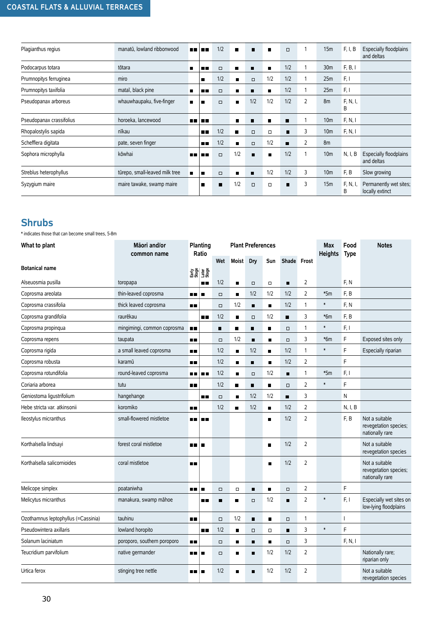#### **COASTAL FLATS & ALLUVIAL TERRACES**

| Plagianthus regius       | manatū, lowland ribbonwood     |                | 88 H H      | 1/2            | $\blacksquare$ | п              | $\blacksquare$ | $\Box$ | 1              | 15m             | F, I, B       | <b>Especially floodplains</b><br>and deltas |
|--------------------------|--------------------------------|----------------|-------------|----------------|----------------|----------------|----------------|--------|----------------|-----------------|---------------|---------------------------------------------|
|                          |                                |                |             |                |                |                |                |        |                |                 |               |                                             |
| Podocarpus totara        | tōtara                         | $\blacksquare$ | п п         | $\Box$         | п              | п              | $\blacksquare$ | 1/2    |                | 30 <sub>m</sub> | F, B, I       |                                             |
| Prumnopitys ferruginea   | miro                           |                | п           | 1/2            | п              | $\Box$         | 1/2            | 1/2    |                | 25m             | F, I          |                                             |
| Prumnopitys taxifolia    | mataī, black pine              | п              | nп          | $\Box$         | п              | п              | п              | 1/2    |                | 25m             | F, I          |                                             |
| Pseudopanax arboreus     | whauwhaupaku, five-finger      | $\blacksquare$ | Г           | $\Box$         | $\blacksquare$ | 1/2            | 1/2            | 1/2    | $\overline{2}$ | 8 <sub>m</sub>  | F, N, I,<br>В |                                             |
| Pseudopanax crassifolius | horoeka, lancewood             |                | 1 m m       |                | $\blacksquare$ | п              | п              | п      |                | 10 <sub>m</sub> | F, N, I       |                                             |
| Rhopalostylis sapida     | nīkau                          |                | <b>A 11</b> | 1/2            | $\blacksquare$ | $\Box$         | $\Box$         | п      | 3              | 10 <sub>m</sub> | F, N, I       |                                             |
| Schefflera digitata      | pate, seven finger             |                | <b>ALC</b>  | 1/2            | $\blacksquare$ | $\Box$         | 1/2            | ▬      | 2              | 8m              |               |                                             |
| Sophora microphylla      | kōwhai                         | ш              | m           | $\Box$         | 1/2            | п              | $\blacksquare$ | 1/2    | 1              | 10 <sub>m</sub> | N, I, B       | Especially floodplains<br>and deltas        |
| Streblus heterophyllus   | tūrepo, small-leaved milk tree | $\blacksquare$ | п           | $\Box$         | п              | $\blacksquare$ | 1/2            | 1/2    | 3              | 10 <sub>m</sub> | F, B          | Slow growing                                |
| Syzygium maire           | maire tawake, swamp maire      |                | п           | $\blacksquare$ | 1/2            | $\Box$         | $\Box$         | п      | 3              | 15m             | F, N, I,<br>B | Permanently wet sites;<br>locally extinct   |

#### **Shrubs**

\* indicates those that can become small trees, 5-8m

| What to plant                       | Māori and/or<br>common name | Planting<br>Ratio     | <b>Plant Preferences</b> |                |                |                |                |                | <b>Max</b><br><b>Heights</b> | Food<br><b>Type</b> | <b>Notes</b>                                               |
|-------------------------------------|-----------------------------|-----------------------|--------------------------|----------------|----------------|----------------|----------------|----------------|------------------------------|---------------------|------------------------------------------------------------|
|                                     |                             |                       | Wet                      | Moist          | Dry            | Sun            | Shade Frost    |                |                              |                     |                                                            |
| <b>Botanical name</b>               |                             | 함을<br>대한 호텔<br>프랑스    |                          |                |                |                |                |                |                              |                     |                                                            |
| Alseuosmia pusilla                  | toropapa                    | <b>. .</b>            | 1/2                      | $\blacksquare$ | $\Box$         | $\Box$         | $\blacksquare$ | 2              |                              | F, N                |                                                            |
| Coprosma areolata                   | thin-leaved coprosma        | 88<br>п               | $\Box$                   | $\blacksquare$ | 1/2            | 1/2            | 1/2            | $\overline{2}$ | $*5m$                        | F, B                |                                                            |
| Coprosma crassifolia                | thick leaved coprosma       | ■■                    | $\Box$                   | 1/2            | $\blacksquare$ | п              | 1/2            | $\mathbf{1}$   | $\ast$                       | F, N                |                                                            |
| Coprosma grandifolia                | raurēkau                    | 8 H                   | 1/2                      | $\blacksquare$ | $\Box$         | 1/2            | $\blacksquare$ | 3              | $*6m$                        | F, B                |                                                            |
| Coprosma propinqua                  | mingimingi, common coprosma | $\blacksquare$        | П                        | П              | Ξ              | $\blacksquare$ | $\Box$         | $\mathbf{1}$   | $\ast$                       | F, I                |                                                            |
| Coprosma repens                     | taupata                     | $\blacksquare$        | $\Box$                   | 1/2            | $\blacksquare$ | $\blacksquare$ | $\Box$         | 3              | $*6m$                        | F                   | Exposed sites only                                         |
| Coprosma rigida                     | a small leaved coprosma     | 8 E                   | 1/2                      | $\blacksquare$ | 1/2            | $\blacksquare$ | 1/2            | $\mathbf{1}$   | $\ast$                       | F                   | Especially riparian                                        |
| Coprosma robusta                    | karamū                      | n n                   | 1/2                      | $\blacksquare$ | П              | ٠              | 1/2            | $\overline{2}$ |                              | F                   |                                                            |
| Coprosma rotundifolia               | round-leaved coprosma       | n n<br>n n            | 1/2                      | $\blacksquare$ | $\Box$         | 1/2            | п              | $\mathbf{1}$   | $*5m$                        | F, I                |                                                            |
| Coriaria arborea                    | tutu                        | n٠                    | 1/2                      | $\blacksquare$ | $\blacksquare$ | $\blacksquare$ | $\Box$         | $\overline{2}$ | $\ast$                       | F                   |                                                            |
| Geniostoma ligustrifolium           | hangehange                  | . .                   | $\Box$                   | $\blacksquare$ | 1/2            | 1/2            | $\blacksquare$ | 3              |                              | N                   |                                                            |
| Hebe stricta var. atkinsonii        | koromiko                    | O٣                    | 1/2                      | П              | 1/2            | $\blacksquare$ | 1/2            | $\overline{2}$ |                              | N, I, B             |                                                            |
| Ileostylus micranthus               | small-flowered mistletoe    | o p<br>n 11           |                          |                |                | ■              | 1/2            | $\overline{2}$ |                              | F, B                | Not a suitable<br>revegetation species;<br>nationally rare |
| Korthalsella lindsayi               | forest coral mistletoe      | m m<br>$\blacksquare$ |                          |                |                | $\blacksquare$ | 1/2            | $\overline{2}$ |                              |                     | Not a suitable<br>revegetation species                     |
| Korthalsella salicornioides         | coral mistletoe             | ПF                    |                          |                |                | п              | 1/2            | $\overline{2}$ |                              |                     | Not a suitable<br>revegetation species;<br>nationally rare |
| Melicope simplex                    | poataniwha                  | ПĦ<br>г               | $\Box$                   | $\Box$         | $\blacksquare$ | $\blacksquare$ | $\Box$         | $\overline{2}$ |                              | F                   |                                                            |
| Melicytus micranthus                | manakura, swamp māhoe       | n 11                  | п                        | г              | $\Box$         | 1/2            | п              | $\overline{2}$ | $\ast$                       | F, I                | Especially wet sites on<br>low-lying floodplains           |
| Ozothamnus leptophyllus (=Cassinia) | tauhinu                     | œ                     | $\Box$                   | 1/2            | $\blacksquare$ | $\blacksquare$ | $\Box$         | $\mathbf{1}$   |                              |                     |                                                            |
| Pseudowintera axillaris             | lowland horopito            | <b>H H</b>            | 1/2                      | $\blacksquare$ | $\Box$         | $\Box$         | п              | 3              | $\ast$                       | F                   |                                                            |
| Solanum laciniatum                  | poroporo, southern poroporo | $\blacksquare$        | $\Box$                   | $\blacksquare$ | $\blacksquare$ | $\blacksquare$ | $\Box$         | 3              |                              | F, N, I             |                                                            |
| Teucridium parvifolium              | native germander            | n n<br>П              | $\Box$                   | П              | $\blacksquare$ | 1/2            | 1/2            | $\overline{2}$ |                              |                     | Nationally rare;<br>riparian only                          |
| Urtica ferox                        | stinging tree nettle        | nп<br>п               | 1/2                      | п              | п              | 1/2            | 1/2            | $\overline{2}$ |                              |                     | Not a suitable<br>revegetation species                     |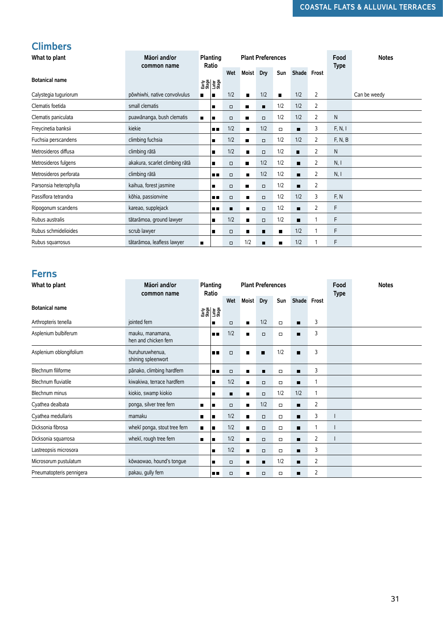#### **Climbers**

| What to plant          | Māori and/or<br>common name    |                | Planting<br>Ratio |        |                | <b>Plant Preferences</b> |                |                |                | Food<br><b>Type</b> | <b>Notes</b> |
|------------------------|--------------------------------|----------------|-------------------|--------|----------------|--------------------------|----------------|----------------|----------------|---------------------|--------------|
|                        |                                |                |                   | Wet    | Moist          | Dry                      | Sun            | Shade Frost    |                |                     |              |
| <b>Botanical name</b>  |                                |                | 요청<br>19일<br>19일  |        |                |                          |                |                |                |                     |              |
| Calystegia tuguriorum  | pōwhiwhi, native convolvulus   | $\blacksquare$ | $\blacksquare$    | 1/2    | $\blacksquare$ | 1/2                      | $\blacksquare$ | 1/2            | 2              |                     | Can be weedy |
| Clematis foetida       | small clematis                 |                | п                 | $\Box$ | п              | п                        | 1/2            | 1/2            | 2              |                     |              |
| Clematis paniculata    | puawānanga, bush clematis      | $\blacksquare$ | г                 | $\Box$ | п              | $\Box$                   | 1/2            | 1/2            | $\overline{2}$ | N                   |              |
| Freycinetia banksii    | kiekie                         |                | <b>BB</b>         | 1/2    | $\blacksquare$ | 1/2                      | $\Box$         | $\blacksquare$ | 3              | F, N, I             |              |
| Fuchsia perscandens    | climbing fuchsia               |                | п                 | 1/2    | $\blacksquare$ | $\Box$                   | 1/2            | 1/2            | 2              | F, N, B             |              |
| Metrosideros diffusa   | climbing rātā                  |                | п                 | 1/2    | $\blacksquare$ | $\Box$                   | 1/2            | п              | 2              | N                   |              |
| Metrosideros fulgens   | akakura, scarlet climbing rātā |                | п                 | $\Box$ | п              | 1/2                      | 1/2            | $\blacksquare$ | 2              | N, I                |              |
| Metrosideros perforata | climbing rātā                  |                | mп                | $\Box$ | $\blacksquare$ | 1/2                      | 1/2            | п              | $\overline{2}$ | N, I                |              |
| Parsonsia heterophylla | kaihua, forest jasmine         |                | п                 | $\Box$ | п              | $\Box$                   | 1/2            |                | $\overline{2}$ |                     |              |
| Passiflora tetrandra   | kōhia, passionvine             |                | <b>HH</b>         | $\Box$ | $\blacksquare$ | $\Box$                   | 1/2            | 1/2            | 3              | F, N                |              |
| Ripogonum scandens     | kareao, supplejack             |                | $\blacksquare$    | п      | $\blacksquare$ | $\Box$                   | 1/2            | $\blacksquare$ | 2              | F                   |              |
| Rubus australis        | tātarāmoa, ground lawyer       |                | п                 | 1/2    | п              | $\Box$                   | 1/2            |                |                | F                   |              |
| Rubus schmidelioides   | scrub lawyer                   |                | г                 | $\Box$ | п              | п                        | п              | 1/2            |                | F                   |              |
| Rubus squarrosus       | tātarāmoa, leafless lawyer     | $\blacksquare$ |                   | $\Box$ | 1/2            | п                        | $\blacksquare$ | 1/2            |                | F                   |              |

#### **Ferns**

| Botanicai name                               |                                                          |                | 함을<br>고급하고<br>고급하고                                                                                                                                                                                                                                                                                                                                                                    |                |                     |                          |                  |                     |                |                          |              |
|----------------------------------------------|----------------------------------------------------------|----------------|---------------------------------------------------------------------------------------------------------------------------------------------------------------------------------------------------------------------------------------------------------------------------------------------------------------------------------------------------------------------------------------|----------------|---------------------|--------------------------|------------------|---------------------|----------------|--------------------------|--------------|
| Calystegia tuguriorum                        | pōwhiwhi, native convolvulus                             | ■              | ۰                                                                                                                                                                                                                                                                                                                                                                                     | 1/2            | $\blacksquare$      | 1/2                      | ■                | 1/2                 | $\overline{2}$ |                          | Can be weedy |
| Clematis foetida                             | small clematis                                           |                | ۳                                                                                                                                                                                                                                                                                                                                                                                     | $\Box$         | п                   | п                        | 1/2              | 1/2                 | 2              |                          |              |
| Clematis paniculata                          | puawānanga, bush clematis                                | ■              | П                                                                                                                                                                                                                                                                                                                                                                                     | $\Box$         | п                   | $\Box$                   | 1/2              | 1/2                 | 2              | N                        |              |
| Freycinetia banksii                          | kiekie                                                   |                | ▖▖                                                                                                                                                                                                                                                                                                                                                                                    | 1/2            | $\blacksquare$      | 1/2                      | $\Box$           | ■                   | 3              | F, N, I                  |              |
| Fuchsia perscandens                          | climbing fuchsia                                         |                | п                                                                                                                                                                                                                                                                                                                                                                                     | 1/2            | $\blacksquare$      | $\Box$                   | 1/2              | 1/2                 | 2              | F, N, B                  |              |
| Metrosideros diffusa                         | climbing rātā                                            |                | П                                                                                                                                                                                                                                                                                                                                                                                     | 1/2            | $\blacksquare$      | $\Box$                   | 1/2              | $\blacksquare$      | 2              | N                        |              |
| Metrosideros fulgens                         | akakura, scarlet climbing rātā                           |                | п                                                                                                                                                                                                                                                                                                                                                                                     | $\Box$         | п                   | 1/2                      | 1/2              | п                   | 2              | N, I                     |              |
| Metrosideros perforata                       | climbing rātā                                            |                | 8 E                                                                                                                                                                                                                                                                                                                                                                                   | $\Box$         | $\blacksquare$      | 1/2                      | 1/2              | п                   | 2              | N, I                     |              |
| Parsonsia heterophylla                       | kaihua, forest jasmine                                   |                | ×                                                                                                                                                                                                                                                                                                                                                                                     | $\Box$         | п                   | $\Box$                   | 1/2              | $\blacksquare$      | 2              |                          |              |
| Passiflora tetrandra                         | kōhia, passionvine                                       |                | ه د                                                                                                                                                                                                                                                                                                                                                                                   | $\Box$         | Ξ                   | $\Box$                   | 1/2              | 1/2                 | 3              | F, N                     |              |
| Ripogonum scandens                           | kareao, supplejack                                       |                | <b>. .</b>                                                                                                                                                                                                                                                                                                                                                                            | $\blacksquare$ | $\blacksquare$      | $\Box$                   | 1/2              | $\blacksquare$      | $\overline{2}$ | F                        |              |
| Rubus australis                              | tātarāmoa, ground lawyer                                 |                | п                                                                                                                                                                                                                                                                                                                                                                                     | 1/2            | $\blacksquare$      | $\Box$                   | 1/2              | п                   | 1              | F                        |              |
| Rubus schmidelioides                         | scrub lawyer                                             |                | ∎                                                                                                                                                                                                                                                                                                                                                                                     | $\Box$         | ■                   | ■                        | ■                | 1/2                 | 1              | F                        |              |
| Rubus squarrosus                             | tātarāmoa, leafless lawyer                               | П              |                                                                                                                                                                                                                                                                                                                                                                                       | $\Box$         | 1/2                 | п                        | $\blacksquare$   | 1/2                 | 1              | F                        |              |
| <b>Ferns</b>                                 |                                                          |                |                                                                                                                                                                                                                                                                                                                                                                                       |                |                     |                          |                  |                     |                |                          |              |
| What to plant                                | Māori and/or                                             |                | Planting                                                                                                                                                                                                                                                                                                                                                                              |                |                     | <b>Plant Preferences</b> |                  |                     |                | Food                     | <b>Notes</b> |
| <b>Botanical name</b>                        | common name                                              |                | Ratio                                                                                                                                                                                                                                                                                                                                                                                 | Wet            | Moist               | Dry                      | Sun              | Shade Frost         |                | <b>Type</b>              |              |
|                                              |                                                          |                | $\frac{1}{2} \sum_{n=1}^{\infty} \frac{1}{2} \sum_{n=1}^{\infty} \frac{1}{2} \sum_{n=1}^{\infty} \frac{1}{2} \sum_{n=1}^{\infty} \frac{1}{2} \sum_{n=1}^{\infty} \frac{1}{2} \sum_{n=1}^{\infty} \frac{1}{2} \sum_{n=1}^{\infty} \frac{1}{2} \sum_{n=1}^{\infty} \frac{1}{2} \sum_{n=1}^{\infty} \frac{1}{2} \sum_{n=1}^{\infty} \frac{1}{2} \sum_{n=1}^{\infty} \frac{1}{2} \sum_{n$ |                |                     |                          |                  |                     |                |                          |              |
| Arthropteris tenella<br>Asplenium bulbiferum | jointed fern<br>mauku, manamana,<br>hen and chicken fern |                | ٠<br>8 B                                                                                                                                                                                                                                                                                                                                                                              | $\Box$<br>1/2  | $\blacksquare$<br>■ | 1/2<br>$\Box$            | $\Box$<br>$\Box$ | ■<br>$\blacksquare$ | 3<br>3         |                          |              |
| Asplenium oblongifolium                      | huruhuruwhenua,<br>shining spleenwort                    |                | . .                                                                                                                                                                                                                                                                                                                                                                                   | $\Box$         | ■                   | $\blacksquare$           | 1/2              | п                   | 3              |                          |              |
| Blechnum filiforme                           | pānako, climbing hardfern                                |                | . .                                                                                                                                                                                                                                                                                                                                                                                   | $\Box$         | п                   | п                        | $\Box$           | п                   | 3              |                          |              |
| <b>Blechnum fluviatile</b>                   | kiwakiwa, terrace hardfern                               |                | π                                                                                                                                                                                                                                                                                                                                                                                     | 1/2            | $\blacksquare$      | $\Box$                   | $\Box$           | ٠                   | $\mathbf{1}$   |                          |              |
| Blechnum minus                               | kiokio, swamp kiokio                                     |                | Ŧ                                                                                                                                                                                                                                                                                                                                                                                     | п              | $\blacksquare$      | $\Box$                   | 1/2              | 1/2                 | $\mathbf{1}$   |                          |              |
| Cyathea dealbata                             | ponga, silver tree fern                                  | $\blacksquare$ | ■                                                                                                                                                                                                                                                                                                                                                                                     | $\Box$         | п                   | 1/2                      | $\Box$           | $\blacksquare$      | $\overline{2}$ |                          |              |
| Cyathea medullaris                           | mamaku                                                   | П              | п                                                                                                                                                                                                                                                                                                                                                                                     | 1/2            | п                   | ο                        | $\Box$           | п                   | 3              |                          |              |
| Dicksonia fibrosa                            | whekī ponga, stout tree fern                             | $\blacksquare$ | $\blacksquare$                                                                                                                                                                                                                                                                                                                                                                        | 1/2            | $\blacksquare$      | $\Box$                   | $\Box$           | ٠                   | 1              | $\overline{\phantom{a}}$ |              |
| Dicksonia squarrosa                          | whekī, rough tree fern                                   | п              | п                                                                                                                                                                                                                                                                                                                                                                                     | 1/2            | ■                   | $\Box$                   | $\Box$           | ٠                   | $\overline{2}$ | $\overline{\phantom{a}}$ |              |
| Lastreopsis microsora                        |                                                          |                | П                                                                                                                                                                                                                                                                                                                                                                                     | 1/2            | $\blacksquare$      | $\Box$                   | $\Box$           | ٠                   | 3              |                          |              |
| Microsorum pustulatum                        | kōwaowao, hound's tongue                                 |                | П                                                                                                                                                                                                                                                                                                                                                                                     | $\Box$         | $\blacksquare$      | $\blacksquare$           | 1/2              | ٠                   | $\overline{2}$ |                          |              |
| Pneumatopteris pennigera                     | pakau, gully fern                                        |                | ∎∎                                                                                                                                                                                                                                                                                                                                                                                    | $\Box$         | $\blacksquare$      | $\Box$                   | $\Box$           | п                   | $\overline{2}$ |                          |              |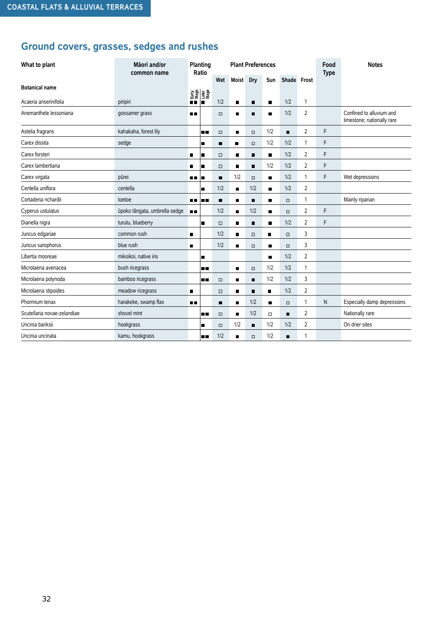## **Ground covers, grasses, sedges and rushes**

| What to plant               | Māori and/or<br>common name   |                | Planting<br>Ratio                          |        |                | <b>Plant Preferences</b> |                |             |                | Food<br><b>Type</b> | <b>Notes</b>                                           |
|-----------------------------|-------------------------------|----------------|--------------------------------------------|--------|----------------|--------------------------|----------------|-------------|----------------|---------------------|--------------------------------------------------------|
|                             |                               |                |                                            | Wet    | <b>Moist</b>   | Dry                      | Sun            | Shade Frost |                |                     |                                                        |
| <b>Botanical name</b>       |                               |                |                                            |        |                |                          |                |             |                |                     |                                                        |
| Acaena anserinifolia        | piripiri                      |                | <b>Early</b><br>■Stage<br>■Later<br>■Stage | 1/2    | п              | п                        | п              | 1/2         | $\mathbf{1}$   |                     |                                                        |
| Anemanthele lessoniana      | gossamer grass                | ■■             |                                            | $\Box$ | $\blacksquare$ | $\blacksquare$           | п              | 1/2         | 2              |                     | Confined to alluvium and<br>limestone; nationally rare |
| Astelia fragrans            | kahakaha, forest lily         |                | ۰.                                         | $\Box$ | п              | $\Box$                   | 1/2            | п           | $\overline{2}$ | F                   |                                                        |
| Carex dissita               | sedge                         |                | ■                                          | п      | $\blacksquare$ | $\Box$                   | 1/2            | 1/2         | 1              | F                   |                                                        |
| Carex forsteri              |                               | п              | a,                                         | $\Box$ | П              | Ξ                        | п              | 1/2         | 2              | F                   |                                                        |
| Carex lambertiana           |                               |                | ٦                                          | $\Box$ | п              | П                        | 1/2            | 1/2         | 2              | F                   |                                                        |
| Carex virgata               | pūrei                         | <b>HH</b>      | E                                          | n,     | 1/2            | $\Box$                   | п              | 1/2         | 1              | F                   | Wet depressions                                        |
| Centella uniflora           | centella                      |                | a,                                         | 1/2    | $\blacksquare$ | 1/2                      | $\blacksquare$ | 1/2         | 2              |                     |                                                        |
| Cortaderia richardii        | toetoe                        | п.             | <b>HR</b>                                  | п      | п              | п                        | ■              | $\Box$      | 1              |                     | Mainly riparian                                        |
| Cyperus ustulatus           | ūpoko tāngata, umbrella sedge | $\blacksquare$ |                                            | 1/2    | п              | 1/2                      | п              | $\Box$      | 2              | F                   |                                                        |
| Dianella nigra              | turutu, blueberry             |                | ٠                                          | $\Box$ | п              | П                        | п              | 1/2         | 2              | F                   |                                                        |
| Juncus edgariae             | common rush                   | $\blacksquare$ |                                            | 1/2    | п              | $\Box$                   | $\blacksquare$ | $\Box$      | 3              |                     |                                                        |
| Juncus sarophorus           | blue rush                     | п              |                                            | 1/2    | П              | $\Box$                   | п              | $\Box$      | 3              |                     |                                                        |
| Libertia mooreae            | mikoikoi, native iris         |                | п                                          |        |                |                          | п              | 1/2         | $\overline{2}$ |                     |                                                        |
| Microlaena avenacea         | bush ricegrass                |                | <b>HR</b>                                  |        | $\blacksquare$ | $\Box$                   | 1/2            | 1/2         | 1              |                     |                                                        |
| Microlaena polynoda         | bamboo ricegrass              |                | 10                                         | $\Box$ | п              | П                        | 1/2            | 1/2         | 3              |                     |                                                        |
| Microlaena stipoides        | meadow ricegrass              | $\blacksquare$ |                                            | $\Box$ | п              | П                        | $\blacksquare$ | 1/2         | $\overline{2}$ |                     |                                                        |
| Phormium tenax              | harakeke, swamp flax          | <b>HD</b>      |                                            | п      | п              | 1/2                      | п              | $\Box$      | 1              | N                   | Especially damp depressions                            |
| Scutellaria novae-zelandiae | shovel mint                   |                | ٠.                                         | $\Box$ | п              | 1/2                      | $\Box$         | п           | $\overline{2}$ |                     | Nationally rare                                        |
| Uncinia banksii             | hookgrass                     |                | ٠                                          | $\Box$ | 1/2            | П                        | 1/2            | 1/2         | $\overline{2}$ |                     | On drier sites                                         |
| Uncinia uncinata            | kamu, hookgrass               |                | ٦.                                         | 1/2    | $\blacksquare$ | $\Box$                   | 1/2            | П           | 1              |                     |                                                        |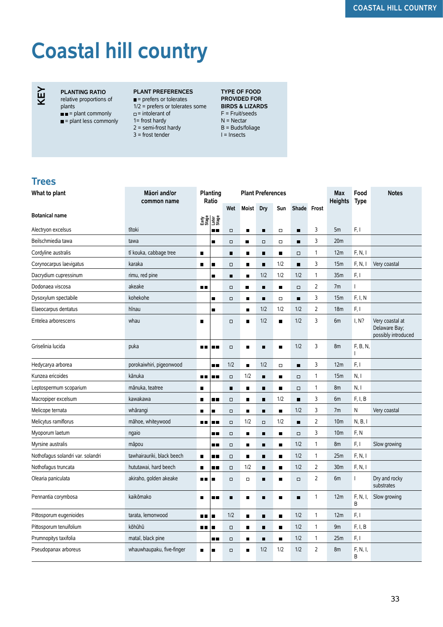# **Coastal hill country**



**PLANTING RATIO** relative proportions of plants

 $\blacksquare$  = plant commonly

- $\blacksquare$  = plant less commonly
- **PLANT PREFERENCES**  $=$  prefers or tolerates 1/2 = prefers or tolerates some **BIRDS & LIZARDS**   $=$  intolerant of 1= frost hardy
- $2 =$  semi-frost hardy
- 3 = frost tender

#### **TYPE OF FOOD PROVIDED FOR**  F = Fruit/seeds N = Nectar B = Buds/foliage  $I = Insects$

#### **Trees**

| What to plant                     | Māori and/or<br>common name |                | <b>Planting</b><br><b>Plant Preferences</b><br>Ratio |                |                |                |                | Max<br><b>Heights</b> | Food<br><b>Type</b> | <b>Notes</b>    |               |                                                         |
|-----------------------------------|-----------------------------|----------------|------------------------------------------------------|----------------|----------------|----------------|----------------|-----------------------|---------------------|-----------------|---------------|---------------------------------------------------------|
|                                   |                             |                |                                                      | Wet            | Moist          | <b>Dry</b>     | Sun            | Shade Frost           |                     |                 |               |                                                         |
| <b>Botanical name</b>             |                             |                | 함을<br>대표<br>그래도                                      |                |                |                |                |                       |                     |                 |               |                                                         |
| Alectryon excelsus                | tītoki                      |                | n n                                                  | $\Box$         | $\blacksquare$ | $\blacksquare$ | $\Box$         | $\blacksquare$        | 3                   | 5m              | F, I          |                                                         |
| Beilschmiedia tawa                | tawa                        |                | п                                                    | $\Box$         | π              | $\Box$         | $\Box$         | $\blacksquare$        | 3                   | 20m             |               |                                                         |
| Cordyline australis               | tī kouka, cabbage tree      | $\blacksquare$ |                                                      | п              | $\blacksquare$ | $\blacksquare$ | $\blacksquare$ | $\Box$                | 1                   | 12m             | F, N, I       |                                                         |
| Corynocarpus laevigatus           | karaka                      | $\blacksquare$ |                                                      | $\Box$         | $\blacksquare$ | $\blacksquare$ | 1/2            | $\blacksquare$        | 3                   | 15m             | F, N, I       | Very coastal                                            |
| Dacrydium cupressinum             | rimu, red pine              |                | п                                                    | п              | $\blacksquare$ | 1/2            | 1/2            | 1/2                   | 1                   | 35m             | F, I          |                                                         |
| Dodonaea viscosa                  | akeake                      | 8 E            |                                                      | $\Box$         | П              | п              | $\blacksquare$ | $\Box$                | 2                   | 7m              | L             |                                                         |
| Dysoxylum spectabile              | kohekohe                    |                | ٠                                                    | $\Box$         | $\blacksquare$ | п              | $\Box$         | $\blacksquare$        | 3                   | 15m             | F, I, N       |                                                         |
| Elaeocarpus dentatus              | hīnau                       |                | $\blacksquare$                                       |                | $\blacksquare$ | 1/2            | 1/2            | 1/2                   | $\overline{2}$      | 18 <sub>m</sub> | F, I          |                                                         |
| Entelea arborescens               | whau                        | $\blacksquare$ |                                                      | $\Box$         | $\blacksquare$ | 1/2            | $\blacksquare$ | 1/2                   | 3                   | 6m              | I, N?         | Very coastal at<br>Delaware Bay;<br>possibly introduced |
| Griselinia lucida                 | puka                        | <b>ALC</b>     | <b>HR</b>                                            | $\Box$         | $\blacksquare$ | П              | $\blacksquare$ | 1/2                   | 3                   | 8m              | F, B, N,<br>T |                                                         |
| Hedycarya arborea                 | porokaiwhiri, pigeonwood    |                | п.                                                   | 1/2            | $\blacksquare$ | 1/2            | $\Box$         | $\blacksquare$        | 3                   | 12m             | F, I          |                                                         |
| Kunzea ericoides                  | kānuka                      | 8 H            | п.                                                   | $\Box$         | 1/2            | п              | $\blacksquare$ | $\Box$                | $\mathbf{1}$        | 15m             | N, I          |                                                         |
| Leptospermum scoparium            | mānuka, teatree             | $\blacksquare$ |                                                      | $\blacksquare$ | $\blacksquare$ | $\blacksquare$ | $\blacksquare$ | $\Box$                | 1                   | 8m              | N, I          |                                                         |
| Macropiper excelsum               | kawakawa                    | П              | . .                                                  | $\Box$         | $\blacksquare$ | π              | 1/2            | $\blacksquare$        | 3                   | 6m              | F, I, B       |                                                         |
| Melicope ternata                  | whārangi                    | $\blacksquare$ | $\blacksquare$                                       | $\Box$         | $\blacksquare$ | п              | $\blacksquare$ | 1/2                   | 3                   | 7m              | Ν             | Very coastal                                            |
| Melicytus ramiflorus              | māhoe, whiteywood           | 88 E           |                                                      | $\Box$         | 1/2            | $\Box$         | 1/2            | $\blacksquare$        | $\overline{2}$      | 10 <sub>m</sub> | N, B, I       |                                                         |
| Myoporum laetum                   | ngaio                       |                | <b></b>                                              | $\Box$         | $\blacksquare$ | $\blacksquare$ | $\blacksquare$ | $\Box$                | 3                   | 10 <sub>m</sub> | F, N          |                                                         |
| Myrsine australis                 | māpou                       |                | <b>H H</b>                                           | $\Box$         | $\blacksquare$ | п              | $\blacksquare$ | 1/2                   | 1                   | 8m              | F, I          | Slow growing                                            |
| Nothofagus solandri var. solandri | tawhairauriki, black beech  | п              | <b>H H</b>                                           | $\Box$         | $\blacksquare$ | п              | $\blacksquare$ | 1/2                   | 1                   | 25m             | F, N, I       |                                                         |
| Nothofagus truncata               | hututawai, hard beech       | $\blacksquare$ | <b></b>                                              | $\Box$         | 1/2            | $\blacksquare$ | п              | 1/2                   | 2                   | 30m             | F, N, I       |                                                         |
| Olearia paniculata                | akiraho, golden akeake      | 88 E           | $\blacksquare$                                       | $\Box$         | $\Box$         | $\blacksquare$ | $\blacksquare$ | $\Box$                | $\overline{2}$      | 6m              | T             | Dry and rocky<br>substrates                             |
| Pennantia corymbosa               | kaikōmako                   | $\blacksquare$ | <b>HR</b>                                            | $\blacksquare$ | $\blacksquare$ | $\blacksquare$ | $\blacksquare$ | $\blacksquare$        | 1                   | 12m             | F, N, I,<br>В | Slow growing                                            |
| Pittosporum eugenioides           | tarata. lemonwood           | 88 E           | п                                                    | 1/2            | $\blacksquare$ | п              | $\blacksquare$ | 1/2                   | 1                   | 12m             | F, I          |                                                         |
| Pittosporum tenuifolium           | kōhūhū                      | ПΠ             | п                                                    | $\Box$         | $\blacksquare$ | $\blacksquare$ | $\blacksquare$ | 1/2                   | 1                   | 9m              | F, I, B       |                                                         |
| Prumnopitys taxifolia             | mataī, black pine           |                | . .                                                  | $\Box$         | $\blacksquare$ | П              | $\blacksquare$ | 1/2                   | 1                   | 25m             | F, I          |                                                         |
| Pseudopanax arboreus              | whauwhaupaku, five-finger   | п              | п                                                    | $\Box$         | п              | 1/2            | 1/2            | 1/2                   | 2                   | 8m              | F, N, I,<br>B |                                                         |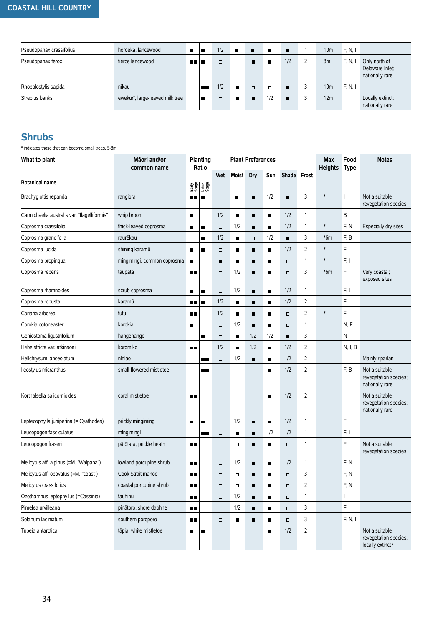#### **COASTAL HILL COUNTRY**

| Pseudopanax crassifolius | horoeka, lancewood              | п     |     | 1/2    | $\blacksquare$ | $\blacksquare$ | <b>D</b> | $\blacksquare$ | 10 <sub>m</sub> | F, N, I |                                                     |
|--------------------------|---------------------------------|-------|-----|--------|----------------|----------------|----------|----------------|-----------------|---------|-----------------------------------------------------|
| Pseudopanax ferox        | fierce lancewood                | na la |     | $\Box$ |                | п              |          | 1/2            | 8m              | F, N,   | Only north of<br>Delaware Inlet;<br>nationally rare |
| Rhopalostylis sapida     | nīkau                           |       | n n | 1/2    | п              | $\Box$         | $\Box$   | $\blacksquare$ | 10 <sub>m</sub> | F, N, I |                                                     |
| Streblus banksii         | ewekurī, large-leaved milk tree |       |     | $\Box$ | $\blacksquare$ | п              | 1/2      | $\blacksquare$ | 12m             |         | Locally extinct;<br>nationally rare                 |

#### **Shrubs**

\* indicates those that can become small trees, 5-8m

| What to plant                                | Māori and/or<br>common name | Planting<br>Ratio |                |        |                | <b>Plant Preferences</b> |                |                |                | Max<br><b>Heights</b> | Food<br><b>Type</b> | <b>Notes</b>                                                |
|----------------------------------------------|-----------------------------|-------------------|----------------|--------|----------------|--------------------------|----------------|----------------|----------------|-----------------------|---------------------|-------------------------------------------------------------|
| Botanical name                               |                             |                   |                | Wet    | Moist          | Dry                      | Sun            | Shade Frost    |                |                       |                     |                                                             |
|                                              |                             |                   | 함을<br>이용<br>문화 |        |                |                          |                |                |                |                       |                     |                                                             |
| Brachyglottis repanda                        | rangiora                    | 88 I B            |                | $\Box$ | ■              | п                        | 1/2            | п              | 3              | $\ast$                |                     | Not a suitable<br>revegetation species                      |
| Carmichaelia australis var. "flagelliformis" | whip broom                  | $\blacksquare$    |                | 1/2    | $\blacksquare$ | $\blacksquare$           | $\blacksquare$ | 1/2            | $\mathbf{1}$   |                       | B                   |                                                             |
| Coprosma crassifolia                         | thick-leaved coprosma       | $\blacksquare$    | п              | $\Box$ | 1/2            | п                        | п              | 1/2            | $\mathbf{1}$   | $\ast$                | F, N                | Especially dry sites                                        |
| Coprosma grandifolia                         | raurēkau                    |                   | п              | 1/2    | $\blacksquare$ | $\Box$                   | 1/2            | $\blacksquare$ | 3              | $*6m$                 | F, B                |                                                             |
| Coprosma lucida                              | shining karamū              | $\blacksquare$    | П              | $\Box$ | $\blacksquare$ | $\blacksquare$           | $\blacksquare$ | 1/2            | $\overline{2}$ | $\ast$                | F                   |                                                             |
| Coprosma propinqua                           | mingimingi, common coprosma | ■                 |                | п      | п              | п                        | п              | $\Box$         | $\mathbf{1}$   | $\ast$                | F, I                |                                                             |
| Coprosma repens                              | taupata                     | 8 E               |                | $\Box$ | 1/2            | п                        | п              | σ              | 3              | $*6m$                 | F                   | Very coastal;<br>exposed sites                              |
| Coprosma rhamnoides                          | scrub coprosma              | $\blacksquare$    | п              | $\Box$ | 1/2            | $\blacksquare$           | $\blacksquare$ | 1/2            | $\mathbf{1}$   |                       | F, I                |                                                             |
| Coprosma robusta                             | karamū                      | <b>HE</b>         | ш              | 1/2    | $\blacksquare$ | п                        | п              | 1/2            | 2              |                       | F                   |                                                             |
| Coriaria arborea                             | tutu                        | $\blacksquare$    |                | 1/2    | $\blacksquare$ | п                        | $\blacksquare$ | $\Box$         | $\overline{2}$ | $\ast$                | F                   |                                                             |
| Corokia cotoneaster                          | korokia                     | ■                 |                | $\Box$ | 1/2            | п                        | п              | $\Box$         | $\mathbf{1}$   |                       | N, F                |                                                             |
| Geniostoma ligustrifolium                    | hangehange                  |                   | п              | $\Box$ | $\blacksquare$ | 1/2                      | 1/2            | $\blacksquare$ | 3              |                       | N                   |                                                             |
| Hebe stricta var. atkinsonii                 | koromiko                    | $\blacksquare$    |                | 1/2    | $\blacksquare$ | 1/2                      | $\blacksquare$ | 1/2            | $\overline{2}$ |                       | N, I, B             |                                                             |
| Helichrysum lanceolatum                      | niniao                      |                   | ∎∎             | $\Box$ | 1/2            | $\blacksquare$           | ٠              | 1/2            | $\overline{2}$ |                       |                     | Mainly riparian                                             |
| Ileostylus micranthus                        | small-flowered mistletoe    |                   | ∎∎             |        |                |                          | ■              | 1/2            | $\overline{2}$ |                       | F, B                | Not a suitable<br>revegetation species;<br>nationally rare  |
| Korthalsella salicornioides                  | coral mistletoe             | 8 E               |                |        |                |                          | П              | 1/2            | $\overline{2}$ |                       |                     | Not a suitable<br>revegetation species;<br>nationally rare  |
| Leptecophylla juniperina (= Cyathodes)       | prickly mingimingi          | П                 | п              | $\Box$ | 1/2            | $\blacksquare$           | п              | 1/2            | $\mathbf{1}$   |                       | F                   |                                                             |
| Leucopogon fasciculatus                      | mingimingi                  |                   | . .            | $\Box$ | $\blacksquare$ | $\blacksquare$           | 1/2            | 1/2            | $\mathbf{1}$   |                       | F, I                |                                                             |
| Leucopogon fraseri                           | pātōtara, prickle heath     | œ                 |                | $\Box$ | $\Box$         | п                        | п              | $\Box$         | $\mathbf{1}$   |                       | F                   | Not a suitable<br>revegetation species                      |
| Melicytus aff. alpinus (=M. "Waipapa")       | lowland porcupine shrub     | <b>DB</b>         |                | $\Box$ | 1/2            | $\blacksquare$           | $\blacksquare$ | 1/2            | $\mathbf{1}$   |                       | F, N                |                                                             |
| Melicytus aff. obovatus (=M. "coast")        | Cook Strait mähoe           | ПΕ                |                | Ω      | $\Box$         | п                        | ■              | $\Box$         | 3              |                       | F, N                |                                                             |
| Melicytus crassifolius                       | coastal porcupine shrub     | ПΠ                |                | $\Box$ | $\Box$         | п                        | г              | $\Box$         | 2              |                       | F, N                |                                                             |
| Ozothamnus leptophyllus (=Cassinia)          | tauhinu                     | $\blacksquare$    |                | $\Box$ | 1/2            | $\blacksquare$           | $\blacksquare$ | $\Box$         | $\mathbf{1}$   |                       | $\mathbf{I}$        |                                                             |
| Pimelea urvilleana                           | pinātoro, shore daphne      | ■■                |                | $\Box$ | 1/2            | $\blacksquare$           | п              | $\Box$         | 3              |                       | $\mathsf F$         |                                                             |
| Solanum laciniatum                           | southern poroporo           | $\blacksquare$    |                | $\Box$ | $\blacksquare$ | $\blacksquare$           | п              | O.             | 3              |                       | F, N, I             |                                                             |
| Tupeia antarctica                            | tāpia, white mistletoe      | $\blacksquare$    | п              |        |                |                          | $\blacksquare$ | 1/2            | $\sqrt{2}$     |                       |                     | Not a suitable<br>revegetation species;<br>locally extinct? |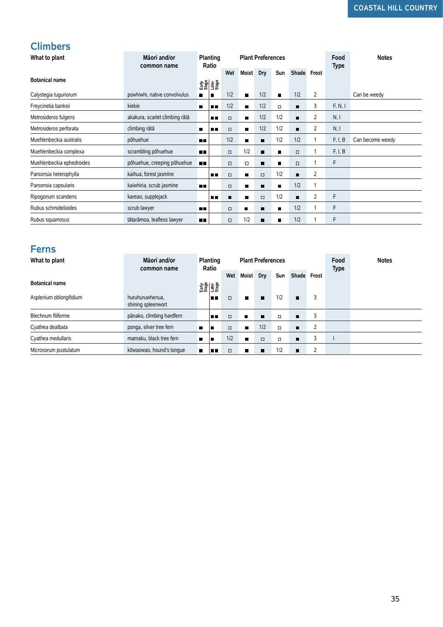#### **Climbers**

| What to plant             | Māori and/or<br>common name           |                | Planting<br>Ratio |        | <b>Plant Preferences</b> |                          |                |                |                | Food<br><b>Type</b> | <b>Notes</b>     |
|---------------------------|---------------------------------------|----------------|-------------------|--------|--------------------------|--------------------------|----------------|----------------|----------------|---------------------|------------------|
|                           |                                       |                |                   | Wet    | Moist Dry                |                          | Sun            | Shade Frost    |                |                     |                  |
| <b>Botanical name</b>     |                                       |                | 음망<br>대학<br>고유명   |        |                          |                          |                |                |                |                     |                  |
| Calystegia tuguriorum     | powhiwhi, native convolvulus          | $\blacksquare$ | $\blacksquare$    | 1/2    | $\blacksquare$           | 1/2                      | п              | 1/2            | 2              |                     | Can be weedy     |
| Freycinetia banksii       | kiekie                                | $\blacksquare$ | . .               | 1/2    | п                        | 1/2                      | $\Box$         | ■              | 3              | F, N, I             |                  |
| Metrosideros fulgens      | akakura, scarlet climbing rātā        |                | n٠                | $\Box$ | $\blacksquare$           | 1/2                      | 1/2            | п              | 2              | N, I                |                  |
| Metrosideros perforata    | climbing rātā                         | $\blacksquare$ | 8 B               | $\Box$ | $\blacksquare$           | 1/2                      | 1/2            | $\blacksquare$ | 2              | N, I                |                  |
| Muehlenbeckia australis   | põhuehue                              | <b>DB</b>      |                   | 1/2    | $\blacksquare$           | Ξ                        | 1/2            | 1/2            | $\mathbf{1}$   | F, I, B             | Can become weedy |
| Muehlenbeckia complexa    | scrambling pōhuehue                   | O٢             |                   | $\Box$ | 1/2                      | $\blacksquare$           | п              | $\Box$         | $\mathbf{1}$   | F, I, B             |                  |
| Muehlenbeckia ephedroides | põhuehue, creeping põhuehue           | $\blacksquare$ |                   | O.     | $\Box$                   | п                        | п              | $\Box$         | $\mathbf{1}$   | F                   |                  |
| Parsonsia heterophylla    | kaihua, forest jasmine                |                | 8 H               | $\Box$ | п                        | $\Box$                   | 1/2            | п              | 2              |                     |                  |
| Parsonsia capsularis      | kaiwhiria, scrub jasmine              | <b>UR</b>      |                   | O.     | п                        | π                        | п              | 1/2            | $\mathbf{1}$   |                     |                  |
| Ripogonum scandens        | kareao, supplejack                    |                | п п               | π      | п                        | $\Box$                   | 1/2            | п              | $\overline{2}$ | F                   |                  |
| Rubus schmidelioides      | scrub lawyer                          | <b>DB</b>      |                   | $\Box$ | $\blacksquare$           | п                        | $\blacksquare$ | 1/2            | $\mathbf{1}$   | F                   |                  |
| Rubus squarrosus          | tātarāmoa, leafless lawyer            | $\blacksquare$ |                   | O.     | 1/2                      | $\blacksquare$           | $\blacksquare$ | 1/2            | $\mathbf{1}$   | F                   |                  |
|                           |                                       |                |                   |        |                          |                          |                |                |                |                     |                  |
| <b>Ferns</b>              |                                       |                |                   |        |                          |                          |                |                |                |                     |                  |
| What to plant             | Māori and/or<br>common name           |                | Planting<br>Ratio |        |                          | <b>Plant Preferences</b> |                |                |                | Food                | <b>Notes</b>     |
|                           |                                       |                |                   | Wet    | Moist Dry                |                          | Sun            | Shade Frost    |                | <b>Type</b>         |                  |
| <b>Botanical name</b>     |                                       |                | $\frac{1}{2}$     |        |                          |                          |                |                |                |                     |                  |
| Asplenium oblongifolium   | huruhuruwhenua,<br>shining spleenwort |                | n 11              | $\Box$ | П                        | п                        | 1/2            | $\blacksquare$ | 3              |                     |                  |
| Blechnum filiforme        | pānako, climbing hardfern             |                | . .               | $\Box$ | $\blacksquare$           | п                        | $\Box$         | п              | 3              |                     |                  |
| Cyathea dealbata          | ponga, silver tree fern               | $\blacksquare$ | п                 | $\Box$ | $\blacksquare$           | 1/2                      | $\Box$         | $\blacksquare$ | $\overline{2}$ |                     |                  |
| Cyathea medullaris        | mamaku, black tree fern               | $\blacksquare$ | п                 | 1/2    | п                        | $\Box$                   | $\Box$         | п              | 3              |                     |                  |
| Microsorum pustulatum     | kōwaowao, hound's tonque              | ■              |                   | $\Box$ |                          | п                        | 1/2            | ٠              | 2              |                     |                  |

#### **Ferns**

| What to plant           | Māori and/or<br>common name           |   | Planting<br>Ratio |        | <b>Plant Preferences</b> |                |            |                |        | Food<br><b>Type</b> | <b>Notes</b> |
|-------------------------|---------------------------------------|---|-------------------|--------|--------------------------|----------------|------------|----------------|--------|---------------------|--------------|
|                         |                                       |   |                   | Wet    | <b>Moist</b>             | Dry            | <b>Sun</b> | Shade Frost    |        |                     |              |
| <b>Botanical name</b>   |                                       |   | 함을<br>대한<br>그래도   |        |                          |                |            |                |        |                     |              |
| Asplenium oblongifolium | huruhuruwhenua,<br>shining spleenwort |   | . .               | $\Box$ | п                        | $\blacksquare$ | 1/2        | $\blacksquare$ | 3      |                     |              |
| Blechnum filiforme      | pānako, climbing hardfern             |   | . .               | $\Box$ | п                        | $\blacksquare$ | $\Box$     | $\blacksquare$ | 3      |                     |              |
| Cyathea dealbata        | ponga, silver tree fern               | п |                   | $\Box$ | $\blacksquare$           | 1/2            | $\Box$     | $\blacksquare$ | 2      |                     |              |
| Cyathea medullaris      | mamaku, black tree fern               | п |                   | 1/2    | $\blacksquare$           | $\Box$         | $\Box$     | п              | 3      |                     |              |
| Microsorum pustulatum   | kōwaowao, hound's tonque              | п | mп                | $\Box$ |                          | п              | 1/2        |                | h<br>∠ |                     |              |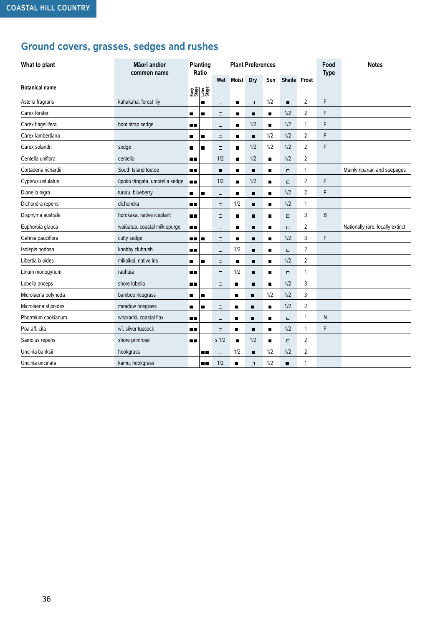## **Ground covers, grasses, sedges and rushes**

| What to plant         | Māori and/or<br>common name   |                | Planting<br>Ratio |                  |                | <b>Plant Preferences</b> |                |                |                | Food<br><b>Type</b> | <b>Notes</b>                     |
|-----------------------|-------------------------------|----------------|-------------------|------------------|----------------|--------------------------|----------------|----------------|----------------|---------------------|----------------------------------|
|                       |                               |                |                   | Wet              | Moist          | Dry                      | Sun            | Shade Frost    |                |                     |                                  |
| <b>Botanical name</b> |                               |                | 함께 표현<br>문화 프랑    |                  |                |                          |                |                |                |                     |                                  |
| Astelia fragrans      | kahakaha, forest lily         |                | ٠                 | $\Box$           | $\blacksquare$ | $\Box$                   | 1/2            | п              | 2              | F                   |                                  |
| Carex forsteri        |                               | $\blacksquare$ | п                 | $\Box$           | п              | п                        | $\blacksquare$ | 1/2            | 2              | F                   |                                  |
| Carex flagellifera    | boot strap sedge              | n n            |                   | $\Box$           | $\blacksquare$ | 1/2                      | $\blacksquare$ | 1/2            | 1              | F                   |                                  |
| Carex lambertiana     |                               | п              | п                 | $\Box$           | $\blacksquare$ | $\blacksquare$           | 1/2            | 1/2            | 2              | F                   |                                  |
| Carex solandri        | sedge                         | п              | п                 | $\Box$           | п              | 1/2                      | 1/2            | 1/2            | 2              | F                   |                                  |
| Centella uniflora     | centella                      | n n            |                   | 1/2              | $\blacksquare$ | 1/2                      | п              | 1/2            | 2              |                     |                                  |
| Cortaderia richardii  | South Island toetoe           | 80 O           |                   | п                | п              | п                        | п              | $\Box$         | 1              |                     | Mainly riparian and seepages     |
| Cyperus ustulatus     | ūpoko tāngata, umbrella sedge | $\blacksquare$ |                   | 1/2              | $\blacksquare$ | 1/2                      | $\blacksquare$ | $\Box$         | 2              | F                   |                                  |
| Dianella nigra        | turutu, blueberry             | $\blacksquare$ | п                 | $\Box$           | $\blacksquare$ | $\blacksquare$           | п              | 1/2            | $\overline{2}$ | F                   |                                  |
| Dichondra repens      | dichondra                     | 80.            |                   | $\Box$           | 1/2            | п                        | п              | 1/2            | 1              |                     |                                  |
| Disphyma australe     | horokaka, native iceplant     | $\blacksquare$ |                   | $\Box$           | $\blacksquare$ | п                        | п              | $\Box$         | 3              | B                   |                                  |
| Euphorbia glauca      | waiūatua, coastal milk spurge | $\blacksquare$ |                   | $\Box$           | $\blacksquare$ | п                        | $\blacksquare$ | $\Box$         | 2              |                     | Nationally rare; locally extinct |
| Gahnia pauciflora     | cutty sedge                   | - -            | п                 | $\Box$           | п              | п                        |                | 1/2            | 3              | F                   |                                  |
| Isolepis nodosa       | knobby clubrush               | . .            |                   | $\Box$           | 1/2            | п                        | п              | $\Box$         | 2              |                     |                                  |
| Libertia ixioides     | mikoikoi, native iris         | п              | п                 | $\Box$           | $\blacksquare$ | п                        | п              | 1/2            | 2              |                     |                                  |
| Linum monogynum       | rauhuia                       | 80.            |                   | $\Box$           | 1/2            | $\blacksquare$           | $\blacksquare$ | $\Box$         | 1              |                     |                                  |
| Lobelia anceps        | shore lobelia                 | . .            |                   | $\Box$           | ■              | $\blacksquare$           | п              | 1/2            | 3              |                     |                                  |
| Microlaena polynoda   | bamboo ricegrass              | $\blacksquare$ | п                 | $\Box$           | ■              | $\blacksquare$           | 1/2            | 1/2            | 3              |                     |                                  |
| Microlaena stipoides  | meadow ricegrass              | П              | $\blacksquare$    | $\Box$           | п              | $\blacksquare$           | $\blacksquare$ | 1/2            | $\overline{2}$ |                     |                                  |
| Phormium cookianum    | wharariki, coastal flax       | <b>HD</b>      |                   | $\Box$           | $\blacksquare$ | $\blacksquare$           | п              | $\Box$         | 1              | N                   |                                  |
| Poa aff. cita         | wī, silver tussock            | œ              |                   | $\Box$           | ■              | п                        | п              | 1/2            | 1              | F                   |                                  |
| Samolus repens        | shore primrose                | nп             |                   | s <sub>1/2</sub> | $\blacksquare$ | 1/2                      | $\blacksquare$ | $\Box$         | 2              |                     |                                  |
| Uncinia banksii       | hookgrass                     |                | . .               | $\Box$           | 1/2            | $\blacksquare$           | 1/2            | 1/2            | 2              |                     |                                  |
| Uncinia uncinata      | kamu, hookgrass               |                | o۵                | 1/2              | $\blacksquare$ | $\Box$                   | 1/2            | $\blacksquare$ | 1              |                     |                                  |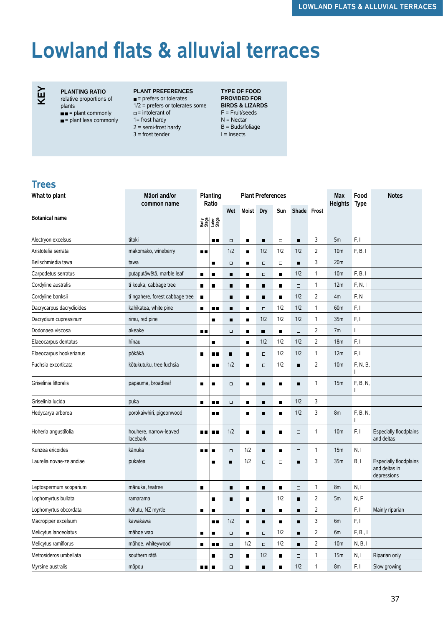## **Lowland flats & alluvial terraces**



#### **PLANTING RATIO** relative proportions of

plants

- $\blacksquare$  = plant commonly
- $\blacksquare$  = plant less commonly

#### **PLANT PREFERENCES**  $\blacksquare$  = prefers or tolerates

1/2 = prefers or tolerates some  $=$  intolerant of 1= frost hardy  $2 =$  semi-frost hardy 3 = frost tender

**TYPE OF FOOD PROVIDED FOR BIRDS & LIZARDS**  F = Fruit/seeds N = Nectar B = Buds/foliage  $I = Insects$ 

#### **Trees**

| Wet<br>Moist<br>Dry<br>Shade Frost<br>Sun<br><b>Botanical name</b><br>요즘<br>전문 프랑<br>3<br>F, I<br>tītoki<br>5m<br>Alectryon excelsus<br>$\Box$<br>$\blacksquare$<br>$\blacksquare$<br>$\Box$<br>$\blacksquare$<br><b>H H</b><br>$\overline{2}$<br>F, B, I<br>Aristotelia serrata<br>makomako, wineberry<br>1/2<br>1/2<br>1/2<br>1/2<br>10 <sub>m</sub><br>o p<br>$\blacksquare$<br>3<br>Beilschmiedia tawa<br>20 <sub>m</sub><br>tawa<br>$\Box$<br>$\Box$<br>$\blacksquare$<br>п<br>$\blacksquare$<br>$\Box$<br>F, B, I<br>1/2<br>Carpodetus serratus<br>putaputāwētā, marble leaf<br>1<br>10 <sub>m</sub><br>$\blacksquare$<br>$\blacksquare$<br>п<br>п<br>$\Box$<br>$\blacksquare$<br>F, N, I<br>Cordyline australis<br>tī kouka, cabbage tree<br>12m<br>1<br>$\blacksquare$<br>п<br>$\Box$<br>$\blacksquare$<br>$\blacksquare$<br>п<br>$\blacksquare$<br>$\overline{2}$<br>F, N<br>Cordyline banksii<br>tī ngahere, forest cabbage tree<br>1/2<br>4m<br>$\blacksquare$<br>$\blacksquare$<br>$\blacksquare$<br>■<br>$\blacksquare$<br>1/2<br>F, I<br>Dacrycarpus dacrydioides<br>kahikatea, white pine<br>1/2<br>1<br>60 <sub>m</sub><br>$\blacksquare$<br><b>H H</b><br>$\blacksquare$<br>$\blacksquare$<br>$\Box$<br>1/2<br>F, I<br>1/2<br>1/2<br>1<br>35m<br>Dacrydium cupressinum<br>rimu, red pine<br>п<br>п<br>$\blacksquare$<br>$\overline{2}$<br>akeake<br>7m<br>Dodonaea viscosa<br>$\blacksquare$<br>$\blacksquare$<br>$\Box$<br>I<br>∎∎<br>$\Box$<br>$\blacksquare$<br>$\overline{2}$<br>F, I<br>1/2<br>1/2<br>1/2<br>Elaeocarpus dentatus<br>hīnau<br>18 <sub>m</sub><br>$\blacksquare$<br>$\blacksquare$<br>F, I<br>pōkākā<br>1/2<br>1/2<br>12m<br>Elaeocarpus hookerianus<br>1<br>$\blacksquare$<br>п<br>$\blacksquare$<br>$\Box$<br>п.<br>2<br>F, N, B,<br>Fuchsia excorticata<br>kōtukutuku, tree fuchsia<br>1/2<br>1/2<br>10 <sub>m</sub><br>$\blacksquare$<br>$\blacksquare$<br><b>H H</b><br>$\Box$<br>I<br>F, B, N,<br>Griselinia littoralis<br>papauma, broadleaf<br>1<br>15 <sub>m</sub><br>$\Box$<br>п<br>П<br>п<br>$\blacksquare$<br>$\blacksquare$<br>1/2<br>3<br>Griselinia lucida<br>puka<br>$\Box$<br>$\blacksquare$<br>. .<br>$\blacksquare$<br>п<br>$\blacksquare$<br>1/2<br>3<br>F, B, N,<br>Hedycarya arborea<br>porokaiwhiri, pigeonwood<br>8m<br>$\blacksquare$<br>п<br>ш<br>I<br>1/2<br>F, I<br>Especially floodplains<br>Hoheria angustifolia<br>houhere, narrow-leaved<br>10 <sub>m</sub><br>1<br>$\Box$<br><b>D D</b><br>$\blacksquare$<br>п<br>$\blacksquare$<br>88 M<br>lacebark<br>and deltas<br>Kunzea ericoides<br>kānuka<br>1/2<br>15m<br>N, I<br>1<br>$\Box$<br>$\blacksquare$<br>$\Box$<br>∎∎<br>$\blacksquare$<br>$\blacksquare$<br>1/2<br>3<br>B, I<br><b>Especially floodplains</b><br>Laurelia novae-zelandiae<br>pukatea<br>35m<br>$\Box$<br>$\Box$<br>$\blacksquare$<br>$\blacksquare$<br>П<br>and deltas in<br>depressions<br>8m<br>N, I<br>Leptospermum scoparium<br>mānuka, teatree<br>1<br>π<br>$\blacksquare$<br>п<br>$\blacksquare$<br>$\blacksquare$<br>$\Box$<br>$\overline{2}$<br>N, F<br>1/2<br>Lophomyrtus bullata<br>5m<br>ramarama<br>$\blacksquare$<br>Ξ<br>$\blacksquare$<br>$\blacksquare$<br>2<br>F, I<br>Lophomyrtus obcordata<br>rõhutu, NZ myrtle<br>Mainly riparian<br>П<br>$\blacksquare$<br>$\blacksquare$<br>п<br>$\blacksquare$<br>$\blacksquare$<br>kawakawa<br>1/2<br>3<br>F, I<br>Macropiper excelsum<br>6m<br>$\blacksquare$<br>п<br>$\blacksquare$<br><b>H H</b><br>$\blacksquare$<br>1/2<br>2<br>F, B., I<br>Melicytus lanceolatus<br>māhoe wao<br>6m<br>$\Box$<br>п<br>$\blacksquare$<br>$\Box$<br>$\blacksquare$<br>$\overline{2}$<br>N, B, I<br>Melicytus ramiflorus<br>māhoe, whiteywood<br>1/2<br>1/2<br>10 <sub>m</sub><br>$\Box$<br>П<br>$\Box$<br>$\blacksquare$<br>п.<br>N, I<br>Metrosideros umbellata<br>southern rātā<br>1/2<br>1<br>15m<br>Riparian only<br>$\Box$<br>$\blacksquare$<br>$\blacksquare$<br>$\Box$<br>п<br>F, I<br>1/2<br>Myrsine australis<br>māpou<br>1<br>8m<br>Slow growing<br>$\Box$<br>П<br>п<br>$\blacksquare$<br>п п<br>п | What to plant | Māori and/or<br>common name | Planting<br>Ratio |  | <b>Plant Preferences</b> |  | Max<br><b>Heights</b> | Food<br><b>Type</b> | <b>Notes</b> |
|---------------------------------------------------------------------------------------------------------------------------------------------------------------------------------------------------------------------------------------------------------------------------------------------------------------------------------------------------------------------------------------------------------------------------------------------------------------------------------------------------------------------------------------------------------------------------------------------------------------------------------------------------------------------------------------------------------------------------------------------------------------------------------------------------------------------------------------------------------------------------------------------------------------------------------------------------------------------------------------------------------------------------------------------------------------------------------------------------------------------------------------------------------------------------------------------------------------------------------------------------------------------------------------------------------------------------------------------------------------------------------------------------------------------------------------------------------------------------------------------------------------------------------------------------------------------------------------------------------------------------------------------------------------------------------------------------------------------------------------------------------------------------------------------------------------------------------------------------------------------------------------------------------------------------------------------------------------------------------------------------------------------------------------------------------------------------------------------------------------------------------------------------------------------------------------------------------------------------------------------------------------------------------------------------------------------------------------------------------------------------------------------------------------------------------------------------------------------------------------------------------------------------------------------------------------------------------------------------------------------------------------------------------------------------------------------------------------------------------------------------------------------------------------------------------------------------------------------------------------------------------------------------------------------------------------------------------------------------------------------------------------------------------------------------------------------------------------------------------------------------------------------------------------------------------------------------------------------------------------------------------------------------------------------------------------------------------------------------------------------------------------------------------------------------------------------------------------------------------------------------------------------------------------------------------------------------------------------------------------------------------------------------------------------------------------------------------------------------------------------------------------------------------------------------------------------------------------------------------------------------------------------------------------------------------------------------------------------------------------------------------------------------------------------------|---------------|-----------------------------|-------------------|--|--------------------------|--|-----------------------|---------------------|--------------|
|                                                                                                                                                                                                                                                                                                                                                                                                                                                                                                                                                                                                                                                                                                                                                                                                                                                                                                                                                                                                                                                                                                                                                                                                                                                                                                                                                                                                                                                                                                                                                                                                                                                                                                                                                                                                                                                                                                                                                                                                                                                                                                                                                                                                                                                                                                                                                                                                                                                                                                                                                                                                                                                                                                                                                                                                                                                                                                                                                                                                                                                                                                                                                                                                                                                                                                                                                                                                                                                                                                                                                                                                                                                                                                                                                                                                                                                                                                                                                                                                                                                   |               |                             |                   |  |                          |  |                       |                     |              |
|                                                                                                                                                                                                                                                                                                                                                                                                                                                                                                                                                                                                                                                                                                                                                                                                                                                                                                                                                                                                                                                                                                                                                                                                                                                                                                                                                                                                                                                                                                                                                                                                                                                                                                                                                                                                                                                                                                                                                                                                                                                                                                                                                                                                                                                                                                                                                                                                                                                                                                                                                                                                                                                                                                                                                                                                                                                                                                                                                                                                                                                                                                                                                                                                                                                                                                                                                                                                                                                                                                                                                                                                                                                                                                                                                                                                                                                                                                                                                                                                                                                   |               |                             |                   |  |                          |  |                       |                     |              |
|                                                                                                                                                                                                                                                                                                                                                                                                                                                                                                                                                                                                                                                                                                                                                                                                                                                                                                                                                                                                                                                                                                                                                                                                                                                                                                                                                                                                                                                                                                                                                                                                                                                                                                                                                                                                                                                                                                                                                                                                                                                                                                                                                                                                                                                                                                                                                                                                                                                                                                                                                                                                                                                                                                                                                                                                                                                                                                                                                                                                                                                                                                                                                                                                                                                                                                                                                                                                                                                                                                                                                                                                                                                                                                                                                                                                                                                                                                                                                                                                                                                   |               |                             |                   |  |                          |  |                       |                     |              |
|                                                                                                                                                                                                                                                                                                                                                                                                                                                                                                                                                                                                                                                                                                                                                                                                                                                                                                                                                                                                                                                                                                                                                                                                                                                                                                                                                                                                                                                                                                                                                                                                                                                                                                                                                                                                                                                                                                                                                                                                                                                                                                                                                                                                                                                                                                                                                                                                                                                                                                                                                                                                                                                                                                                                                                                                                                                                                                                                                                                                                                                                                                                                                                                                                                                                                                                                                                                                                                                                                                                                                                                                                                                                                                                                                                                                                                                                                                                                                                                                                                                   |               |                             |                   |  |                          |  |                       |                     |              |
|                                                                                                                                                                                                                                                                                                                                                                                                                                                                                                                                                                                                                                                                                                                                                                                                                                                                                                                                                                                                                                                                                                                                                                                                                                                                                                                                                                                                                                                                                                                                                                                                                                                                                                                                                                                                                                                                                                                                                                                                                                                                                                                                                                                                                                                                                                                                                                                                                                                                                                                                                                                                                                                                                                                                                                                                                                                                                                                                                                                                                                                                                                                                                                                                                                                                                                                                                                                                                                                                                                                                                                                                                                                                                                                                                                                                                                                                                                                                                                                                                                                   |               |                             |                   |  |                          |  |                       |                     |              |
|                                                                                                                                                                                                                                                                                                                                                                                                                                                                                                                                                                                                                                                                                                                                                                                                                                                                                                                                                                                                                                                                                                                                                                                                                                                                                                                                                                                                                                                                                                                                                                                                                                                                                                                                                                                                                                                                                                                                                                                                                                                                                                                                                                                                                                                                                                                                                                                                                                                                                                                                                                                                                                                                                                                                                                                                                                                                                                                                                                                                                                                                                                                                                                                                                                                                                                                                                                                                                                                                                                                                                                                                                                                                                                                                                                                                                                                                                                                                                                                                                                                   |               |                             |                   |  |                          |  |                       |                     |              |
|                                                                                                                                                                                                                                                                                                                                                                                                                                                                                                                                                                                                                                                                                                                                                                                                                                                                                                                                                                                                                                                                                                                                                                                                                                                                                                                                                                                                                                                                                                                                                                                                                                                                                                                                                                                                                                                                                                                                                                                                                                                                                                                                                                                                                                                                                                                                                                                                                                                                                                                                                                                                                                                                                                                                                                                                                                                                                                                                                                                                                                                                                                                                                                                                                                                                                                                                                                                                                                                                                                                                                                                                                                                                                                                                                                                                                                                                                                                                                                                                                                                   |               |                             |                   |  |                          |  |                       |                     |              |
|                                                                                                                                                                                                                                                                                                                                                                                                                                                                                                                                                                                                                                                                                                                                                                                                                                                                                                                                                                                                                                                                                                                                                                                                                                                                                                                                                                                                                                                                                                                                                                                                                                                                                                                                                                                                                                                                                                                                                                                                                                                                                                                                                                                                                                                                                                                                                                                                                                                                                                                                                                                                                                                                                                                                                                                                                                                                                                                                                                                                                                                                                                                                                                                                                                                                                                                                                                                                                                                                                                                                                                                                                                                                                                                                                                                                                                                                                                                                                                                                                                                   |               |                             |                   |  |                          |  |                       |                     |              |
|                                                                                                                                                                                                                                                                                                                                                                                                                                                                                                                                                                                                                                                                                                                                                                                                                                                                                                                                                                                                                                                                                                                                                                                                                                                                                                                                                                                                                                                                                                                                                                                                                                                                                                                                                                                                                                                                                                                                                                                                                                                                                                                                                                                                                                                                                                                                                                                                                                                                                                                                                                                                                                                                                                                                                                                                                                                                                                                                                                                                                                                                                                                                                                                                                                                                                                                                                                                                                                                                                                                                                                                                                                                                                                                                                                                                                                                                                                                                                                                                                                                   |               |                             |                   |  |                          |  |                       |                     |              |
|                                                                                                                                                                                                                                                                                                                                                                                                                                                                                                                                                                                                                                                                                                                                                                                                                                                                                                                                                                                                                                                                                                                                                                                                                                                                                                                                                                                                                                                                                                                                                                                                                                                                                                                                                                                                                                                                                                                                                                                                                                                                                                                                                                                                                                                                                                                                                                                                                                                                                                                                                                                                                                                                                                                                                                                                                                                                                                                                                                                                                                                                                                                                                                                                                                                                                                                                                                                                                                                                                                                                                                                                                                                                                                                                                                                                                                                                                                                                                                                                                                                   |               |                             |                   |  |                          |  |                       |                     |              |
|                                                                                                                                                                                                                                                                                                                                                                                                                                                                                                                                                                                                                                                                                                                                                                                                                                                                                                                                                                                                                                                                                                                                                                                                                                                                                                                                                                                                                                                                                                                                                                                                                                                                                                                                                                                                                                                                                                                                                                                                                                                                                                                                                                                                                                                                                                                                                                                                                                                                                                                                                                                                                                                                                                                                                                                                                                                                                                                                                                                                                                                                                                                                                                                                                                                                                                                                                                                                                                                                                                                                                                                                                                                                                                                                                                                                                                                                                                                                                                                                                                                   |               |                             |                   |  |                          |  |                       |                     |              |
|                                                                                                                                                                                                                                                                                                                                                                                                                                                                                                                                                                                                                                                                                                                                                                                                                                                                                                                                                                                                                                                                                                                                                                                                                                                                                                                                                                                                                                                                                                                                                                                                                                                                                                                                                                                                                                                                                                                                                                                                                                                                                                                                                                                                                                                                                                                                                                                                                                                                                                                                                                                                                                                                                                                                                                                                                                                                                                                                                                                                                                                                                                                                                                                                                                                                                                                                                                                                                                                                                                                                                                                                                                                                                                                                                                                                                                                                                                                                                                                                                                                   |               |                             |                   |  |                          |  |                       |                     |              |
|                                                                                                                                                                                                                                                                                                                                                                                                                                                                                                                                                                                                                                                                                                                                                                                                                                                                                                                                                                                                                                                                                                                                                                                                                                                                                                                                                                                                                                                                                                                                                                                                                                                                                                                                                                                                                                                                                                                                                                                                                                                                                                                                                                                                                                                                                                                                                                                                                                                                                                                                                                                                                                                                                                                                                                                                                                                                                                                                                                                                                                                                                                                                                                                                                                                                                                                                                                                                                                                                                                                                                                                                                                                                                                                                                                                                                                                                                                                                                                                                                                                   |               |                             |                   |  |                          |  |                       |                     |              |
|                                                                                                                                                                                                                                                                                                                                                                                                                                                                                                                                                                                                                                                                                                                                                                                                                                                                                                                                                                                                                                                                                                                                                                                                                                                                                                                                                                                                                                                                                                                                                                                                                                                                                                                                                                                                                                                                                                                                                                                                                                                                                                                                                                                                                                                                                                                                                                                                                                                                                                                                                                                                                                                                                                                                                                                                                                                                                                                                                                                                                                                                                                                                                                                                                                                                                                                                                                                                                                                                                                                                                                                                                                                                                                                                                                                                                                                                                                                                                                                                                                                   |               |                             |                   |  |                          |  |                       |                     |              |
|                                                                                                                                                                                                                                                                                                                                                                                                                                                                                                                                                                                                                                                                                                                                                                                                                                                                                                                                                                                                                                                                                                                                                                                                                                                                                                                                                                                                                                                                                                                                                                                                                                                                                                                                                                                                                                                                                                                                                                                                                                                                                                                                                                                                                                                                                                                                                                                                                                                                                                                                                                                                                                                                                                                                                                                                                                                                                                                                                                                                                                                                                                                                                                                                                                                                                                                                                                                                                                                                                                                                                                                                                                                                                                                                                                                                                                                                                                                                                                                                                                                   |               |                             |                   |  |                          |  |                       |                     |              |
|                                                                                                                                                                                                                                                                                                                                                                                                                                                                                                                                                                                                                                                                                                                                                                                                                                                                                                                                                                                                                                                                                                                                                                                                                                                                                                                                                                                                                                                                                                                                                                                                                                                                                                                                                                                                                                                                                                                                                                                                                                                                                                                                                                                                                                                                                                                                                                                                                                                                                                                                                                                                                                                                                                                                                                                                                                                                                                                                                                                                                                                                                                                                                                                                                                                                                                                                                                                                                                                                                                                                                                                                                                                                                                                                                                                                                                                                                                                                                                                                                                                   |               |                             |                   |  |                          |  |                       |                     |              |
|                                                                                                                                                                                                                                                                                                                                                                                                                                                                                                                                                                                                                                                                                                                                                                                                                                                                                                                                                                                                                                                                                                                                                                                                                                                                                                                                                                                                                                                                                                                                                                                                                                                                                                                                                                                                                                                                                                                                                                                                                                                                                                                                                                                                                                                                                                                                                                                                                                                                                                                                                                                                                                                                                                                                                                                                                                                                                                                                                                                                                                                                                                                                                                                                                                                                                                                                                                                                                                                                                                                                                                                                                                                                                                                                                                                                                                                                                                                                                                                                                                                   |               |                             |                   |  |                          |  |                       |                     |              |
|                                                                                                                                                                                                                                                                                                                                                                                                                                                                                                                                                                                                                                                                                                                                                                                                                                                                                                                                                                                                                                                                                                                                                                                                                                                                                                                                                                                                                                                                                                                                                                                                                                                                                                                                                                                                                                                                                                                                                                                                                                                                                                                                                                                                                                                                                                                                                                                                                                                                                                                                                                                                                                                                                                                                                                                                                                                                                                                                                                                                                                                                                                                                                                                                                                                                                                                                                                                                                                                                                                                                                                                                                                                                                                                                                                                                                                                                                                                                                                                                                                                   |               |                             |                   |  |                          |  |                       |                     |              |
|                                                                                                                                                                                                                                                                                                                                                                                                                                                                                                                                                                                                                                                                                                                                                                                                                                                                                                                                                                                                                                                                                                                                                                                                                                                                                                                                                                                                                                                                                                                                                                                                                                                                                                                                                                                                                                                                                                                                                                                                                                                                                                                                                                                                                                                                                                                                                                                                                                                                                                                                                                                                                                                                                                                                                                                                                                                                                                                                                                                                                                                                                                                                                                                                                                                                                                                                                                                                                                                                                                                                                                                                                                                                                                                                                                                                                                                                                                                                                                                                                                                   |               |                             |                   |  |                          |  |                       |                     |              |
|                                                                                                                                                                                                                                                                                                                                                                                                                                                                                                                                                                                                                                                                                                                                                                                                                                                                                                                                                                                                                                                                                                                                                                                                                                                                                                                                                                                                                                                                                                                                                                                                                                                                                                                                                                                                                                                                                                                                                                                                                                                                                                                                                                                                                                                                                                                                                                                                                                                                                                                                                                                                                                                                                                                                                                                                                                                                                                                                                                                                                                                                                                                                                                                                                                                                                                                                                                                                                                                                                                                                                                                                                                                                                                                                                                                                                                                                                                                                                                                                                                                   |               |                             |                   |  |                          |  |                       |                     |              |
|                                                                                                                                                                                                                                                                                                                                                                                                                                                                                                                                                                                                                                                                                                                                                                                                                                                                                                                                                                                                                                                                                                                                                                                                                                                                                                                                                                                                                                                                                                                                                                                                                                                                                                                                                                                                                                                                                                                                                                                                                                                                                                                                                                                                                                                                                                                                                                                                                                                                                                                                                                                                                                                                                                                                                                                                                                                                                                                                                                                                                                                                                                                                                                                                                                                                                                                                                                                                                                                                                                                                                                                                                                                                                                                                                                                                                                                                                                                                                                                                                                                   |               |                             |                   |  |                          |  |                       |                     |              |
|                                                                                                                                                                                                                                                                                                                                                                                                                                                                                                                                                                                                                                                                                                                                                                                                                                                                                                                                                                                                                                                                                                                                                                                                                                                                                                                                                                                                                                                                                                                                                                                                                                                                                                                                                                                                                                                                                                                                                                                                                                                                                                                                                                                                                                                                                                                                                                                                                                                                                                                                                                                                                                                                                                                                                                                                                                                                                                                                                                                                                                                                                                                                                                                                                                                                                                                                                                                                                                                                                                                                                                                                                                                                                                                                                                                                                                                                                                                                                                                                                                                   |               |                             |                   |  |                          |  |                       |                     |              |
|                                                                                                                                                                                                                                                                                                                                                                                                                                                                                                                                                                                                                                                                                                                                                                                                                                                                                                                                                                                                                                                                                                                                                                                                                                                                                                                                                                                                                                                                                                                                                                                                                                                                                                                                                                                                                                                                                                                                                                                                                                                                                                                                                                                                                                                                                                                                                                                                                                                                                                                                                                                                                                                                                                                                                                                                                                                                                                                                                                                                                                                                                                                                                                                                                                                                                                                                                                                                                                                                                                                                                                                                                                                                                                                                                                                                                                                                                                                                                                                                                                                   |               |                             |                   |  |                          |  |                       |                     |              |
|                                                                                                                                                                                                                                                                                                                                                                                                                                                                                                                                                                                                                                                                                                                                                                                                                                                                                                                                                                                                                                                                                                                                                                                                                                                                                                                                                                                                                                                                                                                                                                                                                                                                                                                                                                                                                                                                                                                                                                                                                                                                                                                                                                                                                                                                                                                                                                                                                                                                                                                                                                                                                                                                                                                                                                                                                                                                                                                                                                                                                                                                                                                                                                                                                                                                                                                                                                                                                                                                                                                                                                                                                                                                                                                                                                                                                                                                                                                                                                                                                                                   |               |                             |                   |  |                          |  |                       |                     |              |
|                                                                                                                                                                                                                                                                                                                                                                                                                                                                                                                                                                                                                                                                                                                                                                                                                                                                                                                                                                                                                                                                                                                                                                                                                                                                                                                                                                                                                                                                                                                                                                                                                                                                                                                                                                                                                                                                                                                                                                                                                                                                                                                                                                                                                                                                                                                                                                                                                                                                                                                                                                                                                                                                                                                                                                                                                                                                                                                                                                                                                                                                                                                                                                                                                                                                                                                                                                                                                                                                                                                                                                                                                                                                                                                                                                                                                                                                                                                                                                                                                                                   |               |                             |                   |  |                          |  |                       |                     |              |
|                                                                                                                                                                                                                                                                                                                                                                                                                                                                                                                                                                                                                                                                                                                                                                                                                                                                                                                                                                                                                                                                                                                                                                                                                                                                                                                                                                                                                                                                                                                                                                                                                                                                                                                                                                                                                                                                                                                                                                                                                                                                                                                                                                                                                                                                                                                                                                                                                                                                                                                                                                                                                                                                                                                                                                                                                                                                                                                                                                                                                                                                                                                                                                                                                                                                                                                                                                                                                                                                                                                                                                                                                                                                                                                                                                                                                                                                                                                                                                                                                                                   |               |                             |                   |  |                          |  |                       |                     |              |
|                                                                                                                                                                                                                                                                                                                                                                                                                                                                                                                                                                                                                                                                                                                                                                                                                                                                                                                                                                                                                                                                                                                                                                                                                                                                                                                                                                                                                                                                                                                                                                                                                                                                                                                                                                                                                                                                                                                                                                                                                                                                                                                                                                                                                                                                                                                                                                                                                                                                                                                                                                                                                                                                                                                                                                                                                                                                                                                                                                                                                                                                                                                                                                                                                                                                                                                                                                                                                                                                                                                                                                                                                                                                                                                                                                                                                                                                                                                                                                                                                                                   |               |                             |                   |  |                          |  |                       |                     |              |
|                                                                                                                                                                                                                                                                                                                                                                                                                                                                                                                                                                                                                                                                                                                                                                                                                                                                                                                                                                                                                                                                                                                                                                                                                                                                                                                                                                                                                                                                                                                                                                                                                                                                                                                                                                                                                                                                                                                                                                                                                                                                                                                                                                                                                                                                                                                                                                                                                                                                                                                                                                                                                                                                                                                                                                                                                                                                                                                                                                                                                                                                                                                                                                                                                                                                                                                                                                                                                                                                                                                                                                                                                                                                                                                                                                                                                                                                                                                                                                                                                                                   |               |                             |                   |  |                          |  |                       |                     |              |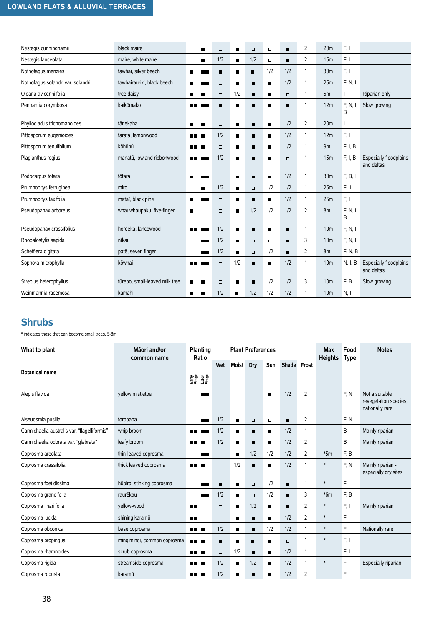| Nestegis cunninghamii             | black maire                    |                | $\blacksquare$ | $\Box$ | п              | $\Box$         | $\Box$         | п      | 2 | 20 <sub>m</sub> | F, I          |                                             |
|-----------------------------------|--------------------------------|----------------|----------------|--------|----------------|----------------|----------------|--------|---|-----------------|---------------|---------------------------------------------|
| Nestegis lanceolata               | maire, white maire             |                | П              | 1/2    | $\blacksquare$ | 1/2            | $\Box$         | п      | 2 | 15m             | F, I          |                                             |
| Nothofagus menziesii              | tawhai, silver beech           | $\blacksquare$ | 8 E            | п      | п              | $\blacksquare$ | 1/2            | 1/2    | 1 | 30 <sub>m</sub> | F, I          |                                             |
| Nothofagus solandri var. solandri | tawhairauriki, black beech     | п              | п п            | $\Box$ | п              | п              |                | 1/2    | 1 | 25m             | F, N, I       |                                             |
| Olearia avicenniifolia            | tree daisy                     | $\blacksquare$ | ■              | $\Box$ | 1/2            | $\blacksquare$ | п              | $\Box$ | 1 | 5m              |               | Riparian only                               |
| Pennantia corymbosa               | kaikōmako                      | ■■             | 88 M           | п      | п              | п              | ▬              | п      | 1 | 12m             | F, N, I,<br>B | Slow growing                                |
| Phyllocladus trichomanoides       | tānekaha                       | п              | п              | $\Box$ | п              | п              | п              | 1/2    | 2 | 20 <sub>m</sub> |               |                                             |
| Pittosporum eugenioides           | tarata, lemonwood              | m m            | $\blacksquare$ | 1/2    | $\blacksquare$ | $\blacksquare$ | п              | 1/2    | 1 | 12m             | F, I          |                                             |
| Pittosporum tenuifolium           | kōhūhū                         | . .            | $\blacksquare$ | $\Box$ | п              | п              | ■              | 1/2    | 1 | 9m              | F, I, B       |                                             |
| Plagianthus regius                | manatū, lowland ribbonwood     | ш              | n r            | 1/2    | П              | п              |                | $\Box$ | 1 | 15m             | F, I, B       | <b>Especially floodplains</b><br>and deltas |
| Podocarpus totara                 | tōtara                         | $\blacksquare$ | п п            | $\Box$ | п              | п              | $\blacksquare$ | 1/2    | 1 | 30 <sub>m</sub> | F, B, I       |                                             |
| Prumnopitys ferruginea            | miro                           |                | П              | 1/2    | $\blacksquare$ | $\Box$         | 1/2            | 1/2    | 1 | 25m             | F, 1          |                                             |
| Prumnopitys taxifolia             | mataī, black pine              | $\blacksquare$ | 88 M           | $\Box$ | $\blacksquare$ | п              | п              | 1/2    | 1 | 25m             | F, I          |                                             |
| Pseudopanax arboreus              | whauwhaupaku, five-finger      | п              |                | $\Box$ | п              | 1/2            | 1/2            | 1/2    | 2 | 8m              | F, N, I,<br>B |                                             |
| Pseudopanax crassifolius          | horoeka, lancewood             | 見直             | 88 M           | 1/2    | $\blacksquare$ | п              | п              | п      | 1 | 10 <sub>m</sub> | F, N, I       |                                             |
| Rhopalostylis sapida              | nīkau                          |                | п п            | 1/2    | п              | $\Box$         | $\Box$         | п      | 3 | 10 <sub>m</sub> | F, N, I       |                                             |
| Schefflera digitata               | patē, seven finger             |                | . .            | 1/2    | п              | $\Box$         | 1/2            | п      | 2 | 8m              | F, N, B       |                                             |
| Sophora microphylla               | kōwhai                         | ш              | 88 M           | $\Box$ | 1/2            | $\blacksquare$ | п              | 1/2    | 1 | 10 <sub>m</sub> | N, I, B       | Especially floodplains<br>and deltas        |
| Streblus heterophyllus            | tūrepo, small-leaved milk tree | п              | ■              | $\Box$ | п              | п              | 1/2            | 1/2    | 3 | 10 <sub>m</sub> | F, B          | Slow growing                                |
| Weinmannia racemosa               | kamahi                         | п              | $\blacksquare$ | 1/2    | п              | 1/2            | 1/2            | 1/2    | 1 | 10 <sub>m</sub> | N, I          |                                             |

#### **Shrubs**

\* indicates those that can become small trees, 5-8m

| What to plant                                | Māori and/or<br>common name | Planting<br>Ratio  |        |                | <b>Plant Preferences</b> |                |             |                | <b>Max</b><br><b>Heights</b> | Food<br><b>Type</b> | <b>Notes</b>                                               |
|----------------------------------------------|-----------------------------|--------------------|--------|----------------|--------------------------|----------------|-------------|----------------|------------------------------|---------------------|------------------------------------------------------------|
|                                              |                             |                    | Wet    | Moist          | Dry                      | Sun            | Shade Frost |                |                              |                     |                                                            |
| <b>Botanical name</b>                        |                             | 요금<br>이 보험<br>그 사람 |        |                |                          |                |             |                |                              |                     |                                                            |
| Alepis flavida                               | vellow mistletoe            | п п                |        |                |                          | п              | 1/2         | $\overline{2}$ |                              | F, N                | Not a suitable<br>revegetation species;<br>nationally rare |
| Alseuosmia pusilla                           | toropapa                    | n n                | 1/2    | $\blacksquare$ | $\Box$                   | $\Box$         | п           | 2              |                              | F, N                |                                                            |
| Carmichaelia australis var. "flagelliformis" | whip broom                  | <b>A 11</b><br>n n | 1/2    | $\blacksquare$ | п                        | п              | 1/2         | 1              |                              | В                   | Mainly riparian                                            |
| Carmichaelia odorata var. "glabrata"         | leafy broom                 | n n<br>п           | 1/2    | П              | п                        | п              | 1/2         | 2              |                              | B                   | Mainly riparian                                            |
| Coprosma areolata                            | thin-leaved coprosma        | п п                | $\Box$ | $\blacksquare$ | 1/2                      | 1/2            | 1/2         | 2              | $*5m$                        | F, B                |                                                            |
| Coprosma crassifolia                         | thick leaved coprosma       | <b>HH</b><br>п     | $\Box$ | 1/2            | п                        | п              | 1/2         | 1              | $\ast$                       | F, N                | Mainly riparian -<br>especially dry sites                  |
| Coprosma foetidissima                        | hūpiro, stinking coprosma   | mп                 | п      | $\blacksquare$ | $\Box$                   | 1/2            | п           | $\mathbf{1}$   | $\ast$                       | F                   |                                                            |
| Coprosma grandifolia                         | raurēkau                    | m m                | 1/2    | $\blacksquare$ | $\Box$                   | 1/2            | п           | 3              | $*6m$                        | F, B                |                                                            |
| Coprosma linariifolia                        | yellow-wood                 | 8 E                | $\Box$ | $\blacksquare$ | 1/2                      | п              | ■           | $\overline{2}$ | $\ast$                       | F, I                | Mainly riparian                                            |
| Coprosma lucida                              | shining karamū              | ш                  | $\Box$ | П              | $\blacksquare$           | $\blacksquare$ | 1/2         | $\overline{2}$ | $\ast$                       | F                   |                                                            |
| Coprosma obconica                            | base coprosma               | <b>HR</b><br>п     | 1/2    | $\blacksquare$ | п                        | 1/2            | 1/2         | 1              | $\ast$                       | F                   | Nationally rare                                            |
| Coprosma propinqua                           | mingimingi, common coprosma | <b>. .</b> .       | п      | п              | п                        | ■              | 0           | 1              | $\ast$                       | F, I                |                                                            |
| Coprosma rhamnoides                          | scrub coprosma              | ш<br>п             | $\Box$ | 1/2            | п                        | п              | 1/2         | $\mathbf{1}$   |                              | F, I                |                                                            |
| Coprosma rigida                              | streamside coprosma         | . .<br>п           | 1/2    | $\blacksquare$ | 1/2                      | $\blacksquare$ | 1/2         | $\mathbf{1}$   | $\ast$                       | F                   | Especially riparian                                        |
| Coprosma robusta                             | karamū                      | 88 I B             | 1/2    | п              | п                        | п              | 1/2         | $\overline{2}$ |                              | F                   |                                                            |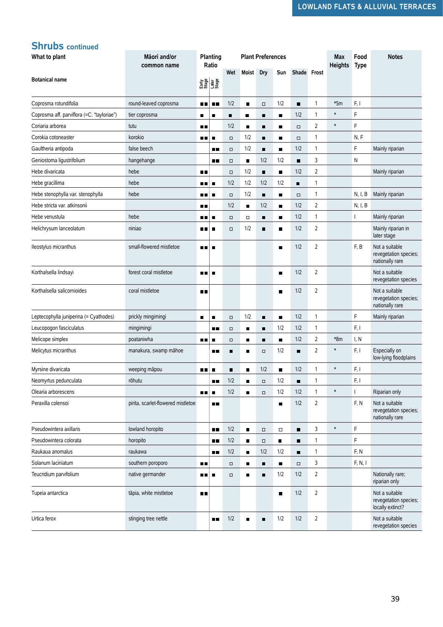#### **Shrubs continued**

| What to plant                              | Māori and/or<br>common name        |                | Planting<br>Ratio |        |                | <b>Plant Preferences</b> |                |                |                | <b>Max</b><br><b>Heights</b> | Food<br><b>Type</b> | <b>Notes</b>                                                |
|--------------------------------------------|------------------------------------|----------------|-------------------|--------|----------------|--------------------------|----------------|----------------|----------------|------------------------------|---------------------|-------------------------------------------------------------|
| <b>Botanical name</b>                      |                                    |                | $\frac{1}{2}$     | Wet    | Moist          | Dry                      | Sun            | Shade Frost    |                |                              |                     |                                                             |
|                                            |                                    |                |                   |        |                |                          |                |                |                |                              |                     |                                                             |
| Coprosma rotundifolia                      | round-leaved coprosma              | ш              | $\blacksquare$    | 1/2    | $\blacksquare$ | $\Box$                   | 1/2            | $\blacksquare$ | $\mathbf{1}$   | $*5m$                        | F, I                |                                                             |
| Coprosma aff. parviflora (=C. "tayloriae") | tier coprosma                      | ■              | ■                 | ■      | п              | п                        | $\blacksquare$ | 1/2            | $\mathbf{1}$   | $\ast$                       | F                   |                                                             |
| Coriaria arborea                           | tutu                               | 8 E            |                   | 1/2    | $\blacksquare$ | $\blacksquare$           | П              | $\Box$         | 2              | $\ast$                       | F                   |                                                             |
| Corokia cotoneaster                        | korokio                            | 88 O           | ■                 | $\Box$ | 1/2            | п                        | п              | $\Box$         | $\mathbf{1}$   |                              | N, F                |                                                             |
| Gaultheria antipoda                        | false beech                        |                | n 11              | $\Box$ | 1/2            | п                        | П              | 1/2            | 1              |                              | F                   | Mainly riparian                                             |
| Geniostoma ligustrifolium                  | hangehange                         |                | 6 E               | $\Box$ | $\blacksquare$ | 1/2                      | 1/2            | п              | 3              |                              | N                   |                                                             |
| Hebe divaricata                            | hebe                               | <b>.</b>       |                   | $\Box$ | 1/2            | $\blacksquare$           | $\blacksquare$ | 1/2            | $\overline{2}$ |                              |                     | Mainly riparian                                             |
| Hebe gracillima                            | hebe                               | . .            | г                 | 1/2    | 1/2            | 1/2                      | 1/2            | $\blacksquare$ | $\mathbf{1}$   |                              |                     |                                                             |
| Hebe stenophylla var. stenophylla          | hebe                               | ■■             | п                 | $\Box$ | 1/2            | $\blacksquare$           | $\blacksquare$ | $\Box$         | 1              |                              | N, I, B             | Mainly riparian                                             |
| Hebe stricta var. atkinsonii               |                                    | ПΕ             |                   | 1/2    | ■              | 1/2                      | $\blacksquare$ | 1/2            | 2              |                              | N, I, B             |                                                             |
| Hebe venustula                             | hebe                               | ∎∎             | п                 | $\Box$ | $\Box$         | ٠                        | $\blacksquare$ | 1/2            | $\mathbf{1}$   |                              |                     | Mainly riparian                                             |
| Helichrysum lanceolatum                    | niniao                             | 30 T           | г                 | $\Box$ | 1/2            | $\blacksquare$           | $\blacksquare$ | 1/2            | 2              |                              |                     | Mainly riparian in<br>later stage                           |
| lleostylus micranthus                      | small-flowered mistletoe           | п п            | г                 |        |                |                          | П              | 1/2            | $\overline{2}$ |                              | F, B                | Not a suitable<br>revegetation species;<br>nationally rare  |
| Korthalsella lindsayi                      | forest coral mistletoe             | . .            | п                 |        |                |                          | $\blacksquare$ | 1/2            | 2              |                              |                     | Not a suitable<br>revegetation species                      |
| Korthalsella salicornioides                | coral mistletoe                    | n r            |                   |        |                |                          | г              | 1/2            | $\overline{2}$ |                              |                     | Not a suitable<br>revegetation species;<br>nationally rare  |
| Leptecophylla juniperina (= Cyathodes)     | prickly mingimingi                 | ٠              | ■                 | $\Box$ | 1/2            | $\blacksquare$           | $\blacksquare$ | 1/2            | $\mathbf{1}$   |                              | F                   | Mainly riparian                                             |
| Leucopogon fasciculatus                    | mingimingi                         |                | ∎∎                | $\Box$ | ■              | п                        | 1/2            | 1/2            | $\mathbf{1}$   |                              | F, I                |                                                             |
| Melicope simplex                           | poataniwha                         | 8 E            | п                 | $\Box$ | $\blacksquare$ | $\blacksquare$           | $\blacksquare$ | 1/2            | $\overline{2}$ | *8m                          | I, N                |                                                             |
| Melicytus micranthus                       | manakura, swamp māhoe              |                | 88                | п      | П              | $\Box$                   | 1/2            | п              | $\overline{2}$ | $\pmb{\ast}$                 | F, I                | Especially on<br>low-lying floodplains                      |
| Myrsine divaricata                         | weeping māpou                      | . .            | ■                 | п      | п              | 1/2                      | $\blacksquare$ | 1/2            | $\mathbf{1}$   | $\ast$                       | F, I                |                                                             |
| Neomyrtus pedunculata                      | rōhutu                             |                | ∎∎                | 1/2    | $\blacksquare$ | $\Box$                   | 1/2            | п              | $\mathbf{1}$   |                              | F, I                |                                                             |
| Olearia arborescens                        |                                    | <b>H H</b>     | п                 | 1/2    | ■              | $\Box$                   | 1/2            | 1/2            | 1              | $\ast$                       |                     | Riparian only                                               |
| Peraxilla colensoi                         | pirita, scarlet-flowered mistletoe |                | <b>H H</b>        |        |                |                          | $\blacksquare$ | 1/2            | $\overline{2}$ |                              | F, N                | Not a suitable<br>revegetation species;<br>nationally rare  |
| Pseudowintera axillaris                    | lowland horopito                   |                | <b>H H</b>        | 1/2    | $\blacksquare$ | $\Box$                   | $\Box$         | π              | 3              | $\pmb{\ast}$                 | F                   |                                                             |
| Pseudowintera colorata                     | horopito                           |                | <b>. .</b>        | 1/2    | $\blacksquare$ | $\Box$                   | $\blacksquare$ | п              | $\mathbf{1}$   |                              | F                   |                                                             |
| Raukaua anomalus                           | raukawa                            |                | 88 E              | 1/2    | $\blacksquare$ | 1/2                      | 1/2            | $\blacksquare$ | $\mathbf{1}$   |                              | F, N                |                                                             |
| Solanum laciniatum                         | southern poroporo                  | <b>H H</b>     |                   | $\Box$ | п              | п                        | $\blacksquare$ | $\Box$         | 3              |                              | F, N, I             |                                                             |
| Teucridium parvifolium                     | native germander                   | . .            | г                 | $\Box$ | $\blacksquare$ | $\blacksquare$           | 1/2            | 1/2            | $\overline{2}$ |                              |                     | Nationally rare;<br>riparian only                           |
| Tupeia antarctica                          | tāpia, white mistletoe             | $\blacksquare$ |                   |        |                |                          | $\blacksquare$ | 1/2            | $\overline{2}$ |                              |                     | Not a suitable<br>revegetation species;<br>locally extinct? |
| Urtica ferox                               | stinging tree nettle               |                | . .               | 1/2    | $\blacksquare$ | п                        | 1/2            | 1/2            | $\overline{2}$ |                              |                     | Not a suitable<br>revegetation species                      |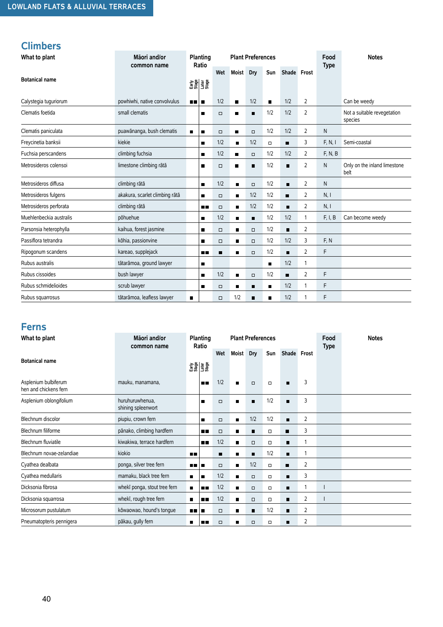### **Climbers**

| What to plant                                 | Māori and/or<br>common name           |                | Planting<br>Ratio |        |                | <b>Plant Preferences</b> |                |                |   | Food<br><b>Type</b> | <b>Notes</b>                           |
|-----------------------------------------------|---------------------------------------|----------------|-------------------|--------|----------------|--------------------------|----------------|----------------|---|---------------------|----------------------------------------|
|                                               |                                       |                |                   | Wet    | Moist          | <b>Dry</b>               | Sun            | Shade Frost    |   |                     |                                        |
| <b>Botanical name</b>                         |                                       |                | 함을<br>대표<br>그래프   |        |                |                          |                |                |   |                     |                                        |
| Calystegia tuguriorum                         | powhiwhi, native convolvulus          | <b>HE</b>      | п                 | 1/2    | $\blacksquare$ | 1/2                      | $\blacksquare$ | 1/2            | 2 |                     | Can be weedy                           |
| Clematis foetida                              | small clematis                        |                | п                 | $\Box$ | п              | п                        | 1/2            | 1/2            | 2 |                     | Not a suitable revegetation<br>species |
| Clematis paniculata                           | puawānanga, bush clematis             | $\blacksquare$ | $\blacksquare$    | $\Box$ | п              | $\Box$                   | 1/2            | 1/2            | 2 | N                   |                                        |
| Freycinetia banksii                           | kiekie                                |                | п                 | 1/2    | $\blacksquare$ | 1/2                      | $\Box$         | п              | 3 | F, N, I             | Semi-coastal                           |
| Fuchsia perscandens                           | climbing fuchsia                      |                | ■                 | 1/2    | ■              | $\Box$                   | 1/2            | 1/2            | 2 | F, N, B             |                                        |
| Metrosideros colensoi                         | limestone climbing rātā               |                | $\blacksquare$    | $\Box$ | $\blacksquare$ | п                        | 1/2            | п              | 2 | N                   | Only on the inland limestone<br>belt   |
| Metrosideros diffusa                          | climbing rātā                         |                | $\blacksquare$    | 1/2    | $\blacksquare$ | $\Box$                   | 1/2            | $\blacksquare$ | 2 | N                   |                                        |
| Metrosideros fulgens                          | akakura, scarlet climbing rātā        |                | ٠                 | $\Box$ | $\blacksquare$ | 1/2                      | 1/2            | П              | 2 | N, I                |                                        |
| Metrosideros perforata                        | climbing rātā                         |                | <b>H H</b>        | $\Box$ | $\blacksquare$ | 1/2                      | 1/2            | п              | 2 | N, I                |                                        |
| Muehlenbeckia australis                       | pōhuehue                              |                | ■                 | 1/2    | $\blacksquare$ | $\blacksquare$           | 1/2            | 1/2            | 1 | F, I, B             | Can become weedy                       |
| Parsonsia heterophylla                        | kaihua, forest jasmine                |                | $\blacksquare$    | $\Box$ | $\blacksquare$ | $\Box$                   | 1/2            | $\blacksquare$ | 2 |                     |                                        |
| Passiflora tetrandra                          | kōhia, passionvine                    |                | п                 | $\Box$ | $\blacksquare$ | $\Box$                   | 1/2            | 1/2            | 3 | F, N                |                                        |
| Ripogonum scandens                            | kareao, supplejack                    |                | ∎∎                | П      | ■              | $\Box$                   | 1/2            | п              | 2 | F                   |                                        |
| Rubus australis                               | tātarāmoa, ground lawyer              |                | $\blacksquare$    |        |                |                          | $\blacksquare$ | 1/2            | 1 |                     |                                        |
| Rubus cissoides                               | bush lawyer                           |                | $\blacksquare$    | 1/2    | $\blacksquare$ | $\Box$                   | 1/2            | п              | 2 | F                   |                                        |
| Rubus schmidelioides                          | scrub lawyer                          |                | ■                 | $\Box$ | $\blacksquare$ | п                        | п              | 1/2            | 1 | F                   |                                        |
| Rubus squarrosus                              | tātarāmoa, leafless lawyer            | $\blacksquare$ |                   | $\Box$ | 1/2            | $\blacksquare$           | п              | 1/2            | 1 | F                   |                                        |
| <b>Ferns</b><br>What to plant                 | Māori and/or<br>common name           |                | Planting<br>Ratio |        |                | <b>Plant Preferences</b> |                |                |   | Food<br><b>Type</b> | <b>Notes</b>                           |
| <b>Botanical name</b>                         |                                       |                |                   | Wet    | <b>Moist</b>   | Dry                      | Sun            | Shade Frost    |   |                     |                                        |
|                                               |                                       |                | 함을 하고<br>이 그 유    |        |                |                          |                |                |   |                     |                                        |
| Asplenium bulbiferum<br>hen and chickens fern | mauku, manamana,                      |                | ■■                | 1/2    | $\blacksquare$ | $\Box$                   | $\Box$         | п              | 3 |                     |                                        |
| Asplenium oblongifolium                       | huruhuruwhenua,<br>shining spleenwort |                | $\blacksquare$    | $\Box$ | $\blacksquare$ | Ξ                        | 1/2            | п              | 3 |                     |                                        |
| Blechnum discolor                             | piupiu, crown fern                    |                | $\blacksquare$    | $\Box$ | $\blacksquare$ | 1/2                      | 1/2            | п              | 2 |                     |                                        |
| Blechnum filiforme                            | pānako, climbing hardfern             |                | 8 E               | $\Box$ | п              | Ξ                        | $\Box$         | ■              | 3 |                     |                                        |
| <b>Blechnum fluviatile</b>                    | kiwakiwa, terrace hardfern            |                |                   | 1/2    | $\blacksquare$ | $\Box$                   | $\Box$         | п              | 1 |                     |                                        |
| Blechnum novae-zelandiae                      | kiokio                                | <b>DB</b>      |                   | п      | $\blacksquare$ | $\blacksquare$           | 1/2            | п              | 1 |                     |                                        |
| Cyathea dealbata                              | ponga, silver tree fern               | 88 E           | ■                 | $\Box$ | $\blacksquare$ | 1/2                      | $\Box$         | п              | 2 |                     |                                        |
| Cyathea medullaris                            | mamaku, black tree fern               | п              | ٠                 | 1/2    | $\blacksquare$ | $\Box$                   | $\Box$         | ∎              | 3 |                     |                                        |
| Dicksonia fibrosa                             | whekī ponga, stout tree fern          | $\blacksquare$ | 88                | 1/2    | п              | $\Box$                   | $\Box$         | ٠              | 1 | $\mathsf{l}$        |                                        |
| Dicksonia squarrosa                           | whekī, rough tree fern                | п              | 8 E               | 1/2    | $\blacksquare$ | $\Box$                   | $\Box$         | п              | 2 | $\mathsf{I}$        |                                        |
| Microsorum pustulatum                         | kōwaowao, hound's tongue              | ■■             | п                 | $\Box$ | п              | п                        | 1/2            | п              | 2 |                     |                                        |
| Pneumatopteris pennigera                      | pākau, gully fern                     | п              | ■■                | $\Box$ | г              | $\Box$                   | $\Box$         | п              | 2 |                     |                                        |

#### **Ferns**

| What to plant                                 | Māori and/or<br>common name           |                | Planting<br>Ratio |        |                | <b>Plant Preferences</b> |        |                |   | Food<br><b>Type</b> | <b>Notes</b> |
|-----------------------------------------------|---------------------------------------|----------------|-------------------|--------|----------------|--------------------------|--------|----------------|---|---------------------|--------------|
|                                               |                                       |                |                   | Wet    | Moist          | Dry                      | Sun    | Shade Frost    |   |                     |              |
| <b>Botanical name</b>                         |                                       | 요즘<br>문화<br>문화 |                   |        |                |                          |        |                |   |                     |              |
| Asplenium bulbiferum<br>hen and chickens fern | mauku, manamana,                      |                | n n               | 1/2    | $\blacksquare$ | $\Box$                   | $\Box$ | $\blacksquare$ | 3 |                     |              |
| Asplenium oblongifolium                       | huruhuruwhenua,<br>shining spleenwort |                | п                 | $\Box$ | п              | п                        | 1/2    | п              | 3 |                     |              |
| Blechnum discolor                             | piupiu, crown fern                    |                | п                 | $\Box$ | $\blacksquare$ | 1/2                      | 1/2    | п              | 2 |                     |              |
| Blechnum filiforme                            | pānako, climbing hardfern             |                | . .               | $\Box$ | п              | п                        | $\Box$ | п              | 3 |                     |              |
| Blechnum fluviatile                           | kiwakiwa, terrace hardfern            |                | 8 E               | 1/2    | $\blacksquare$ | $\Box$                   | $\Box$ | ■              |   |                     |              |
| Blechnum novae-zelandiae                      | kiokio                                | <b>DE</b>      |                   | п      | п              | $\blacksquare$           | 1/2    | п              |   |                     |              |
| Cyathea dealbata                              | ponga, silver tree fern               | <b>BE 18</b>   |                   | $\Box$ | $\blacksquare$ | 1/2                      | $\Box$ | п              | 2 |                     |              |
| Cyathea medullaris                            | mamaku, black tree fern               | $\blacksquare$ | п                 | 1/2    | ■              | $\Box$                   | $\Box$ | п              | 3 |                     |              |
| Dicksonia fibrosa                             | whekī ponga, stout tree fern          | $\blacksquare$ | o o               | 1/2    | $\blacksquare$ | $\Box$                   | $\Box$ | ■              |   |                     |              |
| Dicksonia squarrosa                           | whekī, rough tree fern                | $\blacksquare$ | <b>A 11</b>       | 1/2    | $\blacksquare$ | $\Box$                   | $\Box$ | п              | 2 |                     |              |
| Microsorum pustulatum                         | kōwaowao, hound's tonque              | .              |                   | □      | $\blacksquare$ | $\blacksquare$           | 1/2    | п              | 2 |                     |              |
| Pneumatopteris pennigera                      | pākau, gully fern                     | п              | п п               | □      | п              | $\Box$                   | о      | п              | 2 |                     |              |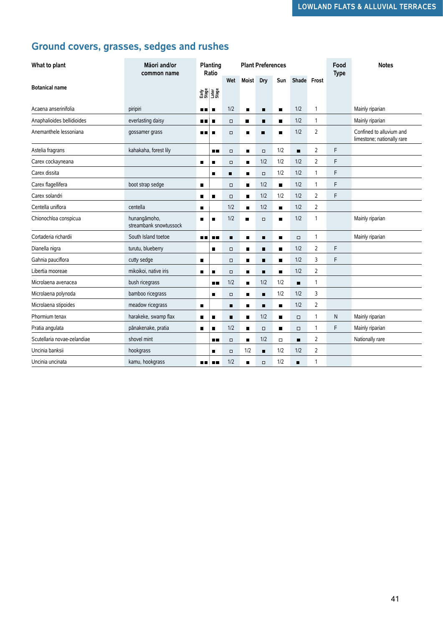## **Ground covers, grasses, sedges and rushes**

| What to plant               | Māori and/or<br>Planting<br><b>Plant Preferences</b><br>Ratio<br>common name |                |                 |                |                |                |                |                |                | Food<br><b>Type</b> | <b>Notes</b>                                           |
|-----------------------------|------------------------------------------------------------------------------|----------------|-----------------|----------------|----------------|----------------|----------------|----------------|----------------|---------------------|--------------------------------------------------------|
|                             |                                                                              |                |                 | Wet            | Moist Dry      |                | Sun            | Shade Frost    |                |                     |                                                        |
| <b>Botanical name</b>       |                                                                              |                | 8동생<br>대학<br>고등 |                |                |                |                |                |                |                     |                                                        |
| Acaena anserinifolia        | piripiri                                                                     | nп             | $\blacksquare$  | 1/2            | $\blacksquare$ | $\blacksquare$ | $\blacksquare$ | 1/2            | 1              |                     | Mainly riparian                                        |
| Anaphalioides bellidioides  | everlasting daisy                                                            | <b>HR</b>      | п               | $\Box$         | ٠              | п              | п              | 1/2            | 1              |                     | Mainly riparian                                        |
| Anemanthele lessoniana      | gossamer grass                                                               | ■■             | п               | $\Box$         | П              | $\blacksquare$ | п              | 1/2            | $\overline{2}$ |                     | Confined to alluvium and<br>limestone; nationally rare |
| Astelia fragrans            | kahakaha, forest lily                                                        |                | п.              | $\Box$         | $\blacksquare$ | $\Box$         | 1/2            | п              | 2              | F                   |                                                        |
| Carex cockayneana           |                                                                              | $\blacksquare$ | п               | $\Box$         | ■              | 1/2            | 1/2            | 1/2            | $\overline{2}$ | F                   |                                                        |
| Carex dissita               |                                                                              |                | п               | $\blacksquare$ | $\blacksquare$ | $\Box$         | 1/2            | 1/2            | 1              | F                   |                                                        |
| Carex flagellifera          | boot strap sedge                                                             | п              |                 | $\Box$         | $\blacksquare$ | 1/2            | п              | 1/2            | 1              | F                   |                                                        |
| Carex solandri              |                                                                              | $\blacksquare$ | п               | $\Box$         | $\blacksquare$ | 1/2            | 1/2            | 1/2            | 2              | F                   |                                                        |
| Centella uniflora           | centella                                                                     | $\blacksquare$ |                 | 1/2            | $\blacksquare$ | 1/2            | $\blacksquare$ | 1/2            | 2              |                     |                                                        |
| Chionochloa conspicua       | hunangāmoho,<br>streambank snowtussock                                       | $\blacksquare$ | п               | 1/2            | п              | $\Box$         | $\blacksquare$ | 1/2            | $\mathbf{1}$   |                     | Mainly riparian                                        |
| Cortaderia richardii        | South Island toetoe                                                          | <b>A 11</b>    | <b>H H</b>      | п              | П              | п              | п              | $\Box$         | $\mathbf{1}$   |                     | Mainly riparian                                        |
| Dianella nigra              | turutu, blueberry                                                            |                | $\blacksquare$  | $\Box$         | $\blacksquare$ | п              | $\blacksquare$ | 1/2            | 2              | F                   |                                                        |
| Gahnia pauciflora           | cutty sedge                                                                  | $\blacksquare$ |                 | $\Box$         | $\blacksquare$ | п              | п              | 1/2            | 3              | F                   |                                                        |
| Libertia mooreae            | mikoikoi, native iris                                                        | $\blacksquare$ | п               | $\Box$         | п              | П              | П              | 1/2            | 2              |                     |                                                        |
| Microlaena avenacea         | bush ricegrass                                                               |                | <b>HR</b>       | 1/2            | $\blacksquare$ | 1/2            | 1/2            | $\blacksquare$ | 1              |                     |                                                        |
| Microlaena polynoda         | bamboo ricegrass                                                             |                | п               | $\Box$         | п              | п              | 1/2            | 1/2            | 3              |                     |                                                        |
| Microlaena stipoides        | meadow ricegrass                                                             | $\blacksquare$ |                 | $\blacksquare$ | ■              | п              | п              | 1/2            | 2              |                     |                                                        |
| Phormium tenax              | harakeke, swamp flax                                                         | $\blacksquare$ | $\blacksquare$  | $\blacksquare$ | $\blacksquare$ | 1/2            | $\blacksquare$ | $\Box$         | 1              | N                   | Mainly riparian                                        |
| Pratia angulata             | pānakenake, pratia                                                           | п              |                 | 1/2            | $\blacksquare$ | $\Box$         | п              | $\Box$         | 1              | F                   | Mainly riparian                                        |
| Scutellaria novae-zelandiae | shovel mint                                                                  |                | . .             | $\Box$         | $\blacksquare$ | 1/2            | $\Box$         | п              | 2              |                     | Nationally rare                                        |
| Uncinia banksii             | hookgrass                                                                    |                | п               | $\Box$         | 1/2            | п              | 1/2            | 1/2            | 2              |                     |                                                        |
| Uncinia uncinata            | kamu, hookgrass                                                              | nп             | . .             | 1/2            | $\blacksquare$ | $\Box$         | 1/2            | ▬              | 1              |                     |                                                        |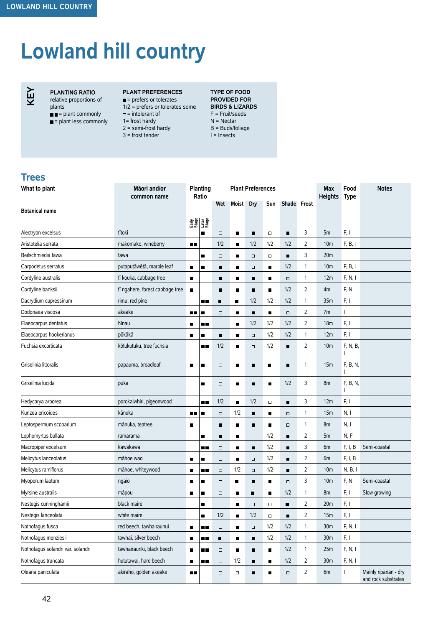# **Lowland hill country**



**PLANTING RATIO** relative proportions of plants  $\blacksquare$  = plant commonly

 $\blacksquare$  = plant less commonly

- 1= frost hardy
	- $2 =$  semi-frost hardy 3 = frost tender

 $\Box$  = intolerant of

**PLANT PREFERENCES**  $\blacksquare$  = prefers or tolerates

1/2 = prefers or tolerates some **BIRDS & LIZARDS TYPE OF FOOD PROVIDED FOR**  F = Fruit/seeds N = Nectar B = Buds/foliage I = Insects

#### **Trees**

| What to plant                     | Māori and/or<br>common name     | Planting<br>Ratio |                     |                |                | <b>Plant Preferences</b> |                |        |              | <b>Max</b><br><b>Heights</b> | Food<br><b>Type</b> | <b>Notes</b>                                 |
|-----------------------------------|---------------------------------|-------------------|---------------------|----------------|----------------|--------------------------|----------------|--------|--------------|------------------------------|---------------------|----------------------------------------------|
| <b>Botanical name</b>             |                                 |                   |                     | Wet            | Moist          | <b>Dry</b>               | Sun            |        | Shade Frost  |                              |                     |                                              |
|                                   |                                 |                   |                     |                |                |                          |                |        |              |                              |                     |                                              |
| Alectryon excelsus                | tītoki                          |                   | 함을 보급<br>도움 프랑<br>π | $\Box$         | п              | Ξ                        | $\Box$         | ٠      | 3            | 5m                           | F, I                |                                              |
| Aristotelia serrata               | makomako, wineberry             | $\blacksquare$    |                     | 1/2            | П              | 1/2                      | 1/2            | 1/2    | 2            | 10 <sub>m</sub>              | F, B, I             |                                              |
| Beilschmiedia tawa                | tawa                            |                   | П                   | $\Box$         | Π              | $\Box$                   | $\Box$         | п      | 3            | 20 <sub>m</sub>              |                     |                                              |
| Carpodetus serratus               | putaputāwētā, marble leaf       | П                 | П                   | п              | π              | $\Box$                   | п              | 1/2    | $\mathbf{1}$ | 10 <sub>m</sub>              | F, B, I             |                                              |
| Cordyline australis               | tī kouka, cabbage tree          | $\blacksquare$    |                     | $\blacksquare$ | Е              | π                        | $\blacksquare$ | $\Box$ | 1            | 12m                          | F, N, I             |                                              |
| Cordyline banksii                 | tī ngahere, forest cabbage tree | п                 |                     | п              | Г              | π                        | п              | 1/2    | 2            | 4m                           | F, N                |                                              |
| Dacrydium cupressinum             | rimu, red pine                  |                   | ∎∎                  | $\blacksquare$ | $\blacksquare$ | 1/2                      | 1/2            | 1/2    | 1            | 35m                          | F, I                |                                              |
| Dodonaea viscosa                  | akeake                          | n n               | $\blacksquare$      | $\Box$         | $\blacksquare$ | Ξ                        | $\blacksquare$ | $\Box$ | 2            | 7m                           | L                   |                                              |
| Elaeocarpus dentatus              | hīnau                           | п                 | ∎∎                  |                | п              | 1/2                      | 1/2            | 1/2    | 2            | 18 <sub>m</sub>              | F, I                |                                              |
| Elaeocarpus hookerianus           | pōkākā                          | п                 | ■                   | $\blacksquare$ | $\blacksquare$ | $\Box$                   | 1/2            | 1/2    | 1            | 12m                          | F, I                |                                              |
| Fuchsia excorticata               | kōtukutuku, tree fuchsia        |                   | 8 B                 | 1/2            | $\blacksquare$ | $\Box$                   | 1/2            | п      | 2            | 10 <sub>m</sub>              | F, N, B,            |                                              |
| Griselinia littoralis             | papauma, broadleaf              | П                 | ■                   | $\Box$         | $\blacksquare$ | π                        | $\blacksquare$ | п      | 1            | 15 <sub>m</sub>              | F, B, N,            |                                              |
| Griselinia lucida                 | puka                            |                   | $\blacksquare$      | $\Box$         | п              | π                        | ■              | 1/2    | 3            | 8m                           | F, B, N,            |                                              |
| Hedycarya arborea                 | porokaiwhiri, pigeonwood        |                   | 88.                 | 1/2            | $\blacksquare$ | 1/2                      | $\Box$         | п      | 3            | 12m                          | F, I                |                                              |
| Kunzea ericoides                  | kānuka                          | <b>HD</b>         | $\blacksquare$      | $\Box$         | 1/2            | π                        | ■              | $\Box$ | $\mathbf{1}$ | 15 <sub>m</sub>              | N, I                |                                              |
| Leptospermum scoparium            | mānuka, teatree                 | п                 |                     | ٠              | п              | Ξ                        | п              | $\Box$ | $\mathbf{1}$ | 8m                           | N, I                |                                              |
| Lophomyrtus bullata               | ramarama                        |                   | п                   | Ξ              | $\blacksquare$ |                          | 1/2            | п      | 2            | 5m                           | N, F                |                                              |
| Macropiper excelsum               | kawakawa                        |                   | 8 E                 | $\Box$         | п              | Ξ                        | 1/2            | п      | 3            | 6m                           | F, I, B             | Semi-coastal                                 |
| Melicytus lanceolatus             | māhoe wao                       | П                 | п                   | $\Box$         | $\blacksquare$ | $\Box$                   | 1/2            | п      | 2            | 6m                           | F, I, B             |                                              |
| Melicytus ramiflorus              | māhoe, whiteywood               | п                 | 8 E                 | $\Box$         | 1/2            | $\Box$                   | 1/2            | П      | 2            | 10 <sub>m</sub>              | N, B, I             |                                              |
| Myoporum laetum                   | ngaio                           | п                 | п                   | $\Box$         | $\blacksquare$ | п                        | п              | $\Box$ | 3            | 10 <sub>m</sub>              | F, N                | Semi-coastal                                 |
| Myrsine australis                 | māpou                           | п                 | ■                   | $\Box$         | п              | $\blacksquare$           | п              | 1/2    | $\mathbf{1}$ | 8m                           | F, I                | Slow growing                                 |
| Nestegis cunninghamii             | black maire                     |                   | ■                   | $\Box$         | П              | $\Box$                   | $\Box$         | ■      | 2            | 20 <sub>m</sub>              | F, I                |                                              |
| Nestegis lanceolata               | white maire                     |                   | п                   | 1/2            | п              | 1/2                      | $\Box$         | п      | 2            | 15 <sub>m</sub>              | F, I                |                                              |
| Nothofagus fusca                  | red beech, tawhairaunui         | П                 | $\blacksquare$      | $\Box$         | П              | $\Box$                   | 1/2            | 1/2    | $\mathbf{1}$ | 30 <sub>m</sub>              | F, N, I             |                                              |
| Nothofagus menziesii              | tawhai, silver beech            | п                 | ■■                  | $\blacksquare$ | П              | Ξ                        | 1/2            | 1/2    | $\mathbf{1}$ | 30 <sub>m</sub>              | F, I                |                                              |
| Nothofagus solandri var. solandri | tawhairauriki, black beech      | п                 | $\blacksquare$      | $\Box$         | $\blacksquare$ | Ξ                        | $\blacksquare$ | 1/2    | 1            | 25m                          | F, N, I             |                                              |
| Nothofagus truncata               | hututawai, hard beech           | п                 | ∎∎                  | $\Box$         | 1/2            | п                        | п              | 1/2    | 2            | 30 <sub>m</sub>              | F, N, I             |                                              |
| Olearia paniculata                | akiraho, golden akeake          | ■■                |                     | $\Box$         | $\Box$         | п                        | п              | $\Box$ | 2            | 6m                           |                     | Mainly riparian - dry<br>and rock substrates |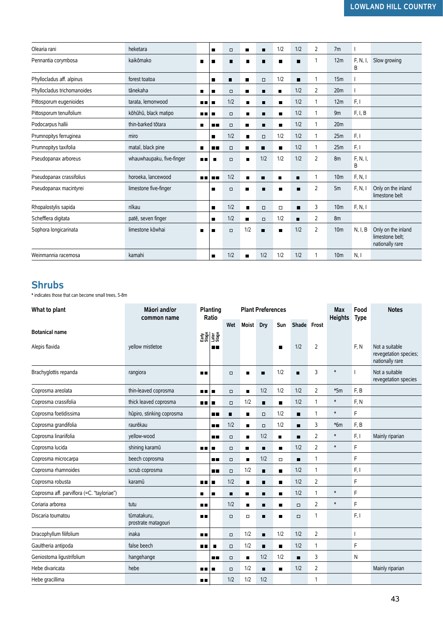| Olearia rani                | heketara                  |           | п              | $\Box$ | п              | п              | 1/2            | 1/2 | 2              | 7 <sub>m</sub>  |               |                                                          |
|-----------------------------|---------------------------|-----------|----------------|--------|----------------|----------------|----------------|-----|----------------|-----------------|---------------|----------------------------------------------------------|
| Pennantia corymbosa         | kaikōmako                 | П         | п              | п      | П              | п              |                | п   | 1              | 12m             | F. N. I.<br>B | Slow growing                                             |
| Phyllocladus aff. alpinus   | forest toatoa             |           | п              | п      |                | $\Box$         | 1/2            | п   | 1              | 15m             |               |                                                          |
| Phyllocladus trichomanoides | tānekaha                  | п         | п              | $\Box$ | п              | п              | $\blacksquare$ | 1/2 | 2              | 20 <sub>m</sub> |               |                                                          |
| Pittosporum eugenioides     | tarata, lemonwood         | пп        | п              | 1/2    | $\blacksquare$ | п              | п              | 1/2 | 1              | 12m             | F, I          |                                                          |
| Pittosporum tenuifolium     | kōhūhū, black matipo      | m m       | п              | $\Box$ | $\blacksquare$ | п              | п              | 1/2 | 1              | 9m              | F, I, B       |                                                          |
| Podocarpus hallii           | thin-barked tōtara        | П         | п п            | $\Box$ | п              | п              | п              | 1/2 | 1              | 20 <sub>m</sub> |               |                                                          |
| Prumnopitys ferruginea      | miro                      |           | п              | 1/2    | $\blacksquare$ | $\Box$         | 1/2            | 1/2 | 1              | 25m             | F, I          |                                                          |
| Prumnopitys taxifolia       | mataī, black pine         | п         | . .            | $\Box$ | п              | п              | п              | 1/2 | 1              | 25m             | F, I          |                                                          |
| Pseudopanax arboreus        | whauwhaupaku, five-finger | . .       | г              | $\Box$ | $\blacksquare$ | 1/2            | 1/2            | 1/2 | 2              | 8m              | F, N, I,<br>B |                                                          |
| Pseudopanax crassifolius    | horoeka. lancewood        | <b>HR</b> | п.             | 1/2    | $\blacksquare$ | п              | п              | П   | 1              | 10 <sub>m</sub> | F, N, I       |                                                          |
| Pseudopanax macintyrei      | limestone five-finger     |           | п              | $\Box$ | г              | п              |                | п   | $\overline{2}$ | 5m              | F, N, I       | Only on the inland<br>limestone belt                     |
| Rhopalostylis sapida        | nīkau                     |           | п              | 1/2    | $\blacksquare$ | $\Box$         | $\Box$         | п   | 3              | 10 <sub>m</sub> | F, N, I       |                                                          |
| Schefflera digitata         | patē, seven finger        |           | п              | 1/2    |                | $\Box$         | 1/2            | п   | 2              | 8m              |               |                                                          |
| Sophora longicarinata       | limestone kōwhai          | П         | п              | $\Box$ | 1/2            | $\blacksquare$ | п              | 1/2 | 2              | 10 <sub>m</sub> | N, I, B       | Only on the inland<br>limestone belt:<br>nationally rare |
| Weinmannia racemosa         | kamahi                    |           | $\blacksquare$ | 1/2    | п              | 1/2            | 1/2            | 1/2 | 1              | 10 <sub>m</sub> | N, I          |                                                          |

#### **Shrubs**

\* indicates those that can become small trees, 5-8m

| What to plant                              | Māori and/or<br>common name        |            | Planting<br>Ratio |                | <b>Plant Preferences</b> |                |                |                |                |                |      |                                                            | Food<br><b>Type</b> | <b>Notes</b> |
|--------------------------------------------|------------------------------------|------------|-------------------|----------------|--------------------------|----------------|----------------|----------------|----------------|----------------|------|------------------------------------------------------------|---------------------|--------------|
|                                            |                                    |            |                   | Wet            | Moist Dry                |                | Sun            | Shade Frost    |                | <b>Heights</b> |      |                                                            |                     |              |
| <b>Botanical name</b>                      |                                    |            | 함을 보기<br>이 사람     |                |                          |                |                |                |                |                |      |                                                            |                     |              |
| Alepis flavida                             | vellow mistletoe                   |            | п.                |                |                          |                | п              | 1/2            | $\overline{2}$ |                | F, N | Not a suitable<br>revegetation species;<br>nationally rare |                     |              |
| Brachyglottis repanda                      | rangiora                           | ш          |                   | $\Box$         | $\blacksquare$           | п              | 1/2            | п              | 3              | $\pmb{\ast}$   |      | Not a suitable<br>revegetation species                     |                     |              |
| Coprosma areolata                          | thin-leaved coprosma               | <b>A 8</b> | $\blacksquare$    | $\Box$         | $\blacksquare$           | 1/2            | 1/2            | 1/2            | 2              | $*5m$          | F, B |                                                            |                     |              |
| Coprosma crassifolia                       | thick leaved coprosma              | m m        | п                 | $\Box$         | 1/2                      | п              | $\blacksquare$ | 1/2            | $\mathbf{1}$   | $\ast$         | F, N |                                                            |                     |              |
| Coprosma foetidissima                      | hūpiro, stinking coprosma          |            | Œ                 | $\blacksquare$ | $\blacksquare$           | $\Box$         | 1/2            | $\blacksquare$ | $\mathbf{1}$   | $\pmb{\ast}$   | F    |                                                            |                     |              |
| Coprosma grandifolia                       | raurēkau                           |            | <b>HD</b>         | 1/2            | $\blacksquare$           | $\Box$         | 1/2            | $\blacksquare$ | 3              | $*6m$          | F, B |                                                            |                     |              |
| Coprosma linariifolia                      | yellow-wood                        |            | <b>HR</b>         | $\Box$         | $\blacksquare$           | 1/2            | $\blacksquare$ | п              | 2              | $\ast$         | F, I | Mainly riparian                                            |                     |              |
| Coprosma lucida                            | shining karamū                     | m m        | $\blacksquare$    | $\Box$         | п                        | п              | $\blacksquare$ | 1/2            | 2              | $\pmb{\ast}$   | F    |                                                            |                     |              |
| Coprosma microcarpa                        | beech coprosma                     |            | 88                | $\Box$         | $\blacksquare$           | 1/2            | $\Box$         | $\blacksquare$ | 1              |                | F    |                                                            |                     |              |
| Coprosma rhamnoides                        | scrub coprosma                     |            | п.                | $\Box$         | 1/2                      | п              | $\blacksquare$ | 1/2            | $\mathbf{1}$   |                | F, I |                                                            |                     |              |
| Coprosma robusta                           | karamū                             | <b>HI</b>  | п                 | 1/2            | П                        | π              | п              | 1/2            | 2              |                | F    |                                                            |                     |              |
| Coprosma aff. parviflora (=C. "tayloriae") |                                    | п          | п                 | $\blacksquare$ | п                        | п              | п              | 1/2            | $\mathbf{1}$   | $\ast$         | F    |                                                            |                     |              |
| Coriaria arborea                           | tutu                               | п п        |                   | 1/2            | п                        | п              | $\blacksquare$ | $\Box$         | 2              | $\pmb{\ast}$   | F    |                                                            |                     |              |
| Discaria toumatou                          | tūmatakuru.<br>prostrate matagouri | <b>BB</b>  |                   | $\Box$         | $\Box$                   | п              | п              | $\Box$         | 1              |                | F, I |                                                            |                     |              |
| Dracophyllum filifolium                    | inaka                              | п п        |                   | $\Box$         | 1/2                      | $\blacksquare$ | 1/2            | 1/2            | $\overline{2}$ |                |      |                                                            |                     |              |
| Gaultheria antipoda                        | false beech                        | <b>DIE</b> | $\blacksquare$    | $\Box$         | 1/2                      | П              | $\blacksquare$ | 1/2            | 1              |                | F    |                                                            |                     |              |
| Geniostoma ligustrifolium                  | hangehange                         |            | 88 M              | $\Box$         | $\blacksquare$           | 1/2            | 1/2            | $\blacksquare$ | 3              |                | N    |                                                            |                     |              |
| Hebe divaricata                            | hebe                               | п.         | $\blacksquare$    | $\Box$         | 1/2                      | $\blacksquare$ | $\blacksquare$ | 1/2            | 2              |                |      | Mainly riparian                                            |                     |              |
| Hebe gracillima                            |                                    | п п        |                   | 1/2            | 1/2                      | 1/2            |                |                | $\mathbf{1}$   |                |      |                                                            |                     |              |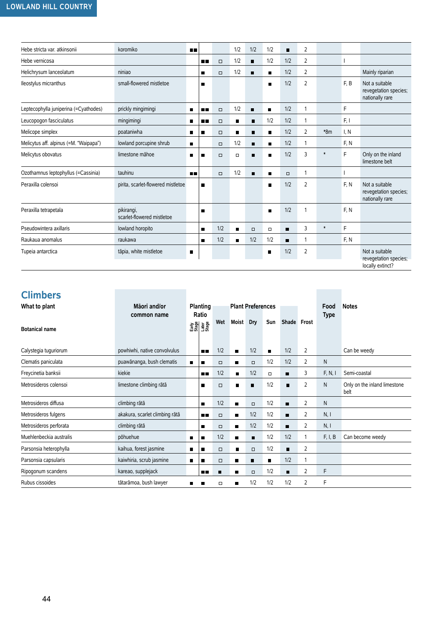| Hebe stricta var. atkinsonii           | koromiko                                 | n n            |                |        | 1/2            | 1/2            | 1/2            | п      | $\overline{2}$ |        |      |                                                             |
|----------------------------------------|------------------------------------------|----------------|----------------|--------|----------------|----------------|----------------|--------|----------------|--------|------|-------------------------------------------------------------|
| Hebe vernicosa                         |                                          |                | п п            | $\Box$ | 1/2            | п              | 1/2            | 1/2    | 2              |        |      |                                                             |
| Helichrysum lanceolatum                | niniao                                   |                |                | $\Box$ | 1/2            | п              | п              | 1/2    | $\overline{2}$ |        |      | Mainly riparian                                             |
| Ileostylus micranthus                  | small-flowered mistletoe                 |                | $\blacksquare$ |        |                |                | п              | 1/2    | 2              |        | F.B  | Not a suitable<br>revegetation species;<br>nationally rare  |
| Leptecophylla juniperina (=Cyathodes)  | prickly mingimingi                       | $\blacksquare$ | . .            | $\Box$ | 1/2            | $\blacksquare$ | $\blacksquare$ | 1/2    | 1              |        | F    |                                                             |
| Leucopogon fasciculatus                | mingimingi                               | п              | п п            | $\Box$ | п              | п              | 1/2            | 1/2    | 1              |        | F, I |                                                             |
| Melicope simplex                       | poataniwha                               | п              |                | $\Box$ | $\blacksquare$ | $\blacksquare$ | п              | 1/2    | 2              | $*8m$  | I, N |                                                             |
| Melicytus aff. alpinus (=M. "Waipapa") | lowland porcupine shrub                  | $\blacksquare$ |                | $\Box$ | 1/2            | п              | $\blacksquare$ | 1/2    | $\mathbf{1}$   |        | F, N |                                                             |
| Melicytus obovatus                     | limestone māhoe                          | $\blacksquare$ |                | $\Box$ | $\Box$         | п              | $\blacksquare$ | 1/2    | 3              | $\ast$ | F    | Only on the inland<br>limestone belt                        |
| Ozothamnus leptophyllus (=Cassinia)    | tauhinu                                  | m m            |                | $\Box$ | 1/2            | $\blacksquare$ | $\blacksquare$ | $\Box$ | 1              |        |      |                                                             |
| Peraxilla colensoi                     | pirita, scarlet-flowered mistletoe       |                | $\blacksquare$ |        |                |                | $\blacksquare$ | 1/2    | $\overline{2}$ |        | F. N | Not a suitable<br>revegetation species;<br>nationally rare  |
| Peraxilla tetrapetala                  | pikirangi,<br>scarlet-flowered mistletoe |                | п              |        |                |                | $\blacksquare$ | 1/2    | 1              |        | F. N |                                                             |
| Pseudowintera axillaris                | lowland horopito                         |                | $\blacksquare$ | 1/2    | $\blacksquare$ | $\Box$         | $\Box$         | п      | 3              | $\ast$ | F    |                                                             |
| Raukaua anomalus                       | raukawa                                  |                |                | 1/2    | $\blacksquare$ | 1/2            | 1/2            | п      | 1              |        | F. N |                                                             |
| Tupeia antarctica                      | tāpia, white mistletoe                   | П              |                |        |                |                | п              | 1/2    | 2              |        |      | Not a suitable<br>revegetation species;<br>locally extinct? |

#### **Climbers**

| --------                |                                |   |                              |        |                |                          |                |                |   |                     |                                      |
|-------------------------|--------------------------------|---|------------------------------|--------|----------------|--------------------------|----------------|----------------|---|---------------------|--------------------------------------|
| What to plant           | Māori and/or<br>common name    |   | Planting<br>Ratio            |        |                | <b>Plant Preferences</b> |                |                |   | Food<br><b>Type</b> | <b>Notes</b>                         |
| <b>Botanical name</b>   |                                |   | emes<br>1988<br>Esta<br>1988 | Wet    | <b>Moist</b>   | Dry                      | Sun            | Shade Frost    |   |                     |                                      |
| Calystegia tuguriorum   | powhiwhi, native convolvulus   |   | <b>R R</b>                   | 1/2    | $\blacksquare$ | 1/2                      | $\blacksquare$ | 1/2            | 2 |                     | Can be weedy                         |
| Clematis paniculata     | puawānanga, bush clematis      | п | п                            | $\Box$ | п              | $\Box$                   | 1/2            | 1/2            | 2 | N                   |                                      |
| Freycinetia banksii     | kiekie                         |   | n n                          | 1/2    | п              | 1/2                      | $\Box$         | п              | 3 | F, N, I             | Semi-coastal                         |
| Metrosideros colensoi   | limestone climbing rātā        |   | п                            | $\Box$ | п              | п                        | 1/2            | п              | 2 | N                   | Only on the inland limestone<br>belt |
| Metrosideros diffusa    | climbing rātā                  |   | П                            | 1/2    | $\blacksquare$ | $\Box$                   | 1/2            | п              | 2 | N                   |                                      |
| Metrosideros fulgens    | akakura, scarlet climbing rātā |   | n n                          | $\Box$ | $\blacksquare$ | 1/2                      | 1/2            | п              | 2 | N, I                |                                      |
| Metrosideros perforata  | climbing rātā                  |   | п                            | $\Box$ | п              | 1/2                      | 1/2            |                | 2 | N, I                |                                      |
| Muehlenbeckia australis | põhuehue                       | п | П                            | 1/2    | $\blacksquare$ | п                        | 1/2            | 1/2            |   | F, I, B             | Can become weedy                     |
| Parsonsia heterophylla  | kaihua, forest jasmine         | п | п                            | $\Box$ | г              | $\Box$                   | 1/2            | $\blacksquare$ | 2 |                     |                                      |
| Parsonsia capsularis    | kaiwhiria, scrub jasmine       | п | п                            | $\Box$ | $\blacksquare$ | п                        | $\blacksquare$ | 1/2            |   |                     |                                      |
| Ripogonum scandens      | kareao, supplejack             |   | 88                           | п      | ■              | $\Box$                   | 1/2            | п              | 2 | F                   |                                      |
| Rubus cissoides         | tātarāmoa, bush lawyer         | H | П                            | $\Box$ | $\blacksquare$ | 1/2                      | 1/2            | 1/2            | 2 | F                   |                                      |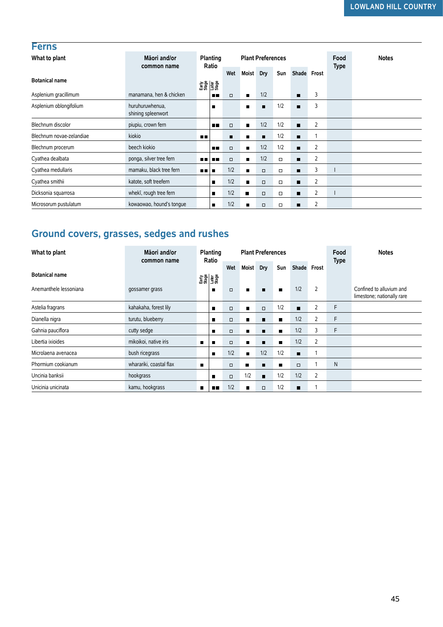| <b>Ferns</b>             |                                       |            |                              |        |                |                          |        |                |                |      |              |             |  |             |  |
|--------------------------|---------------------------------------|------------|------------------------------|--------|----------------|--------------------------|--------|----------------|----------------|------|--------------|-------------|--|-------------|--|
| What to plant            | Māori and/or                          |            | Planting                     |        |                | <b>Plant Preferences</b> |        |                |                | Food | <b>Notes</b> |             |  |             |  |
|                          | common name                           |            | Ratio                        |        |                |                          | Wet    |                | <b>Moist</b>   | Dry  | Sun          | Shade Frost |  | <b>Type</b> |  |
| <b>Botanical name</b>    |                                       |            | 8월 15일<br>15월 15일<br>15월 15일 |        |                |                          |        |                |                |      |              |             |  |             |  |
| Asplenium gracillimum    | manamana, hen & chicken               |            | п.                           | $\Box$ | $\blacksquare$ | 1/2                      |        | п              | 3              |      |              |             |  |             |  |
| Asplenium oblongifolium  | huruhuruwhenua,<br>shining spleenwort |            |                              |        | п              | п                        | 1/2    | п              | 3              |      |              |             |  |             |  |
| Blechnum discolor        | piupiu, crown fern                    |            | п.                           | $\Box$ | $\blacksquare$ | 1/2                      | 1/2    | п              | 2              |      |              |             |  |             |  |
| Blechnum novae-zelandiae | kiokio                                | <b>ALC</b> |                              |        | $\blacksquare$ | п                        | 1/2    | п              |                |      |              |             |  |             |  |
| Blechnum procerum        | beech kiokio                          |            | . .                          | $\Box$ | П              | 1/2                      | 1/2    | $\blacksquare$ | $\overline{2}$ |      |              |             |  |             |  |
| Cyathea dealbata         | ponga, silver tree fern               | n n l      | <b>FR</b>                    | $\Box$ | $\blacksquare$ | 1/2                      | $\Box$ | $\blacksquare$ | $\overline{2}$ |      |              |             |  |             |  |
| Cyathea medullaris       | mamaku, black tree fern               | n n        |                              | 1/2    | п              | $\Box$                   | $\Box$ | п              | 3              |      |              |             |  |             |  |
| Cyathea smithii          | katote, soft treefern                 |            | п                            | 1/2    | п              | $\Box$                   | $\Box$ | $\blacksquare$ | $\overline{2}$ |      |              |             |  |             |  |
| Dicksonia squarrosa      | whekī, rough tree fern                |            | п                            | 1/2    | п              | $\Box$                   | $\Box$ | $\blacksquare$ | 2              |      |              |             |  |             |  |
| Microsorum pustulatum    | kowaowao, hound's tonque              |            | п                            | 1/2    | п              | $\Box$                   | $\Box$ | п              | $\overline{2}$ |      |              |             |  |             |  |

## **Ground covers, grasses, sedges and rushes**

| סוווסוו וסטוווסיט                         |                                       |                | 8월 물을<br>조금 물을                  |        |                |                          |                |                |                |                     |                                                        |
|-------------------------------------------|---------------------------------------|----------------|---------------------------------|--------|----------------|--------------------------|----------------|----------------|----------------|---------------------|--------------------------------------------------------|
| Asplenium gracillimum                     | manamana, hen & chicken               |                | <b>HR</b>                       | $\Box$ | п              | 1/2                      |                | $\blacksquare$ | 3              |                     |                                                        |
| Asplenium oblongifolium                   | huruhuruwhenua.<br>shining spleenwort |                | п                               |        | П              | п                        | 1/2            | $\blacksquare$ | 3              |                     |                                                        |
| Blechnum discolor                         | piupiu, crown fern                    |                | п.                              | $\Box$ | $\blacksquare$ | 1/2                      | 1/2            | п              | $\overline{2}$ |                     |                                                        |
| Blechnum novae-zelandiae                  | kiokio                                | ш              |                                 | п      | п              | п                        | 1/2            | п              | 1              |                     |                                                        |
| Blechnum procerum                         | beech kiokio                          |                | п п                             | $\Box$ | П              | 1/2                      | 1/2            | п              | 2              |                     |                                                        |
| Cyathea dealbata                          | ponga, silver tree fern               | $\blacksquare$ | <b>HD</b>                       | $\Box$ | $\blacksquare$ | 1/2                      | $\Box$         | $\blacksquare$ | 2              |                     |                                                        |
| Cyathea medullaris                        | mamaku, black tree fern               | . .            | п                               | 1/2    | п              | $\Box$                   | $\Box$         | п              | 3              |                     |                                                        |
| Cyathea smithii                           | katote, soft treefern                 |                | п                               | 1/2    | П              | $\Box$                   | $\Box$         | п              | 2              |                     |                                                        |
| Dicksonia squarrosa                       | whekī, rough tree fern                |                | $\blacksquare$                  | 1/2    | $\blacksquare$ | $\Box$                   | $\Box$         | $\blacksquare$ | 2              |                     |                                                        |
| Microsorum pustulatum                     | kowaowao, hound's tonque              |                | $\blacksquare$                  | 1/2    | п              | $\Box$                   | $\Box$         | $\blacksquare$ | 2              |                     |                                                        |
| Ground covers, grasses, sedges and rushes |                                       |                |                                 |        |                |                          |                |                |                |                     |                                                        |
| What to plant                             | Māori and/or<br>common name           |                | Planting<br>Ratio               |        |                | <b>Plant Preferences</b> |                |                |                | Food<br><b>Type</b> | <b>Notes</b>                                           |
| <b>Botanical name</b>                     |                                       |                |                                 | Wet    | Moist Dry      |                          | Sun            | Shade Frost    |                |                     |                                                        |
| Anemanthele lessoniana                    | gossamer grass                        |                | Angel<br>E31<br>E31<br>E31<br>п | $\Box$ | П              | п                        | п              | 1/2            | $\overline{2}$ |                     | Confined to alluvium and<br>limestone; nationally rare |
| Astelia fragrans                          | kahakaha, forest lily                 |                | п                               | $\Box$ | П              | $\Box$                   | 1/2            | $\blacksquare$ | 2              | F                   |                                                        |
| Dianella nigra                            | turutu, blueberry                     |                | п                               | $\Box$ | п              | ■                        | П              | 1/2            | 2              | F                   |                                                        |
| Gahnia pauciflora                         | cutty sedge                           |                | ٠                               | $\Box$ | п              | п                        | п              | 1/2            | 3              | F                   |                                                        |
| Libertia ixioides                         | mikoikoi, native iris                 | ■              | п                               | $\Box$ | $\blacksquare$ | $\blacksquare$           | $\blacksquare$ | 1/2            | 2              |                     |                                                        |
| Microlaena avenacea                       | bush ricegrass                        |                | $\blacksquare$                  | 1/2    | п              | 1/2                      | 1/2            | $\blacksquare$ | $\mathbf{1}$   |                     |                                                        |
| Phormium cookianum                        | wharariki, coastal flax               | $\blacksquare$ |                                 | $\Box$ | п              | п                        | $\blacksquare$ | $\Box$         | 1              | N                   |                                                        |
| Uncinia banksii                           | hookgrass                             |                | п                               | $\Box$ | 1/2            | π                        | 1/2            | 1/2            | 2              |                     |                                                        |
| Unicinia unicinata                        | kamu, hookgrass                       | $\blacksquare$ | пπ                              | 1/2    | П              | $\Box$                   | 1/2            | п              | 1              |                     |                                                        |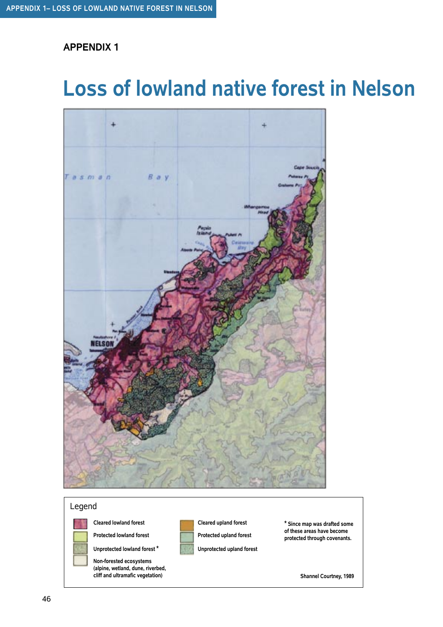## **Loss of lowland native forest in Nelson**



Legend

**Cleared lowland forest**

**Protected lowland forest**



**Non-forested ecosystems (alpine, wetland, dune, riverbed, cliff and ultramafic vegetation)**



**Cleared upland forest**

**Protected upland forest**

**Unprotected upland forest**

**\* Since map was drafted some of these areas have become protected through covenants.**

**Shannel Courtney, 1989**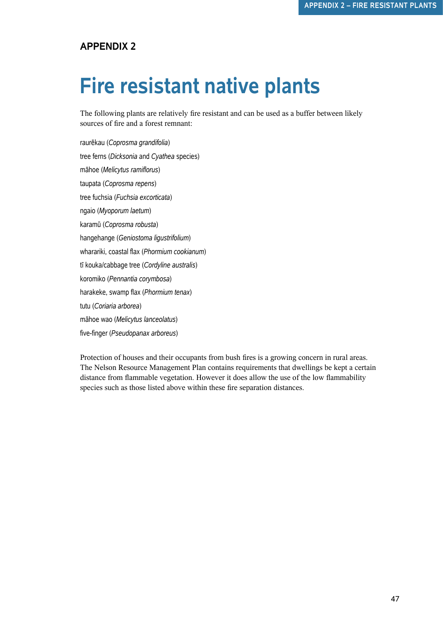## **Fire resistant native plants**

The following plants are relatively fire resistant and can be used as a buffer between likely sources of fire and a forest remnant:

raurëkau (*Coprosma grandifolia*) tree ferns (*Dicksonia* and *Cyathea* species) mähoe (*Melicytus ramiflorus*) taupata (*Coprosma repens*) tree fuchsia (*Fuchsia excorticata*) ngaio (*Myoporum laetum*) karamü (*Coprosma robusta*) hangehange (*Geniostoma ligustrifolium*) wharariki, coastal flax (*Phormium cookianum*) tï kouka/cabbage tree (*Cordyline australis*) koromiko (*Pennantia corymbosa*) harakeke, swamp flax (*Phormium tenax*) tutu (*Coriaria arborea*) mähoe wao (*Melicytus lanceolatus*) five-finger (*Pseudopanax arboreus*)

Protection of houses and their occupants from bush fires is a growing concern in rural areas. The Nelson Resource Management Plan contains requirements that dwellings be kept a certain distance from flammable vegetation. However it does allow the use of the low flammability species such as those listed above within these fire separation distances.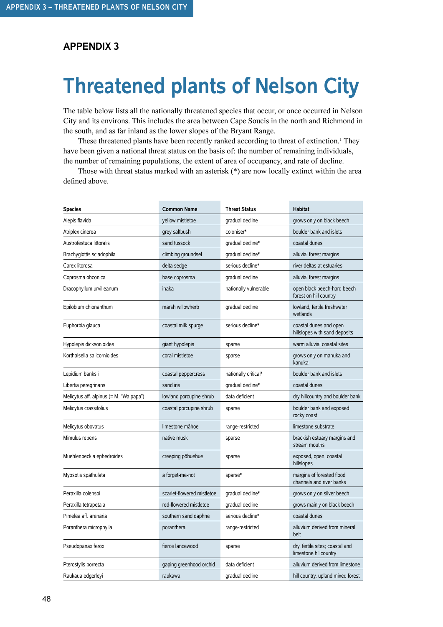## **Threatened plants of Nelson City**

The table below lists all the nationally threatened species that occur, or once occurred in Nelson City and its environs. This includes the area between Cape Soucis in the north and Richmond in the south, and as far inland as the lower slopes of the Bryant Range.

These threatened plants have been recently ranked according to threat of extinction.<sup>1</sup> They have been given a national threat status on the basis of: the number of remaining individuals, the number of remaining populations, the extent of area of occupancy, and rate of decline.

Those with threat status marked with an asterisk (\*) are now locally extinct within the area defined above.

| <b>Species</b>                          | <b>Common Name</b>         | <b>Threat Status</b>  | <b>Habitat</b>                                           |
|-----------------------------------------|----------------------------|-----------------------|----------------------------------------------------------|
| Alepis flavida                          | yellow mistletoe           | gradual decline       | grows only on black beech                                |
| Atriplex cinerea                        | grey saltbush              | coloniser*            | boulder bank and islets                                  |
| Austrofestuca littoralis                | sand tussock               | gradual decline*      | coastal dunes                                            |
| Brachyglottis sciadophila               | climbing groundsel         | gradual decline*      | alluvial forest margins                                  |
| Carex litorosa                          | delta sedge                | serious decline*      | river deltas at estuaries                                |
| Coprosma obconica                       | base coprosma              | gradual decline       | alluvial forest margins                                  |
| Dracophyllum urvilleanum                | inaka                      | nationally vulnerable | open black beech-hard beech<br>forest on hill country    |
| Epilobium chionanthum                   | marsh willowherb           | gradual decline       | lowland, fertile freshwater<br>wetlands                  |
| Euphorbia glauca                        | coastal milk spurge        | serious decline*      | coastal dunes and open<br>hillslopes with sand deposits  |
| Hypolepis dicksonioides                 | giant hypolepis            | sparse                | warm alluvial coastal sites                              |
| Korthalsella salicornioides             | coral mistletoe            | sparse                | grows only on manuka and<br>kanuka                       |
| Lepidium banksii                        | coastal peppercress        | nationally critical*  | boulder bank and islets                                  |
| Libertia peregrinans                    | sand iris                  | gradual decline*      | coastal dunes                                            |
| Melicytus aff. alpinus (= M. "Waipapa") | lowland porcupine shrub    | data deficient        | dry hillcountry and boulder bank                         |
| Melicytus crassifolius                  | coastal porcupine shrub    | sparse                | boulder bank and exposed<br>rocky coast                  |
| Melicytus obovatus                      | limestone mähoe            | range-restricted      | limestone substrate                                      |
| Mimulus repens                          | native musk                | sparse                | brackish estuary margins and<br>stream mouths            |
| Muehlenbeckia ephedroides               | creeping põhuehue          | sparse                | exposed, open, coastal<br>hillslopes                     |
| Myosotis spathulata                     | a forget-me-not            | sparse*               | margins of forested flood<br>channels and river banks    |
| Peraxilla colensoi                      | scarlet-flowered mistletoe | gradual decline*      | grows only on silver beech                               |
| Peraxilla tetrapetala                   | red-flowered mistletoe     | gradual decline       | grows mainly on black beech                              |
| Pimelea aff. arenaria                   | southern sand daphne       | serious decline*      | coastal dunes                                            |
| Poranthera microphylla                  | poranthera                 | range-restricted      | alluvium derived from mineral<br>belt                    |
| Pseudopanax ferox                       | fierce lancewood           | sparse                | dry, fertile sites; coastal and<br>limestone hillcountry |
| Pterostylis porrecta                    | gaping greenhood orchid    | data deficient        | alluvium derived from limestone                          |
| Raukaua edgerleyi                       | raukawa                    | gradual decline       | hill country, upland mixed forest                        |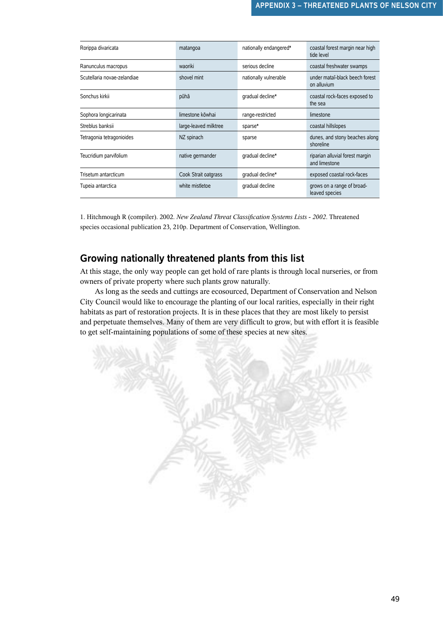| Rorippa divaricata          | matangoa              | nationally endangered* | coastal forest margin near high<br>tide level    |
|-----------------------------|-----------------------|------------------------|--------------------------------------------------|
| Ranunculus macropus         | waoriki               | serious decline        | coastal freshwater swamps                        |
| Scutellaria novae-zelandiae | shovel mint           | nationally vulnerable  | under mataī-black beech forest<br>on alluvium    |
| Sonchus kirkii              | pūhā                  | gradual decline*       | coastal rock-faces exposed to<br>the sea         |
| Sophora longicarinata       | limestone kōwhai      | range-restricted       | limestone                                        |
| Streblus banksii            | large-leaved milktree | sparse*                | coastal hillslopes                               |
| Tetragonia tetragonioides   | NZ spinach            | sparse                 | dunes, and stony beaches along<br>shoreline      |
| Teucridium parvifolium      | native germander      | gradual decline*       | riparian alluvial forest margin<br>and limestone |
| Trisetum antarcticum        | Cook Strait oatgrass  | gradual decline*       | exposed coastal rock-faces                       |
| Tupeia antarctica           | white mistletoe       | gradual decline        | grows on a range of broad-<br>leaved species     |

1. Hitchmough R (compiler). 2002. *New Zealand Threat Classification Systems Lists - 2002*. Threatened species occasional publication 23, 210p. Department of Conservation, Wellington.

#### **Growing nationally threatened plants from this list**

At this stage, the only way people can get hold of rare plants is through local nurseries, or from owners of private property where such plants grow naturally.

As long as the seeds and cuttings are ecosourced, Department of Conservation and Nelson City Council would like to encourage the planting of our local rarities, especially in their right habitats as part of restoration projects. It is in these places that they are most likely to persist and perpetuate themselves. Many of them are very difficult to grow, but with effort it is feasible to get self-maintaining populations of some of these species at new sites.

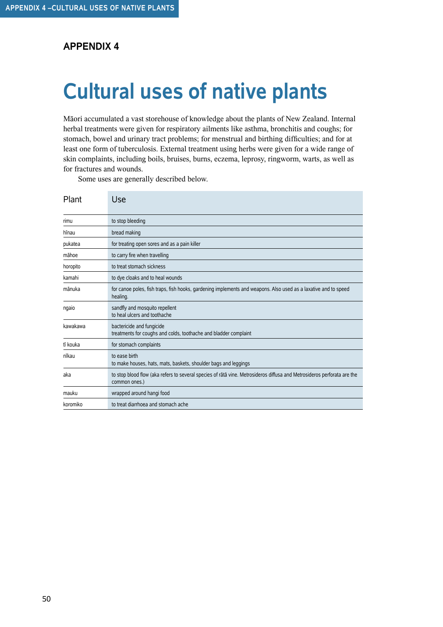## **Cultural uses of native plants**

Mäori accumulated a vast storehouse of knowledge about the plants of New Zealand. Internal herbal treatments were given for respiratory ailments like asthma, bronchitis and coughs; for stomach, bowel and urinary tract problems; for menstrual and birthing difficulties; and for at least one form of tuberculosis. External treatment using herbs were given for a wide range of skin complaints, including boils, bruises, burns, eczema, leprosy, ringworm, warts, as well as for fractures and wounds.

Some uses are generally described below.

| Plant    | Use                                                                                                                                      |
|----------|------------------------------------------------------------------------------------------------------------------------------------------|
| rimu     | to stop bleeding                                                                                                                         |
| hīnau    | bread making                                                                                                                             |
| pukatea  | for treating open sores and as a pain killer                                                                                             |
| māhoe    | to carry fire when travelling                                                                                                            |
| horopito | to treat stomach sickness                                                                                                                |
| kamahi   | to dye cloaks and to heal wounds                                                                                                         |
| mānuka   | for canoe poles, fish traps, fish hooks, gardening implements and weapons. Also used as a laxative and to speed<br>healing.              |
| ngaio    | sandfly and mosquito repellent<br>to heal ulcers and toothache                                                                           |
| kawakawa | bactericide and fungicide<br>treatments for coughs and colds, toothache and bladder complaint                                            |
| tī kouka | for stomach complaints                                                                                                                   |
| nīkau    | to ease birth<br>to make houses, hats, mats, baskets, shoulder bags and leggings                                                         |
| aka      | to stop blood flow (aka refers to several species of rātā vine. Metrosideros diffusa and Metrosideros perforata are the<br>common ones.) |
| mauku    | wrapped around hangi food                                                                                                                |
| koromiko | to treat diarrhoea and stomach ache                                                                                                      |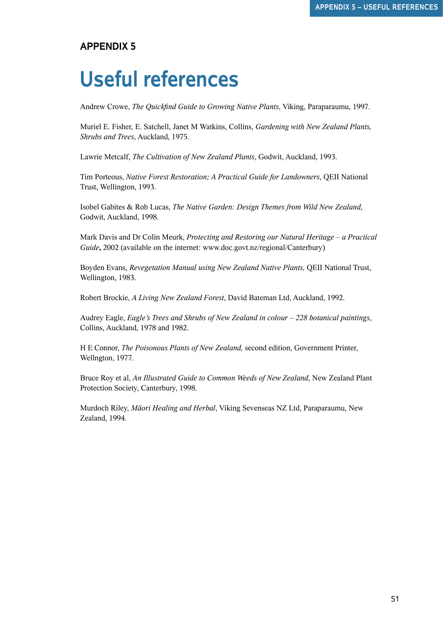## **Useful references**

Andrew Crowe, *The Quickfind Guide to Growing Native Plants*, Viking, Paraparaumu, 1997.

Muriel E. Fisher, E. Satchell, Janet M Watkins, Collins, *Gardening with New Zealand Plants, Shrubs and Trees*, Auckland, 1975.

Lawrie Metcalf, *The Cultivation of New Zealand Plants*, Godwit, Auckland, 1993.

Tim Porteous, *Native Forest Restoration; A Practical Guide for Landowners*, QEII National Trust, Wellington, 1993.

Isobel Gabites & Rob Lucas, *The Native Garden: Design Themes from Wild New Zealand*, Godwit, Auckland, 1998.

Mark Davis and Dr Colin Meurk, *Protecting and Restoring our Natural Heritage – a Practical Guide***,** 2002 (available on the internet: www.doc.govt.nz/regional/Canterbury)

Boyden Evans, *Revegetation Manual using New Zealand Native Plants,* QEII National Trust, Wellington, 1983.

Robert Brockie, *A Living New Zealand Forest*, David Bateman Ltd, Auckland, 1992.

Audrey Eagle, *Eagle's Trees and Shrubs of New Zealand in colour – 228 botanical paintings*, Collins, Auckland, 1978 and 1982.

H E Connor, *The Poisonous Plants of New Zealand,* second edition, Government Printer, Wellngton, 1977.

Bruce Roy et al, *An Illustrated Guide to Common Weeds of New Zealand*, New Zealand Plant Protection Society, Canterbury, 1998.

Murdoch Riley, *Mäori Healing and Herbal*, Viking Sevenseas NZ Ltd, Paraparaumu, New Zealand, 1994.